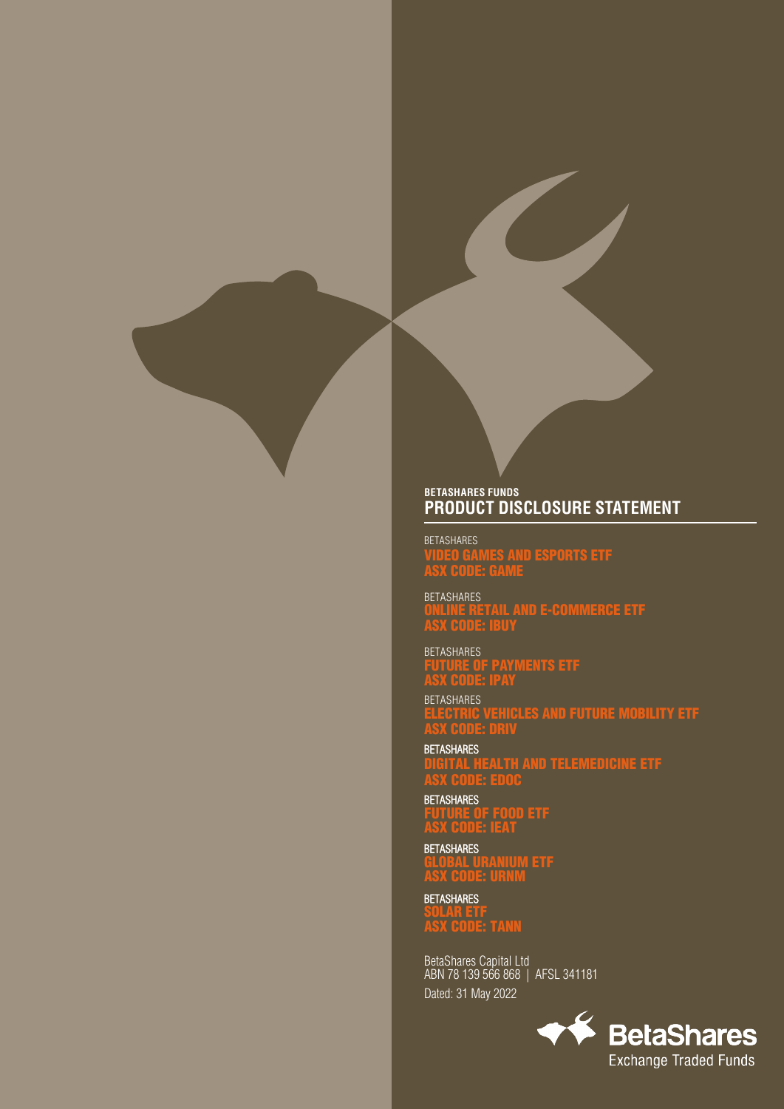## **BETASHARES FUNDS PRODUCT DISCLOSURE STATEMENT**

BETASHARES VIDEO GAMES AND ESPORTS ETF ASX CODE: GAME

BETASHARES ONLINE RETAIL AND E-COMMERCE ETF ASX CODE: IBUY

BETASHARES FUTURE OF PAYMENTS ETF ASX CODE: IPAY

BETASHARES ELECTRIC VEHICLES AND FUTURE MOBILITY ETF ASX CODE: DRIV

BETASHARES DIGITAL HEALTH AND TELEMEDICINE ETF ASX CODE: EDOC

BETASHARES FUTURE OF FOOD ETF ASX CODE: IEAT

BETASHARES GLOBAL URANIUM ETF ASX CODE: URNM

**BETASHARES** SOLAR ETF ASX CODE: TANN

BetaShares Capital Ltd ABN 78 139 566 868 | AFSL 341181 Dated: 31 May 2022

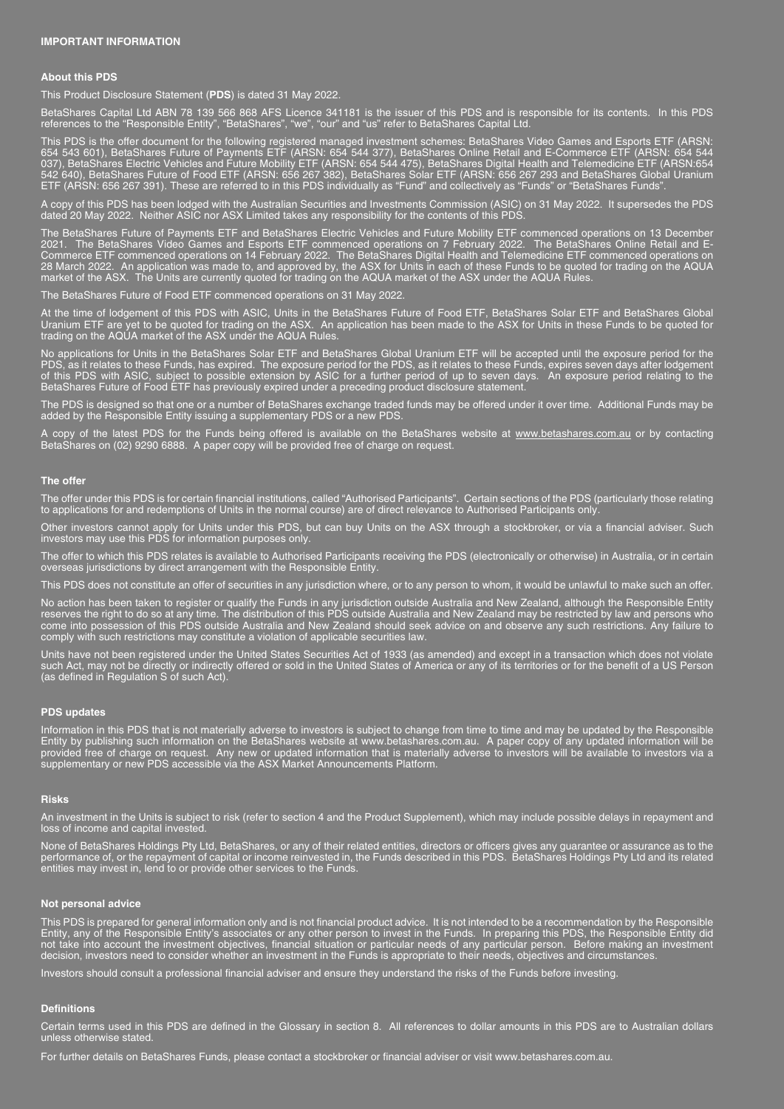#### **About this PDS**

This Product Disclosure Statement (**PDS**) is dated 31 May 2022.

BetaShares Capital Ltd ABN 78 139 566 868 AFS Licence 341181 is the issuer of this PDS and is responsible for its contents. In this PDS references to the "Responsible Entity", "BetaShares", "we", "our" and "us" refer to BetaShares Capital Ltd.

This PDS is the offer document for the following registered managed investment schemes: BetaShares Video Games and Esports ETF (ARSN: 654 543 601), BetaShares Future of Payments ETF (ARSN: 654 544 377), BetaShares Online Retail and E-Commerce ETF (ARSN: 654 544 037), BetaShares Electric Vehicles and Future Mobility ETF (ARSN: 654 544 475), BetaShares Digital Health and Telemedicine ETF (ARSN:654 542 640), BetaShares Future of Food ETF (ARSN: 656 267 382), BetaShares Solar ETF (ARSN: 656 267 293 and BetaShares Global Uranium ETF (ARSN: 656 267 391). These are referred to in this PDS individually as "Fund" and collectively as "Funds" or "BetaShares Funds".

A copy of this PDS has been lodged with the Australian Securities and Investments Commission (ASIC) on 31 May 2022. It supersedes the PDS dated 20 May 2022. Neither ASIC nor ASX Limited takes any responsibility for the contents of this PDS.

The BetaShares Future of Payments ETF and BetaShares Electric Vehicles and Future Mobility ETF commenced operations on 13 December 2021. The BetaShares Video Games and Esports ETF commenced operations on 7 February 2022. The BetaShares Online Retail and E-Commerce ETF commenced operations on 14 February 2022. The BetaShares Digital Health and Telemedicine ETF commenced operations on 28 March 2022. An application was made to, and approved by, the ASX for Units in each of these Funds to be quoted for trading on the AQUA market of the ASX. The Units are currently quoted for trading on the AQUA market of the ASX under the AQUA Rules.

The BetaShares Future of Food ETF commenced operations on 31 May 2022.

At the time of lodgement of this PDS with ASIC, Units in the BetaShares Future of Food ETF, BetaShares Solar ETF and BetaShares Global Uranium ETF are yet to be quoted for trading on the ASX. An application has been made to the ASX for Units in these Funds to be quoted for trading on the AQUA market of the ASX under the AQUA Rules.

No applications for Units in the BetaShares Solar ETF and BetaShares Global Uranium ETF will be accepted until the exposure period for the PDS, as it relates to these Funds, has expired. The exposure period for the PDS, as it relates to these Funds, expires seven days after lodgement of this PDS with ASIC, subject to possible extension by ASIC for a further period of up to seven days. An exposure period relating to the BetaShares Future of Food ETF has previously expired under a preceding product disclosure statement.

The PDS is designed so that one or a number of BetaShares exchange traded funds may be offered under it over time. Additional Funds may be added by the Responsible Entity issuing a supplementary PDS or a new PDS.

A copy of the latest PDS for the Funds being offered is available on the BetaShares website at [www.betashares.com.au](http://www.betashares.com.au/) or by contacting BetaShares on (02) 9290 6888. A paper copy will be provided free of charge on request.

#### **The offer**

The offer under this PDS is for certain financial institutions, called "Authorised Participants". Certain sections of the PDS (particularly those relating to applications for and redemptions of Units in the normal course) are of direct relevance to Authorised Participants only.

Other investors cannot apply for Units under this PDS, but can buy Units on the ASX through a stockbroker, or via a financial adviser. Such investors may use this PDS for information purposes only.

The offer to which this PDS relates is available to Authorised Participants receiving the PDS (electronically or otherwise) in Australia, or in certain overseas jurisdictions by direct arrangement with the Responsible Entity.

This PDS does not constitute an offer of securities in any jurisdiction where, or to any person to whom, it would be unlawful to make such an offer.

No action has been taken to register or qualify the Funds in any jurisdiction outside Australia and New Zealand, although the Responsible Entity reserves the right to do so at any time. The distribution of this PDS outside Australia and New Zealand may be restricted by law and persons who come into possession of this PDS outside Australia and New Zealand should seek advice on and observe any such restrictions. Any failure to comply with such restrictions may constitute a violation of applicable securities law.

Units have not been registered under the United States Securities Act of 1933 (as amended) and except in a transaction which does not violate such Act, may not be directly or indirectly offered or sold in the United States of America or any of its territories or for the benefit of a US Person (as defined in Regulation S of such Act).

#### **PDS updates**

Information in this PDS that is not materially adverse to investors is subject to change from time to time and may be updated by the Responsible Entity by publishing such information on the BetaShares website at www.betashares.com.au. A paper copy of any updated information will be provided free of charge on request. Any new or updated information that is materially adverse to investors will be available to investors via a supplementary or new PDS accessible via the ASX Market Announcements Platform.

#### **Risks**

An investment in the Units is subject to risk (refer to section 4 and the Product Supplement), which may include possible delays in repayment and loss of income and capital invested.

None of BetaShares Holdings Pty Ltd, BetaShares, or any of their related entities, directors or officers gives any guarantee or assurance as to the performance of, or the repayment of capital or income reinvested in, the Funds described in this PDS. BetaShares Holdings Pty Ltd and its related entities may invest in, lend to or provide other services to the Funds.

#### **Not personal advice**

This PDS is prepared for general information only and is not financial product advice. It is not intended to be a recommendation by the Responsible Entity, any of the Responsible Entity's associates or any other person to invest in the Funds. In preparing this PDS, the Responsible Entity did not take into account the investment objectives, financial situation or particular needs of any particular person. Before making an investment decision, investors need to consider whether an investment in the Funds is appropriate to their needs, objectives and circumstances.

Investors should consult a professional financial adviser and ensure they understand the risks of the Funds before investing.

#### **Definitions**

Certain terms used in this PDS are defined in the Glossary in section 8. All references to dollar amounts in this PDS are to Australian dollars unless otherwise stated.

For further details on BetaShares Funds, please contact a stockbroker or financial adviser or visit www.betashares.com.au.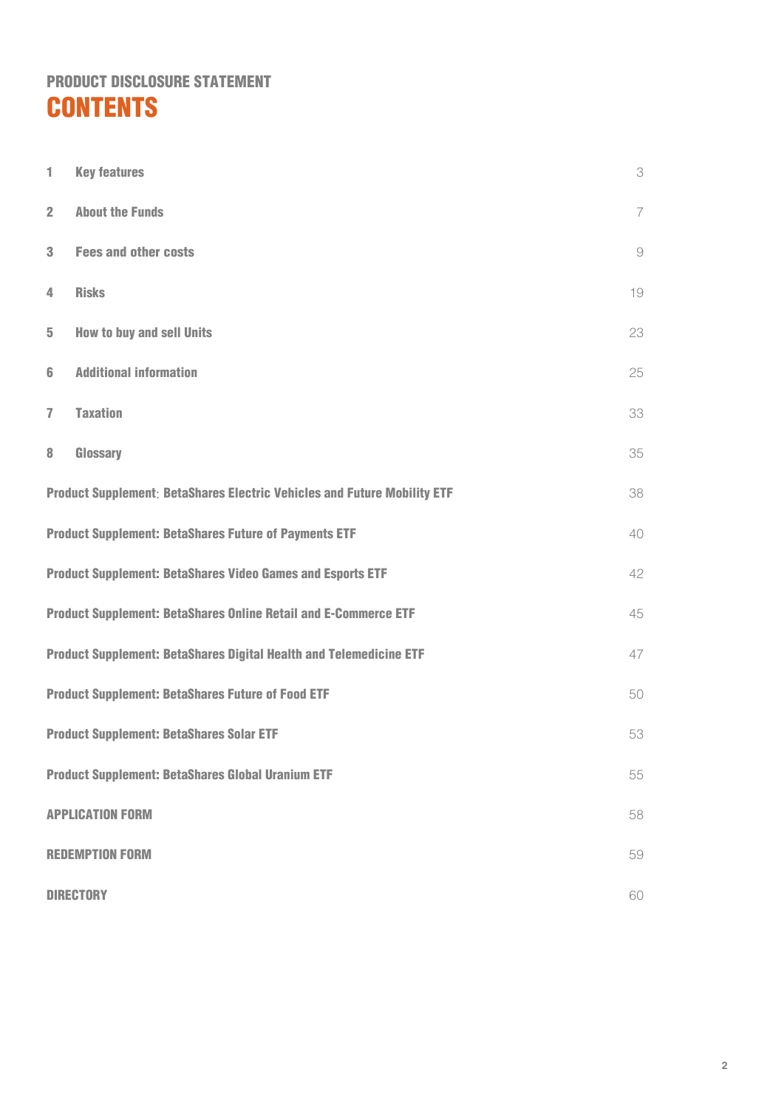## PRODUCT DISCLOSURE STATEMENT **CONTENTS**

| 1              | <b>Key features</b>                                                             | 3              |
|----------------|---------------------------------------------------------------------------------|----------------|
| $\overline{2}$ | <b>About the Funds</b>                                                          | $\overline{7}$ |
| 3              | <b>Fees and other costs</b>                                                     | $\mathcal{G}$  |
| 4              | <b>Risks</b>                                                                    | 19             |
| 5              | <b>How to buy and sell Units</b>                                                | 23             |
| 6              | <b>Additional information</b>                                                   | 25             |
| $\overline{1}$ | <b>Taxation</b>                                                                 | 33             |
| 8              | Glossary                                                                        | 35             |
|                | <b>Product Supplement: BetaShares Electric Vehicles and Future Mobility ETF</b> | 38             |
|                | <b>Product Supplement: BetaShares Future of Payments ETF</b>                    | 40             |
|                | <b>Product Supplement: BetaShares Video Games and Esports ETF</b>               | 42             |
|                | Product Supplement: BetaShares Online Retail and E-Commerce ETF                 | 45             |
|                | Product Supplement: BetaShares Digital Health and Telemedicine ETF              | 47             |
|                | <b>Product Supplement: BetaShares Future of Food ETF</b>                        | 50             |
|                | <b>Product Supplement: BetaShares Solar ETF</b>                                 | 53             |
|                | <b>Product Supplement: BetaShares Global Uranium ETF</b>                        | 55             |
|                | <b>APPLICATION FORM</b>                                                         | 58             |
|                | <b>REDEMPTION FORM</b>                                                          | 59             |
|                | <b>DIRECTORY</b>                                                                | 60             |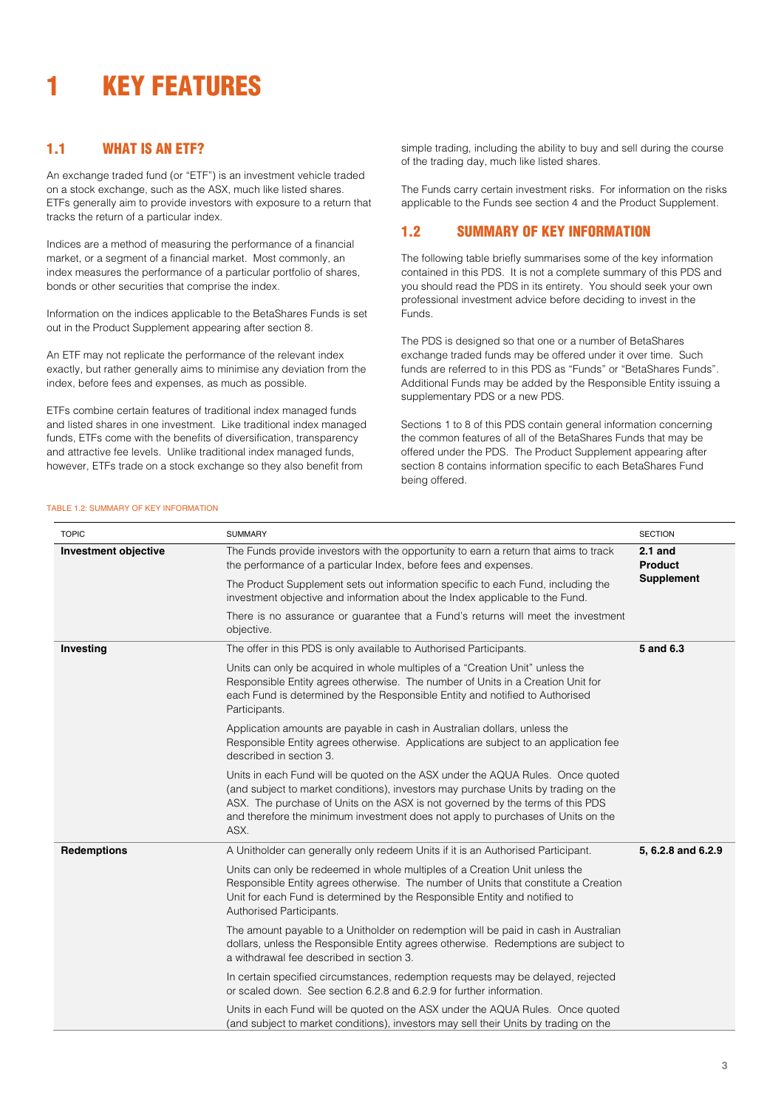# <span id="page-3-0"></span>1 KEY FEATURES

## 1.1 WHAT IS AN ETF?

An exchange traded fund (or "ETF") is an investment vehicle traded on a stock exchange, such as the ASX, much like listed shares. ETFs generally aim to provide investors with exposure to a return that tracks the return of a particular index.

Indices are a method of measuring the performance of a financial market, or a segment of a financial market. Most commonly, an index measures the performance of a particular portfolio of shares, bonds or other securities that comprise the index.

Information on the indices applicable to the BetaShares Funds is set out in the Product Supplement appearing after section 8.

An ETF may not replicate the performance of the relevant index exactly, but rather generally aims to minimise any deviation from the index, before fees and expenses, as much as possible.

ETFs combine certain features of traditional index managed funds and listed shares in one investment. Like traditional index managed funds, ETFs come with the benefits of diversification, transparency and attractive fee levels. Unlike traditional index managed funds, however, ETFs trade on a stock exchange so they also benefit from

simple trading, including the ability to buy and sell during the course of the trading day, much like listed shares.

The Funds carry certain investment risks. For information on the risks applicable to the Funds see sectio[n 4](#page-19-0) and the Product Supplement.

## 1.2 SUMMARY OF KEY INFORMATION

The following table briefly summarises some of the key information contained in this PDS. It is not a complete summary of this PDS and you should read the PDS in its entirety. You should seek your own professional investment advice before deciding to invest in the Funds.

The PDS is designed so that one or a number of BetaShares exchange traded funds may be offered under it over time. Such funds are referred to in this PDS as "Funds" or "BetaShares Funds". Additional Funds may be added by the Responsible Entity issuing a supplementary PDS or a new PDS.

Sections 1 to 8 of this PDS contain general information concerning the common features of all of the BetaShares Funds that may be offered under the PDS. The Product Supplement appearing after section 8 contains information specific to each BetaShares Fund being offered.

#### TABLE 1.2: SUMMARY OF KEY INFORMATION

| <b>TOPIC</b>                | <b>SUMMARY</b>                                                                                                                                                                                                                                                                                                                                     | <b>SECTION</b>              |
|-----------------------------|----------------------------------------------------------------------------------------------------------------------------------------------------------------------------------------------------------------------------------------------------------------------------------------------------------------------------------------------------|-----------------------------|
| <b>Investment objective</b> | The Funds provide investors with the opportunity to earn a return that aims to track<br>the performance of a particular Index, before fees and expenses.                                                                                                                                                                                           | $2.1$ and<br><b>Product</b> |
|                             | The Product Supplement sets out information specific to each Fund, including the<br>investment objective and information about the Index applicable to the Fund.                                                                                                                                                                                   | <b>Supplement</b>           |
|                             | There is no assurance or guarantee that a Fund's returns will meet the investment<br>objective.                                                                                                                                                                                                                                                    |                             |
| Investing                   | The offer in this PDS is only available to Authorised Participants.                                                                                                                                                                                                                                                                                | 5 and 6.3                   |
|                             | Units can only be acquired in whole multiples of a "Creation Unit" unless the<br>Responsible Entity agrees otherwise. The number of Units in a Creation Unit for<br>each Fund is determined by the Responsible Entity and notified to Authorised<br>Participants.                                                                                  |                             |
|                             | Application amounts are payable in cash in Australian dollars, unless the<br>Responsible Entity agrees otherwise. Applications are subject to an application fee<br>described in section 3.                                                                                                                                                        |                             |
|                             | Units in each Fund will be quoted on the ASX under the AQUA Rules. Once quoted<br>(and subject to market conditions), investors may purchase Units by trading on the<br>ASX. The purchase of Units on the ASX is not governed by the terms of this PDS<br>and therefore the minimum investment does not apply to purchases of Units on the<br>ASX. |                             |
| <b>Redemptions</b>          | A Unitholder can generally only redeem Units if it is an Authorised Participant.                                                                                                                                                                                                                                                                   | 5, 6.2.8 and 6.2.9          |
|                             | Units can only be redeemed in whole multiples of a Creation Unit unless the<br>Responsible Entity agrees otherwise. The number of Units that constitute a Creation<br>Unit for each Fund is determined by the Responsible Entity and notified to<br>Authorised Participants.                                                                       |                             |
|                             | The amount payable to a Unitholder on redemption will be paid in cash in Australian<br>dollars, unless the Responsible Entity agrees otherwise. Redemptions are subject to<br>a withdrawal fee described in section 3.                                                                                                                             |                             |
|                             | In certain specified circumstances, redemption requests may be delayed, rejected<br>or scaled down. See section 6.2.8 and 6.2.9 for further information.                                                                                                                                                                                           |                             |
|                             | Units in each Fund will be quoted on the ASX under the AQUA Rules. Once quoted<br>(and subject to market conditions), investors may sell their Units by trading on the                                                                                                                                                                             |                             |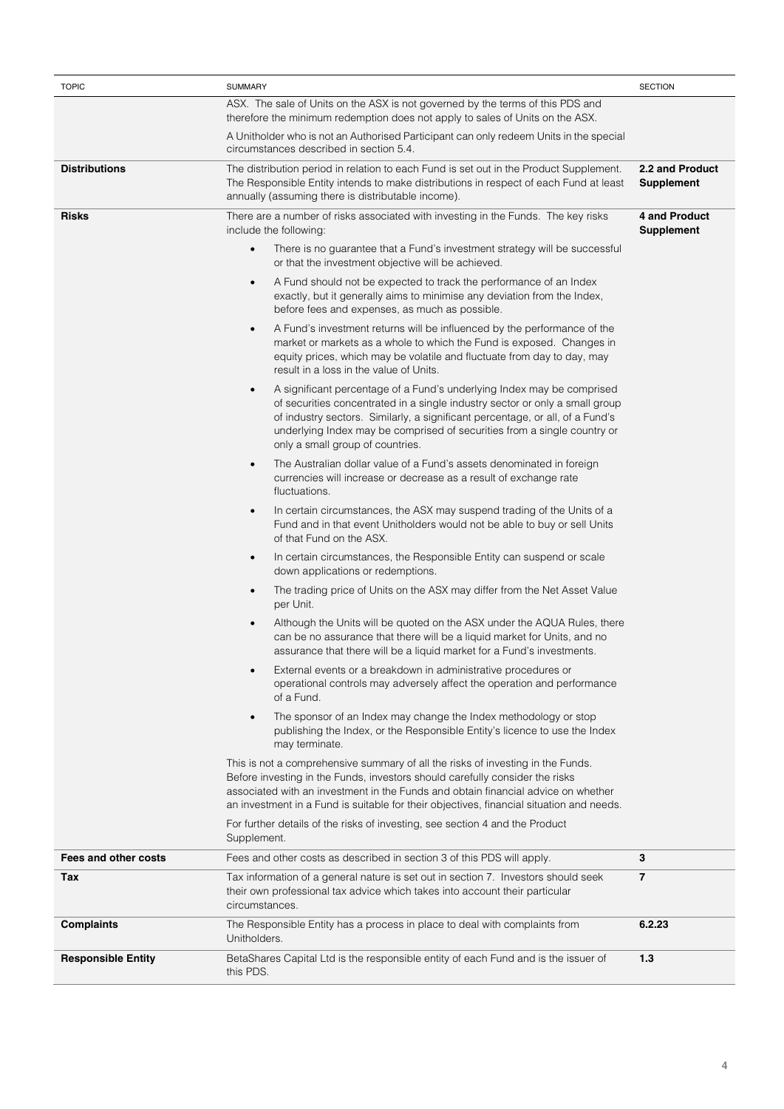| <b>TOPIC</b>              | SUMMARY                                                                                                                                                                                                                                                                                                                                                              | <b>SECTION</b>                       |
|---------------------------|----------------------------------------------------------------------------------------------------------------------------------------------------------------------------------------------------------------------------------------------------------------------------------------------------------------------------------------------------------------------|--------------------------------------|
|                           | ASX. The sale of Units on the ASX is not governed by the terms of this PDS and<br>therefore the minimum redemption does not apply to sales of Units on the ASX.                                                                                                                                                                                                      |                                      |
|                           | A Unitholder who is not an Authorised Participant can only redeem Units in the special                                                                                                                                                                                                                                                                               |                                      |
|                           | circumstances described in section 5.4.                                                                                                                                                                                                                                                                                                                              |                                      |
| <b>Distributions</b>      | The distribution period in relation to each Fund is set out in the Product Supplement.<br>The Responsible Entity intends to make distributions in respect of each Fund at least<br>annually (assuming there is distributable income).                                                                                                                                | 2.2 and Product<br><b>Supplement</b> |
| Risks                     | There are a number of risks associated with investing in the Funds. The key risks<br>include the following:                                                                                                                                                                                                                                                          | 4 and Product<br><b>Supplement</b>   |
|                           | There is no guarantee that a Fund's investment strategy will be successful<br>or that the investment objective will be achieved.                                                                                                                                                                                                                                     |                                      |
|                           | A Fund should not be expected to track the performance of an Index<br>$\bullet$<br>exactly, but it generally aims to minimise any deviation from the Index,<br>before fees and expenses, as much as possible.                                                                                                                                                        |                                      |
|                           | A Fund's investment returns will be influenced by the performance of the<br>$\bullet$<br>market or markets as a whole to which the Fund is exposed. Changes in<br>equity prices, which may be volatile and fluctuate from day to day, may<br>result in a loss in the value of Units.                                                                                 |                                      |
|                           | A significant percentage of a Fund's underlying Index may be comprised<br>$\bullet$<br>of securities concentrated in a single industry sector or only a small group<br>of industry sectors. Similarly, a significant percentage, or all, of a Fund's<br>underlying Index may be comprised of securities from a single country or<br>only a small group of countries. |                                      |
|                           | The Australian dollar value of a Fund's assets denominated in foreign<br>$\bullet$<br>currencies will increase or decrease as a result of exchange rate<br>fluctuations.                                                                                                                                                                                             |                                      |
|                           | In certain circumstances, the ASX may suspend trading of the Units of a<br>$\bullet$<br>Fund and in that event Unitholders would not be able to buy or sell Units<br>of that Fund on the ASX.                                                                                                                                                                        |                                      |
|                           | In certain circumstances, the Responsible Entity can suspend or scale<br>٠<br>down applications or redemptions.                                                                                                                                                                                                                                                      |                                      |
|                           | The trading price of Units on the ASX may differ from the Net Asset Value<br>per Unit.                                                                                                                                                                                                                                                                               |                                      |
|                           | Although the Units will be quoted on the ASX under the AQUA Rules, there<br>$\bullet$<br>can be no assurance that there will be a liquid market for Units, and no<br>assurance that there will be a liquid market for a Fund's investments.                                                                                                                          |                                      |
|                           | External events or a breakdown in administrative procedures or<br>operational controls may adversely affect the operation and performance<br>of a Fund.                                                                                                                                                                                                              |                                      |
|                           | The sponsor of an Index may change the Index methodology or stop<br>$\bullet$<br>publishing the Index, or the Responsible Entity's licence to use the Index<br>may terminate.                                                                                                                                                                                        |                                      |
|                           | This is not a comprehensive summary of all the risks of investing in the Funds.<br>Before investing in the Funds, investors should carefully consider the risks<br>associated with an investment in the Funds and obtain financial advice on whether<br>an investment in a Fund is suitable for their objectives, financial situation and needs.                     |                                      |
|                           | For further details of the risks of investing, see section 4 and the Product<br>Supplement.                                                                                                                                                                                                                                                                          |                                      |
| Fees and other costs      | Fees and other costs as described in section 3 of this PDS will apply.                                                                                                                                                                                                                                                                                               | 3                                    |
| Tax                       | Tax information of a general nature is set out in section 7. Investors should seek<br>their own professional tax advice which takes into account their particular<br>circumstances.                                                                                                                                                                                  | $\overline{7}$                       |
| <b>Complaints</b>         | The Responsible Entity has a process in place to deal with complaints from<br>Unitholders.                                                                                                                                                                                                                                                                           | 6.2.23                               |
| <b>Responsible Entity</b> | BetaShares Capital Ltd is the responsible entity of each Fund and is the issuer of<br>this PDS.                                                                                                                                                                                                                                                                      | 1.3                                  |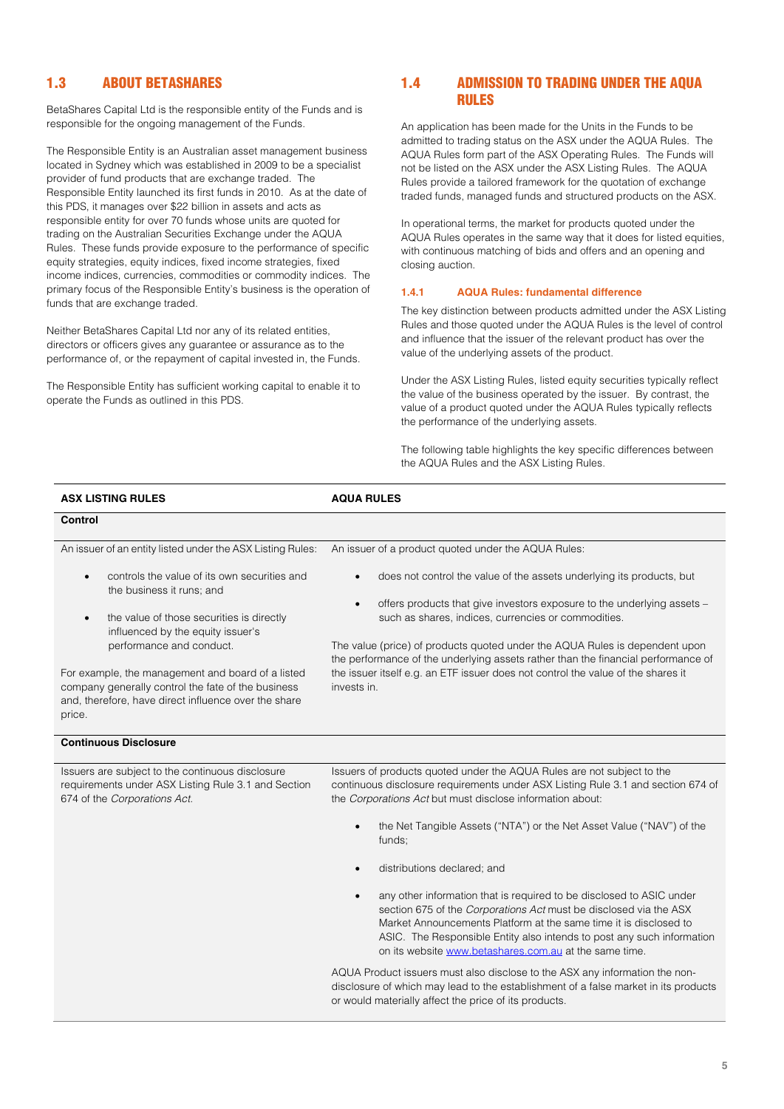## 1.3 ABOUT BETASHARES

BetaShares Capital Ltd is the responsible entity of the Funds and is responsible for the ongoing management of the Funds.

The Responsible Entity is an Australian asset management business located in Sydney which was established in 2009 to be a specialist provider of fund products that are exchange traded. The Responsible Entity launched its first funds in 2010. As at the date of this PDS, it manages over \$22 billion in assets and acts as responsible entity for over 70 funds whose units are quoted for trading on the Australian Securities Exchange under the AQUA Rules. These funds provide exposure to the performance of specific equity strategies, equity indices, fixed income strategies, fixed income indices, currencies, commodities or commodity indices. The primary focus of the Responsible Entity's business is the operation of funds that are exchange traded.

Neither BetaShares Capital Ltd nor any of its related entities, directors or officers gives any guarantee or assurance as to the performance of, or the repayment of capital invested in, the Funds.

The Responsible Entity has sufficient working capital to enable it to operate the Funds as outlined in this PDS.

## 1.4 ADMISSION TO TRADING UNDER THE AQUA RULES

An application has been made for the Units in the Funds to be admitted to trading status on the ASX under the AQUA Rules. The AQUA Rules form part of the ASX Operating Rules. The Funds will not be listed on the ASX under the ASX Listing Rules. The AQUA Rules provide a tailored framework for the quotation of exchange traded funds, managed funds and structured products on the ASX.

In operational terms, the market for products quoted under the AQUA Rules operates in the same way that it does for listed equities, with continuous matching of bids and offers and an opening and closing auction.

#### **1.4.1 AQUA Rules: fundamental difference**

The key distinction between products admitted under the ASX Listing Rules and those quoted under the AQUA Rules is the level of control and influence that the issuer of the relevant product has over the value of the underlying assets of the product.

Under the ASX Listing Rules, listed equity securities typically reflect the value of the business operated by the issuer. By contrast, the value of a product quoted under the AQUA Rules typically reflects the performance of the underlying assets.

The following table highlights the key specific differences between the AQUA Rules and the ASX Listing Rules.

| <b>ASX LISTING RULES</b>                                                                                                                                                                                                                                                                                                                                                                       | <b>AQUA RULES</b>                                                                                                                                                                                                                                                                                                                                                                                                                                                                                                                                                                                                                                                                                                                                                                                                                                                                                                                           |
|------------------------------------------------------------------------------------------------------------------------------------------------------------------------------------------------------------------------------------------------------------------------------------------------------------------------------------------------------------------------------------------------|---------------------------------------------------------------------------------------------------------------------------------------------------------------------------------------------------------------------------------------------------------------------------------------------------------------------------------------------------------------------------------------------------------------------------------------------------------------------------------------------------------------------------------------------------------------------------------------------------------------------------------------------------------------------------------------------------------------------------------------------------------------------------------------------------------------------------------------------------------------------------------------------------------------------------------------------|
| Control                                                                                                                                                                                                                                                                                                                                                                                        |                                                                                                                                                                                                                                                                                                                                                                                                                                                                                                                                                                                                                                                                                                                                                                                                                                                                                                                                             |
| An issuer of an entity listed under the ASX Listing Rules:                                                                                                                                                                                                                                                                                                                                     | An issuer of a product quoted under the AQUA Rules:                                                                                                                                                                                                                                                                                                                                                                                                                                                                                                                                                                                                                                                                                                                                                                                                                                                                                         |
| controls the value of its own securities and<br>$\bullet$<br>the business it runs; and<br>the value of those securities is directly<br>$\bullet$<br>influenced by the equity issuer's<br>performance and conduct.<br>For example, the management and board of a listed<br>company generally control the fate of the business<br>and, therefore, have direct influence over the share<br>price. | does not control the value of the assets underlying its products, but<br>offers products that give investors exposure to the underlying assets -<br>such as shares, indices, currencies or commodities.<br>The value (price) of products quoted under the AQUA Rules is dependent upon<br>the performance of the underlying assets rather than the financial performance of<br>the issuer itself e.g. an ETF issuer does not control the value of the shares it<br>invests in.                                                                                                                                                                                                                                                                                                                                                                                                                                                              |
| <b>Continuous Disclosure</b>                                                                                                                                                                                                                                                                                                                                                                   |                                                                                                                                                                                                                                                                                                                                                                                                                                                                                                                                                                                                                                                                                                                                                                                                                                                                                                                                             |
| Issuers are subject to the continuous disclosure<br>requirements under ASX Listing Rule 3.1 and Section<br>674 of the Corporations Act.                                                                                                                                                                                                                                                        | Issuers of products quoted under the AQUA Rules are not subject to the<br>continuous disclosure requirements under ASX Listing Rule 3.1 and section 674 of<br>the Corporations Act but must disclose information about:<br>the Net Tangible Assets ("NTA") or the Net Asset Value ("NAV") of the<br>funds:<br>distributions declared; and<br>any other information that is required to be disclosed to ASIC under<br>$\bullet$<br>section 675 of the Corporations Act must be disclosed via the ASX<br>Market Announcements Platform at the same time it is disclosed to<br>ASIC. The Responsible Entity also intends to post any such information<br>on its website www.betashares.com.au at the same time.<br>AQUA Product issuers must also disclose to the ASX any information the non-<br>disclosure of which may lead to the establishment of a false market in its products<br>or would materially affect the price of its products. |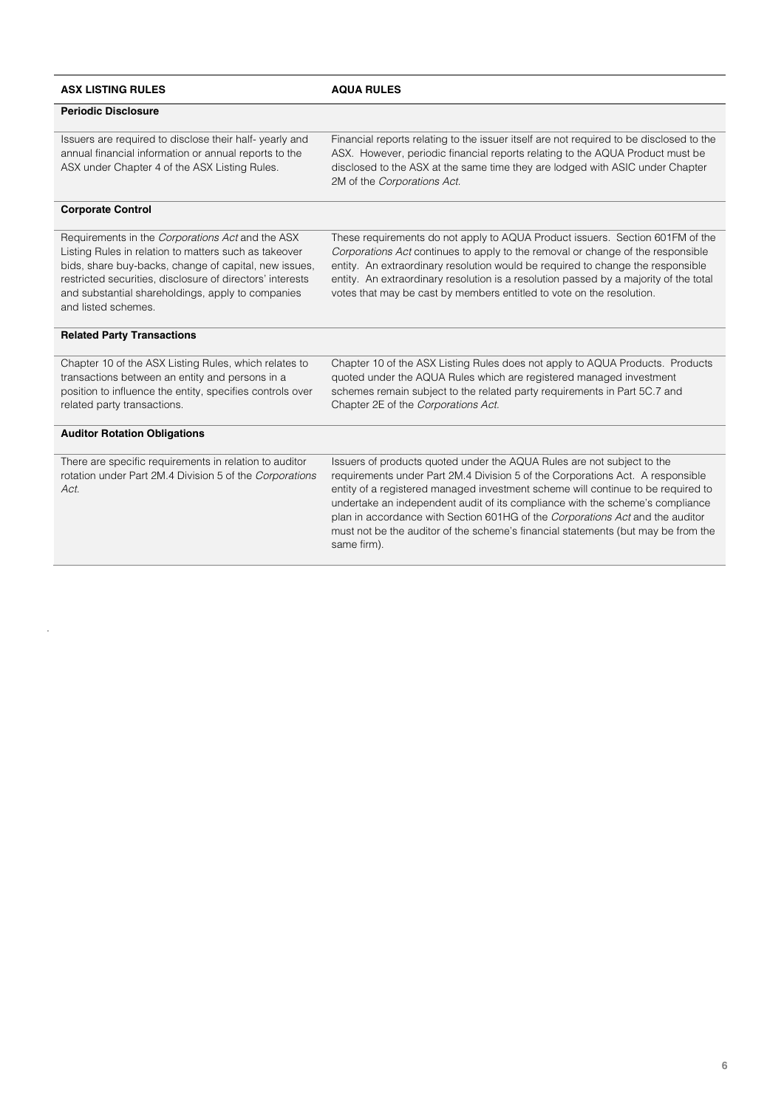| <b>ASX LISTING RULES</b>                                                                                                                                                                                                                                                                                    | <b>AQUA RULES</b>                                                                                                                                                                                                                                                                                                                                                                                                                                                                                                  |
|-------------------------------------------------------------------------------------------------------------------------------------------------------------------------------------------------------------------------------------------------------------------------------------------------------------|--------------------------------------------------------------------------------------------------------------------------------------------------------------------------------------------------------------------------------------------------------------------------------------------------------------------------------------------------------------------------------------------------------------------------------------------------------------------------------------------------------------------|
| <b>Periodic Disclosure</b>                                                                                                                                                                                                                                                                                  |                                                                                                                                                                                                                                                                                                                                                                                                                                                                                                                    |
| Issuers are required to disclose their half-yearly and<br>annual financial information or annual reports to the<br>ASX under Chapter 4 of the ASX Listing Rules.                                                                                                                                            | Financial reports relating to the issuer itself are not required to be disclosed to the<br>ASX. However, periodic financial reports relating to the AQUA Product must be<br>disclosed to the ASX at the same time they are lodged with ASIC under Chapter<br>2M of the Corporations Act.                                                                                                                                                                                                                           |
| <b>Corporate Control</b>                                                                                                                                                                                                                                                                                    |                                                                                                                                                                                                                                                                                                                                                                                                                                                                                                                    |
| Requirements in the Corporations Act and the ASX<br>Listing Rules in relation to matters such as takeover<br>bids, share buy-backs, change of capital, new issues,<br>restricted securities, disclosure of directors' interests<br>and substantial shareholdings, apply to companies<br>and listed schemes. | These requirements do not apply to AQUA Product issuers. Section 601FM of the<br>Corporations Act continues to apply to the removal or change of the responsible<br>entity. An extraordinary resolution would be required to change the responsible<br>entity. An extraordinary resolution is a resolution passed by a majority of the total<br>votes that may be cast by members entitled to vote on the resolution.                                                                                              |
| <b>Related Party Transactions</b>                                                                                                                                                                                                                                                                           |                                                                                                                                                                                                                                                                                                                                                                                                                                                                                                                    |
| Chapter 10 of the ASX Listing Rules, which relates to<br>transactions between an entity and persons in a<br>position to influence the entity, specifies controls over<br>related party transactions.                                                                                                        | Chapter 10 of the ASX Listing Rules does not apply to AQUA Products. Products<br>quoted under the AQUA Rules which are registered managed investment<br>schemes remain subject to the related party requirements in Part 5C.7 and<br>Chapter 2E of the Corporations Act.                                                                                                                                                                                                                                           |
| <b>Auditor Rotation Obligations</b>                                                                                                                                                                                                                                                                         |                                                                                                                                                                                                                                                                                                                                                                                                                                                                                                                    |
| There are specific requirements in relation to auditor<br>rotation under Part 2M.4 Division 5 of the Corporations<br>Act.                                                                                                                                                                                   | Issuers of products quoted under the AQUA Rules are not subject to the<br>requirements under Part 2M.4 Division 5 of the Corporations Act. A responsible<br>entity of a registered managed investment scheme will continue to be required to<br>undertake an independent audit of its compliance with the scheme's compliance<br>plan in accordance with Section 601HG of the Corporations Act and the auditor<br>must not be the auditor of the scheme's financial statements (but may be from the<br>same firm). |

.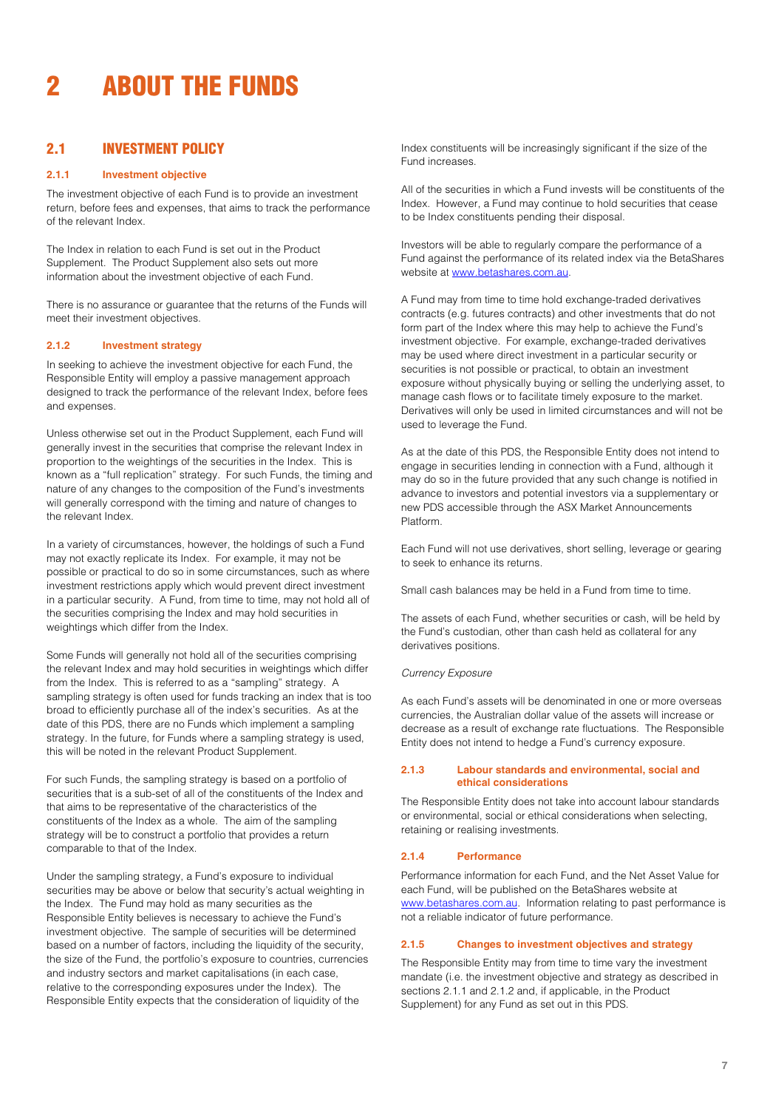## <span id="page-7-0"></span>2 ABOUT THE FUNDS

## 2.1 INVESTMENT POLICY

#### <span id="page-7-1"></span>**2.1.1 Investment objective**

The investment objective of each Fund is to provide an investment return, before fees and expenses, that aims to track the performance of the relevant Index.

The Index in relation to each Fund is set out in the Product Supplement. The Product Supplement also sets out more information about the investment objective of each Fund.

There is no assurance or guarantee that the returns of the Funds will meet their investment objectives.

#### <span id="page-7-2"></span>**2.1.2 Investment strategy**

In seeking to achieve the investment objective for each Fund, the Responsible Entity will employ a passive management approach designed to track the performance of the relevant Index, before fees and expenses.

Unless otherwise set out in the Product Supplement, each Fund will generally invest in the securities that comprise the relevant Index in proportion to the weightings of the securities in the Index. This is known as a "full replication" strategy. For such Funds, the timing and nature of any changes to the composition of the Fund's investments will generally correspond with the timing and nature of changes to the relevant Index.

In a variety of circumstances, however, the holdings of such a Fund may not exactly replicate its Index. For example, it may not be possible or practical to do so in some circumstances, such as where investment restrictions apply which would prevent direct investment in a particular security. A Fund, from time to time, may not hold all of the securities comprising the Index and may hold securities in weightings which differ from the Index.

Some Funds will generally not hold all of the securities comprising the relevant Index and may hold securities in weightings which differ from the Index. This is referred to as a "sampling" strategy. A sampling strategy is often used for funds tracking an index that is too broad to efficiently purchase all of the index's securities. As at the date of this PDS, there are no Funds which implement a sampling strategy. In the future, for Funds where a sampling strategy is used, this will be noted in the relevant Product Supplement.

For such Funds, the sampling strategy is based on a portfolio of securities that is a sub-set of all of the constituents of the Index and that aims to be representative of the characteristics of the constituents of the Index as a whole. The aim of the sampling strategy will be to construct a portfolio that provides a return comparable to that of the Index.

Under the sampling strategy, a Fund's exposure to individual securities may be above or below that security's actual weighting in the Index. The Fund may hold as many securities as the Responsible Entity believes is necessary to achieve the Fund's investment objective. The sample of securities will be determined based on a number of factors, including the liquidity of the security, the size of the Fund, the portfolio's exposure to countries, currencies and industry sectors and market capitalisations (in each case, relative to the corresponding exposures under the Index). The Responsible Entity expects that the consideration of liquidity of the

Index constituents will be increasingly significant if the size of the Fund increases.

All of the securities in which a Fund invests will be constituents of the Index. However, a Fund may continue to hold securities that cease to be Index constituents pending their disposal.

Investors will be able to regularly compare the performance of a Fund against the performance of its related index via the BetaShares website a[t www.betashares.com.au.](http://www.betashares.com.au/)

A Fund may from time to time hold exchange-traded derivatives contracts (e.g. futures contracts) and other investments that do not form part of the Index where this may help to achieve the Fund's investment objective. For example, exchange-traded derivatives may be used where direct investment in a particular security or securities is not possible or practical, to obtain an investment exposure without physically buying or selling the underlying asset, to manage cash flows or to facilitate timely exposure to the market. Derivatives will only be used in limited circumstances and will not be used to leverage the Fund.

As at the date of this PDS, the Responsible Entity does not intend to engage in securities lending in connection with a Fund, although it may do so in the future provided that any such change is notified in advance to investors and potential investors via a supplementary or new PDS accessible through the ASX Market Announcements Platform.

Each Fund will not use derivatives, short selling, leverage or gearing to seek to enhance its returns.

Small cash balances may be held in a Fund from time to time.

The assets of each Fund, whether securities or cash, will be held by the Fund's custodian, other than cash held as collateral for any derivatives positions.

#### *Currency Exposure*

As each Fund's assets will be denominated in one or more overseas currencies, the Australian dollar value of the assets will increase or decrease as a result of exchange rate fluctuations. The Responsible Entity does not intend to hedge a Fund's currency exposure.

#### **2.1.3 Labour standards and environmental, social and ethical considerations**

The Responsible Entity does not take into account labour standards or environmental, social or ethical considerations when selecting, retaining or realising investments.

#### **2.1.4 Performance**

Performance information for each Fund, and the Net Asset Value for each Fund, will be published on the BetaShares website at [www.betashares.com.au.](http://www.betashares.com.au/) Information relating to past performance is not a reliable indicator of future performance.

#### **2.1.5 Changes to investment objectives and strategy**

The Responsible Entity may from time to time vary the investment mandate (i.e. the investment objective and strategy as described in sections [2.1.1](#page-7-1) and [2.1.2](#page-7-2) and, if applicable, in the Product Supplement) for any Fund as set out in this PDS.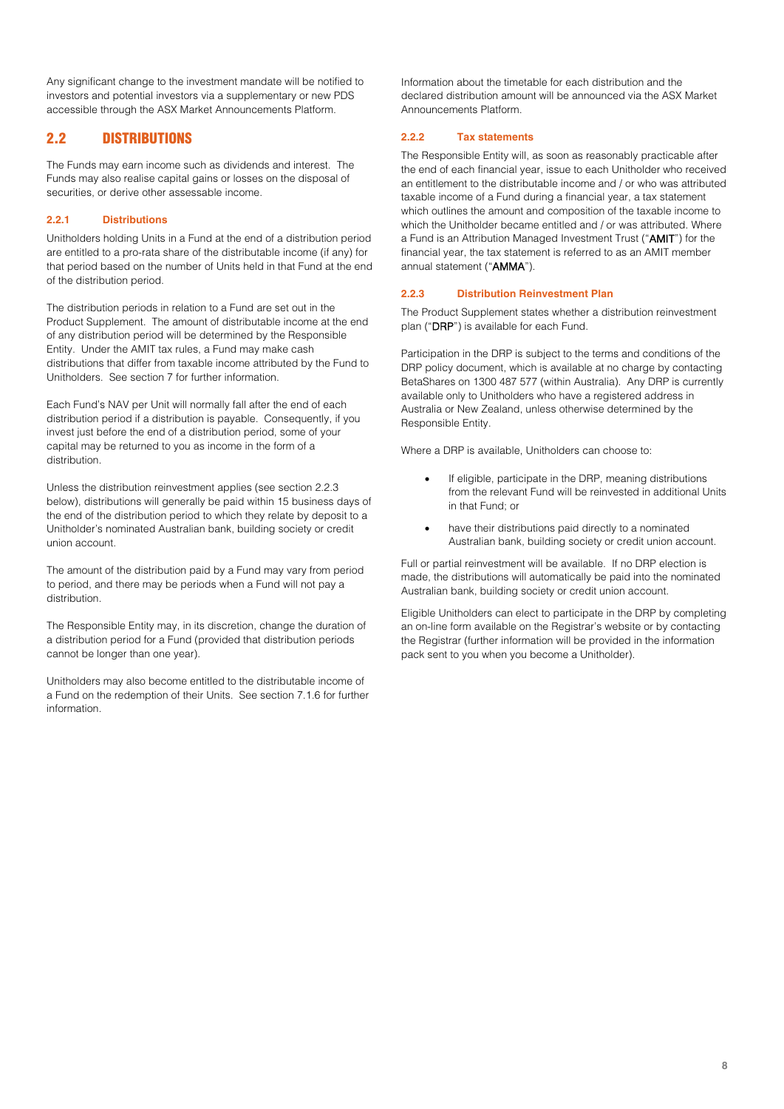Any significant change to the investment mandate will be notified to investors and potential investors via a supplementary or new PDS accessible through the ASX Market Announcements Platform.

## 2.2 DISTRIBUTIONS

The Funds may earn income such as dividends and interest. The Funds may also realise capital gains or losses on the disposal of securities, or derive other assessable income.

#### <span id="page-8-0"></span>**2.2.1 Distributions**

Unitholders holding Units in a Fund at the end of a distribution period are entitled to a pro-rata share of the distributable income (if any) for that period based on the number of Units held in that Fund at the end of the distribution period.

The distribution periods in relation to a Fund are set out in the Product Supplement. The amount of distributable income at the end of any distribution period will be determined by the Responsible Entity. Under the AMIT tax rules, a Fund may make cash distributions that differ from taxable income attributed by the Fund to Unitholders. See section 7 for further information.

Each Fund's NAV per Unit will normally fall after the end of each distribution period if a distribution is payable. Consequently, if you invest just before the end of a distribution period, some of your capital may be returned to you as income in the form of a distribution.

Unless the distribution reinvestment applies (see section 2.2.3 below), distributions will generally be paid within 15 business days of the end of the distribution period to which they relate by deposit to a Unitholder's nominated Australian bank, building society or credit union account.

The amount of the distribution paid by a Fund may vary from period to period, and there may be periods when a Fund will not pay a distribution.

The Responsible Entity may, in its discretion, change the duration of a distribution period for a Fund (provided that distribution periods cannot be longer than one year).

Unitholders may also become entitled to the distributable income of a Fund on the redemption of their Units. See section 7.1.6 for further information.

Information about the timetable for each distribution and the declared distribution amount will be announced via the ASX Market Announcements Platform.

#### **2.2.2 Tax statements**

The Responsible Entity will, as soon as reasonably practicable after the end of each financial year, issue to each Unitholder who received an entitlement to the distributable income and / or who was attributed taxable income of a Fund during a financial year, a tax statement which outlines the amount and composition of the taxable income to which the Unitholder became entitled and / or was attributed. Where a Fund is an Attribution Managed Investment Trust ("AMIT") for the financial year, the tax statement is referred to as an AMIT member annual statement ("AMMA").

#### **2.2.3 Distribution Reinvestment Plan**

The Product Supplement states whether a distribution reinvestment plan ("DRP") is available for each Fund.

Participation in the DRP is subject to the terms and conditions of the DRP policy document, which is available at no charge by contacting BetaShares on 1300 487 577 (within Australia). Any DRP is currently available only to Unitholders who have a registered address in Australia or New Zealand, unless otherwise determined by the Responsible Entity.

Where a DRP is available, Unitholders can choose to:

- If eligible, participate in the DRP, meaning distributions from the relevant Fund will be reinvested in additional Units in that Fund; or
- have their distributions paid directly to a nominated Australian bank, building society or credit union account.

Full or partial reinvestment will be available. If no DRP election is made, the distributions will automatically be paid into the nominated Australian bank, building society or credit union account.

Eligible Unitholders can elect to participate in the DRP by completing an on-line form available on the Registrar's website or by contacting the Registrar (further information will be provided in the information pack sent to you when you become a Unitholder).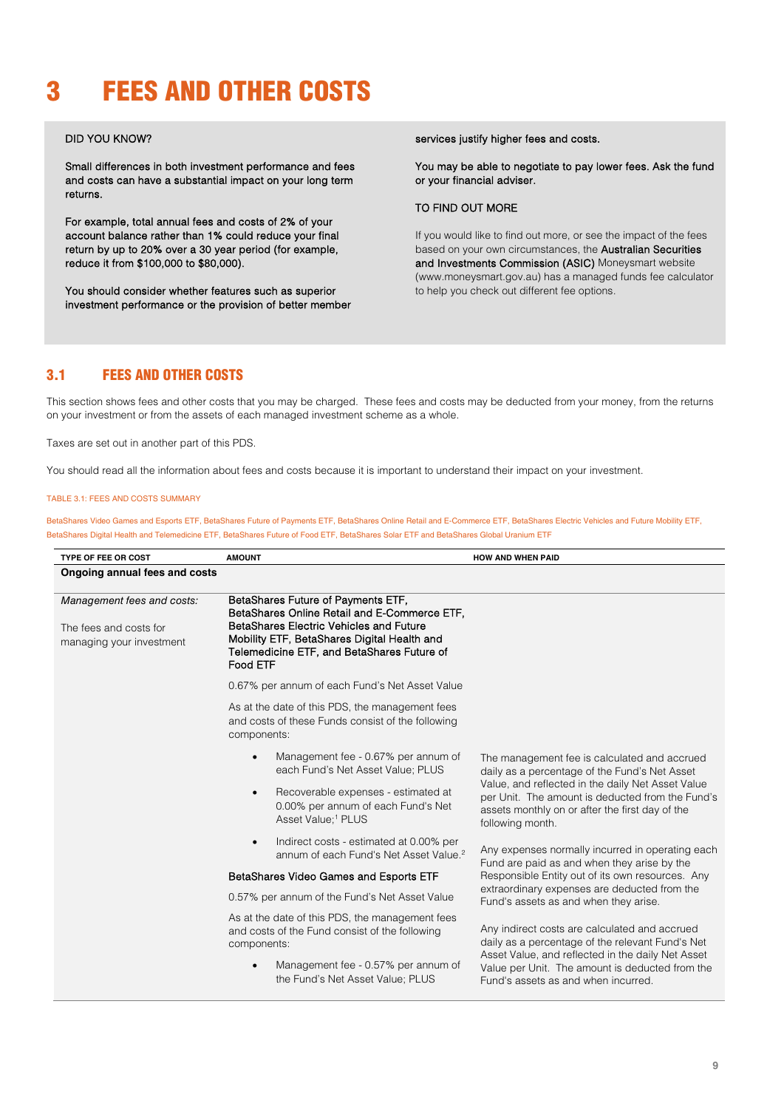# <span id="page-9-0"></span>3 FEES AND OTHER COSTS

### DID YOU KNOW?

Small differences in both investment performance and fees and costs can have a substantial impact on your long term returns.

For example, total annual fees and costs of 2% of your account balance rather than 1% could reduce your final return by up to 20% over a 30 year period (for example, reduce it from \$100,000 to \$80,000).

You should consider whether features such as superior investment performance or the provision of better member services justify higher fees and costs.

You may be able to negotiate to pay lower fees. Ask the fund or your financial adviser.

#### TO FIND OUT MORE

If you would like to find out more, or see the impact of the fees based on your own circumstances, the Australian Securities and Investments Commission (ASIC) Moneysmart website (www.moneysmart.gov.au) has a managed funds fee calculator to help you check out different fee options.

## 3.1 FEES AND OTHER COSTS

This section shows fees and other costs that you may be charged. These fees and costs may be deducted from your money, from the returns on your investment or from the assets of each managed investment scheme as a whole.

Taxes are set out in another part of this PDS.

You should read all the information about fees and costs because it is important to understand their impact on your investment.

#### TABLE 3.1: FEES AND COSTS SUMMARY

BetaShares Video Games and Esports ETF, BetaShares Future of Payments ETF, BetaShares Online Retail and E-Commerce ETF, BetaShares Electric Vehicles and Future Mobility ETF, BetaShares Digital Health and Telemedicine ETF, BetaShares Future of Food ETF, BetaShares Solar ETF and BetaShares Global Uranium ETF

| <b>TYPE OF FEE OR COST</b>                                                       | <b>AMOUNT</b>                                                                                                                                                                                                                          | <b>HOW AND WHEN PAID</b>                                                                                                                                                     |
|----------------------------------------------------------------------------------|----------------------------------------------------------------------------------------------------------------------------------------------------------------------------------------------------------------------------------------|------------------------------------------------------------------------------------------------------------------------------------------------------------------------------|
| Ongoing annual fees and costs                                                    |                                                                                                                                                                                                                                        |                                                                                                                                                                              |
| Management fees and costs:<br>The fees and costs for<br>managing your investment | BetaShares Future of Payments ETF,<br>BetaShares Online Retail and E-Commerce ETF,<br>BetaShares Electric Vehicles and Future<br>Mobility ETF, BetaShares Digital Health and<br>Telemedicine ETF, and BetaShares Future of<br>Food ETF |                                                                                                                                                                              |
|                                                                                  | 0.67% per annum of each Fund's Net Asset Value                                                                                                                                                                                         |                                                                                                                                                                              |
|                                                                                  | As at the date of this PDS, the management fees<br>and costs of these Funds consist of the following<br>components:                                                                                                                    |                                                                                                                                                                              |
|                                                                                  | Management fee - 0.67% per annum of<br>$\bullet$<br>each Fund's Net Asset Value: PLUS                                                                                                                                                  | The management fee is calculated and accrued<br>daily as a percentage of the Fund's Net Asset                                                                                |
|                                                                                  | Recoverable expenses - estimated at<br>$\bullet$<br>0.00% per annum of each Fund's Net<br>Asset Value; <sup>1</sup> PLUS                                                                                                               | Value, and reflected in the daily Net Asset Value<br>per Unit. The amount is deducted from the Fund's<br>assets monthly on or after the first day of the<br>following month. |
|                                                                                  | Indirect costs - estimated at 0.00% per<br>$\bullet$<br>annum of each Fund's Net Asset Value. <sup>2</sup>                                                                                                                             | Any expenses normally incurred in operating each<br>Fund are paid as and when they arise by the                                                                              |
|                                                                                  | BetaShares Video Games and Esports ETF                                                                                                                                                                                                 | Responsible Entity out of its own resources. Any                                                                                                                             |
|                                                                                  | 0.57% per annum of the Fund's Net Asset Value                                                                                                                                                                                          | extraordinary expenses are deducted from the<br>Fund's assets as and when they arise.                                                                                        |
|                                                                                  | As at the date of this PDS, the management fees<br>and costs of the Fund consist of the following<br>components:                                                                                                                       | Any indirect costs are calculated and accrued<br>daily as a percentage of the relevant Fund's Net                                                                            |
|                                                                                  | Management fee - 0.57% per annum of<br>$\bullet$<br>the Fund's Net Asset Value: PLUS                                                                                                                                                   | Asset Value, and reflected in the daily Net Asset<br>Value per Unit. The amount is deducted from the<br>Fund's assets as and when incurred.                                  |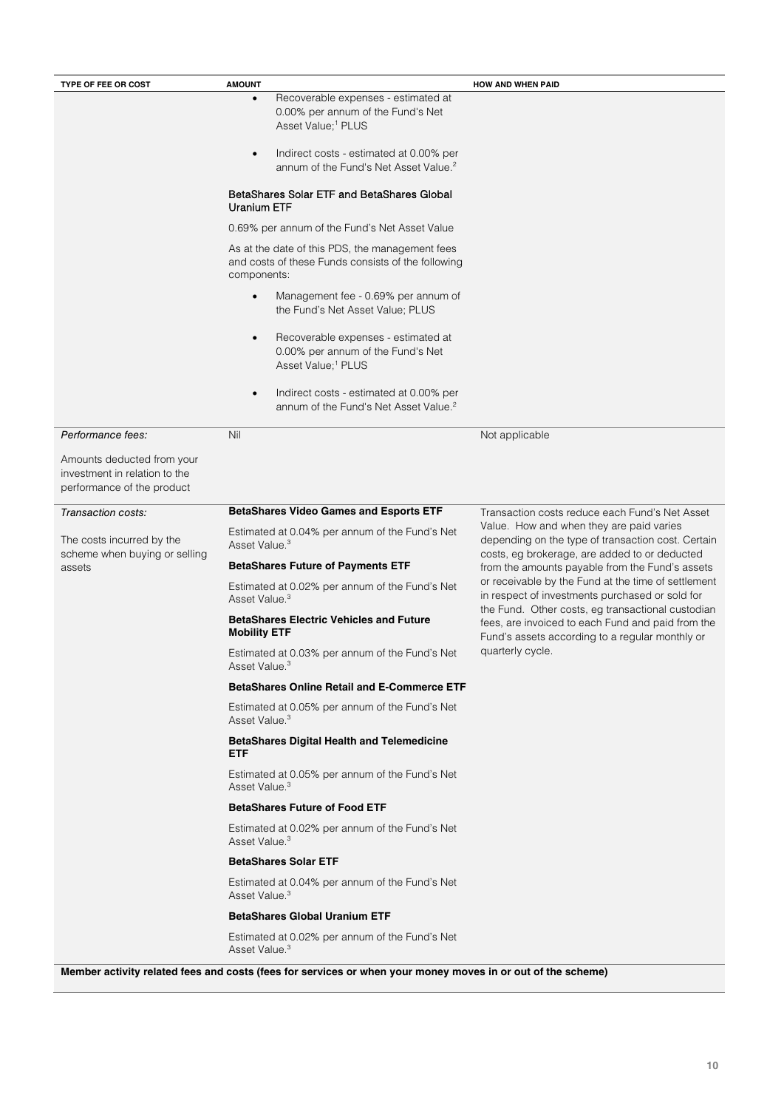| <b>TYPE OF FEE OR COST</b>                                                                | <b>AMOUNT</b>                                                                                                           | <b>HOW AND WHEN PAID</b>                                                                                                                                    |
|-------------------------------------------------------------------------------------------|-------------------------------------------------------------------------------------------------------------------------|-------------------------------------------------------------------------------------------------------------------------------------------------------------|
|                                                                                           | Recoverable expenses - estimated at<br>$\bullet$<br>0.00% per annum of the Fund's Net<br>Asset Value; <sup>1</sup> PLUS |                                                                                                                                                             |
|                                                                                           | Indirect costs - estimated at 0.00% per<br>$\bullet$<br>annum of the Fund's Net Asset Value. <sup>2</sup>               |                                                                                                                                                             |
|                                                                                           | BetaShares Solar ETF and BetaShares Global<br>Uranium ETF                                                               |                                                                                                                                                             |
|                                                                                           | 0.69% per annum of the Fund's Net Asset Value                                                                           |                                                                                                                                                             |
|                                                                                           | As at the date of this PDS, the management fees<br>and costs of these Funds consists of the following<br>components:    |                                                                                                                                                             |
|                                                                                           | Management fee - 0.69% per annum of<br>$\bullet$<br>the Fund's Net Asset Value; PLUS                                    |                                                                                                                                                             |
|                                                                                           | Recoverable expenses - estimated at<br>$\bullet$<br>0.00% per annum of the Fund's Net<br>Asset Value; <sup>1</sup> PLUS |                                                                                                                                                             |
|                                                                                           | Indirect costs - estimated at 0.00% per<br>$\bullet$<br>annum of the Fund's Net Asset Value. <sup>2</sup>               |                                                                                                                                                             |
| Performance fees:                                                                         | Nil                                                                                                                     | Not applicable                                                                                                                                              |
| Amounts deducted from your<br>investment in relation to the<br>performance of the product |                                                                                                                         |                                                                                                                                                             |
| Transaction costs:                                                                        | <b>BetaShares Video Games and Esports ETF</b>                                                                           | Transaction costs reduce each Fund's Net Asset                                                                                                              |
| The costs incurred by the<br>scheme when buying or selling                                | Estimated at 0.04% per annum of the Fund's Net<br>Asset Value. <sup>3</sup>                                             | Value. How and when they are paid varies<br>depending on the type of transaction cost. Certain<br>costs, eg brokerage, are added to or deducted             |
| assets                                                                                    | <b>BetaShares Future of Payments ETF</b>                                                                                | from the amounts payable from the Fund's assets                                                                                                             |
|                                                                                           | Estimated at 0.02% per annum of the Fund's Net<br>Asset Value. <sup>3</sup>                                             | or receivable by the Fund at the time of settlement<br>in respect of investments purchased or sold for<br>the Fund. Other costs, eg transactional custodian |
|                                                                                           | <b>BetaShares Electric Vehicles and Future</b><br><b>Mobility ETF</b>                                                   | fees, are invoiced to each Fund and paid from the<br>Fund's assets according to a regular monthly or                                                        |
|                                                                                           | Estimated at 0.03% per annum of the Fund's Net<br>Asset Value. <sup>3</sup>                                             | quarterly cycle.                                                                                                                                            |
|                                                                                           | <b>BetaShares Online Retail and E-Commerce ETF</b>                                                                      |                                                                                                                                                             |
|                                                                                           | Estimated at 0.05% per annum of the Fund's Net<br>Asset Value. <sup>3</sup>                                             |                                                                                                                                                             |
|                                                                                           | <b>BetaShares Digital Health and Telemedicine</b><br><b>ETF</b>                                                         |                                                                                                                                                             |
|                                                                                           | Estimated at 0.05% per annum of the Fund's Net<br>Asset Value. <sup>3</sup>                                             |                                                                                                                                                             |
|                                                                                           | <b>BetaShares Future of Food ETF</b>                                                                                    |                                                                                                                                                             |
|                                                                                           | Estimated at 0.02% per annum of the Fund's Net<br>Asset Value. <sup>3</sup>                                             |                                                                                                                                                             |
|                                                                                           | <b>BetaShares Solar ETF</b>                                                                                             |                                                                                                                                                             |
|                                                                                           | Estimated at 0.04% per annum of the Fund's Net<br>Asset Value. <sup>3</sup>                                             |                                                                                                                                                             |
|                                                                                           | <b>BetaShares Global Uranium ETF</b>                                                                                    |                                                                                                                                                             |
|                                                                                           | Estimated at 0.02% per annum of the Fund's Net<br>Asset Value. <sup>3</sup>                                             |                                                                                                                                                             |
|                                                                                           | Member activity related fees and costs (fees for services or when your money moves in or out of the scheme)             |                                                                                                                                                             |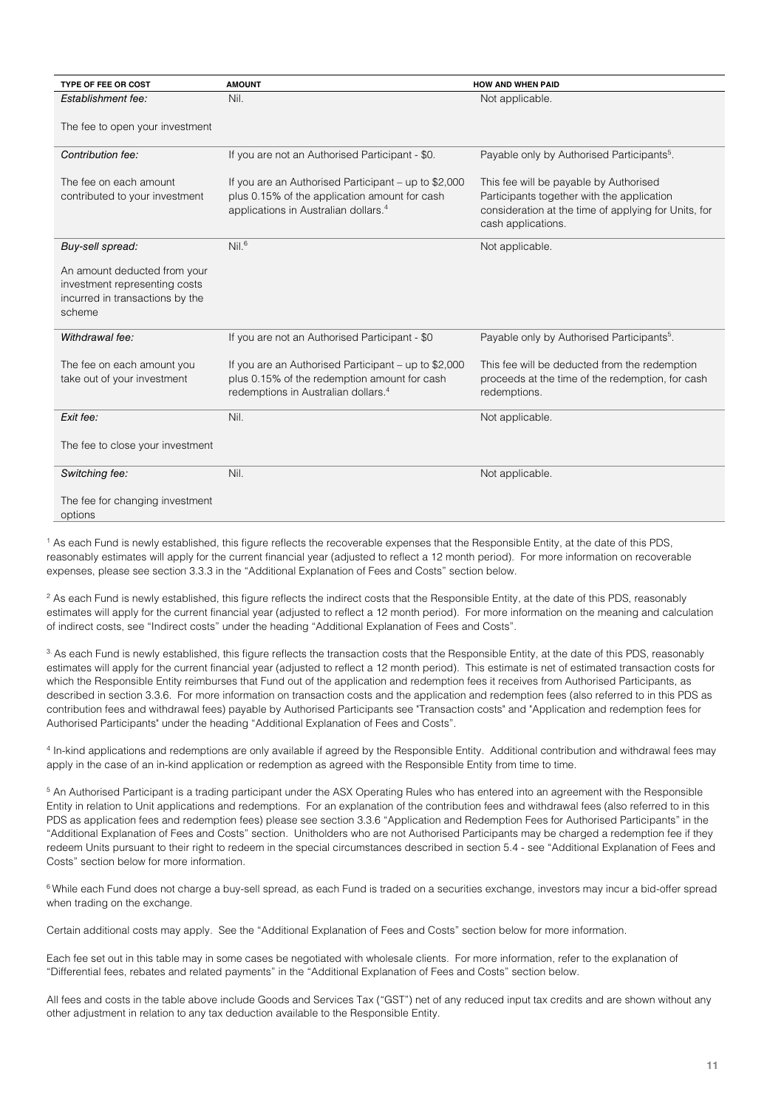| <b>TYPE OF FEE OR COST</b>                                                                                 | <b>AMOUNT</b>                                                                                                                                             | <b>HOW AND WHEN PAID</b>                                                                                                                                           |
|------------------------------------------------------------------------------------------------------------|-----------------------------------------------------------------------------------------------------------------------------------------------------------|--------------------------------------------------------------------------------------------------------------------------------------------------------------------|
| Establishment fee:                                                                                         | Nil.                                                                                                                                                      | Not applicable.                                                                                                                                                    |
| The fee to open your investment                                                                            |                                                                                                                                                           |                                                                                                                                                                    |
| Contribution fee:                                                                                          | If you are not an Authorised Participant - \$0.                                                                                                           | Payable only by Authorised Participants <sup>5</sup> .                                                                                                             |
| The fee on each amount<br>contributed to your investment                                                   | If you are an Authorised Participant - up to \$2,000<br>plus 0.15% of the application amount for cash<br>applications in Australian dollars. <sup>4</sup> | This fee will be payable by Authorised<br>Participants together with the application<br>consideration at the time of applying for Units, for<br>cash applications. |
| Buy-sell spread:                                                                                           | Nil. <sup>6</sup>                                                                                                                                         | Not applicable.                                                                                                                                                    |
| An amount deducted from your<br>investment representing costs<br>incurred in transactions by the<br>scheme |                                                                                                                                                           |                                                                                                                                                                    |
| Withdrawal fee:                                                                                            | If you are not an Authorised Participant - \$0                                                                                                            | Payable only by Authorised Participants <sup>5</sup> .                                                                                                             |
| The fee on each amount you<br>take out of your investment                                                  | If you are an Authorised Participant – up to \$2,000<br>plus 0.15% of the redemption amount for cash<br>redemptions in Australian dollars. <sup>4</sup>   | This fee will be deducted from the redemption<br>proceeds at the time of the redemption, for cash<br>redemptions.                                                  |
| Exit fee:                                                                                                  | Nil.                                                                                                                                                      | Not applicable.                                                                                                                                                    |
| The fee to close your investment                                                                           |                                                                                                                                                           |                                                                                                                                                                    |
| Switching fee:                                                                                             | Nil.                                                                                                                                                      | Not applicable.                                                                                                                                                    |
| The fee for changing investment<br>options                                                                 |                                                                                                                                                           |                                                                                                                                                                    |

<sup>1</sup> As each Fund is newly established, this figure reflects the recoverable expenses that the Responsible Entity, at the date of this PDS, reasonably estimates will apply for the current financial year (adjusted to reflect a 12 month period). For more information on recoverable expenses, please see section 3.3.3 in the "Additional Explanation of Fees and Costs" section below.

<sup>2</sup> As each Fund is newly established, this figure reflects the indirect costs that the Responsible Entity, at the date of this PDS, reasonably estimates will apply for the current financial year (adjusted to reflect a 12 month period). For more information on the meaning and calculation of indirect costs, see "Indirect costs" under the heading "Additional Explanation of Fees and Costs".

<sup>3</sup>. As each Fund is newly established, this figure reflects the transaction costs that the Responsible Entity, at the date of this PDS, reasonably estimates will apply for the current financial year (adjusted to reflect a 12 month period). This estimate is net of estimated transaction costs for which the Responsible Entity reimburses that Fund out of the application and redemption fees it receives from Authorised Participants, as described in section 3.3.6. For more information on transaction costs and the application and redemption fees (also referred to in this PDS as contribution fees and withdrawal fees) payable by Authorised Participants see "Transaction costs" and "Application and redemption fees for Authorised Participants" under the heading "Additional Explanation of Fees and Costs".

<sup>4</sup> In-kind applications and redemptions are only available if agreed by the Responsible Entity. Additional contribution and withdrawal fees may apply in the case of an in-kind application or redemption as agreed with the Responsible Entity from time to time.

<sup>5</sup> An Authorised Participant is a trading participant under the ASX Operating Rules who has entered into an agreement with the Responsible Entity in relation to Unit applications and redemptions. For an explanation of the contribution fees and withdrawal fees (also referred to in this PDS as application fees and redemption fees) please see section 3.3.6 "Application and Redemption Fees for Authorised Participants" in the "Additional Explanation of Fees and Costs" section. Unitholders who are not Authorised Participants may be charged a redemption fee if they redeem Units pursuant to their right to redeem in the special circumstances described in section 5.4 - see "Additional Explanation of Fees and Costs" section below for more information.

<sup>6</sup> While each Fund does not charge a buy-sell spread, as each Fund is traded on a securities exchange, investors may incur a bid-offer spread when trading on the exchange.

Certain additional costs may apply. See the "Additional Explanation of Fees and Costs" section below for more information.

Each fee set out in this table may in some cases be negotiated with wholesale clients. For more information, refer to the explanation of "Differential fees, rebates and related payments" in the "Additional Explanation of Fees and Costs" section below.

All fees and costs in the table above include Goods and Services Tax ("GST") net of any reduced input tax credits and are shown without any other adjustment in relation to any tax deduction available to the Responsible Entity.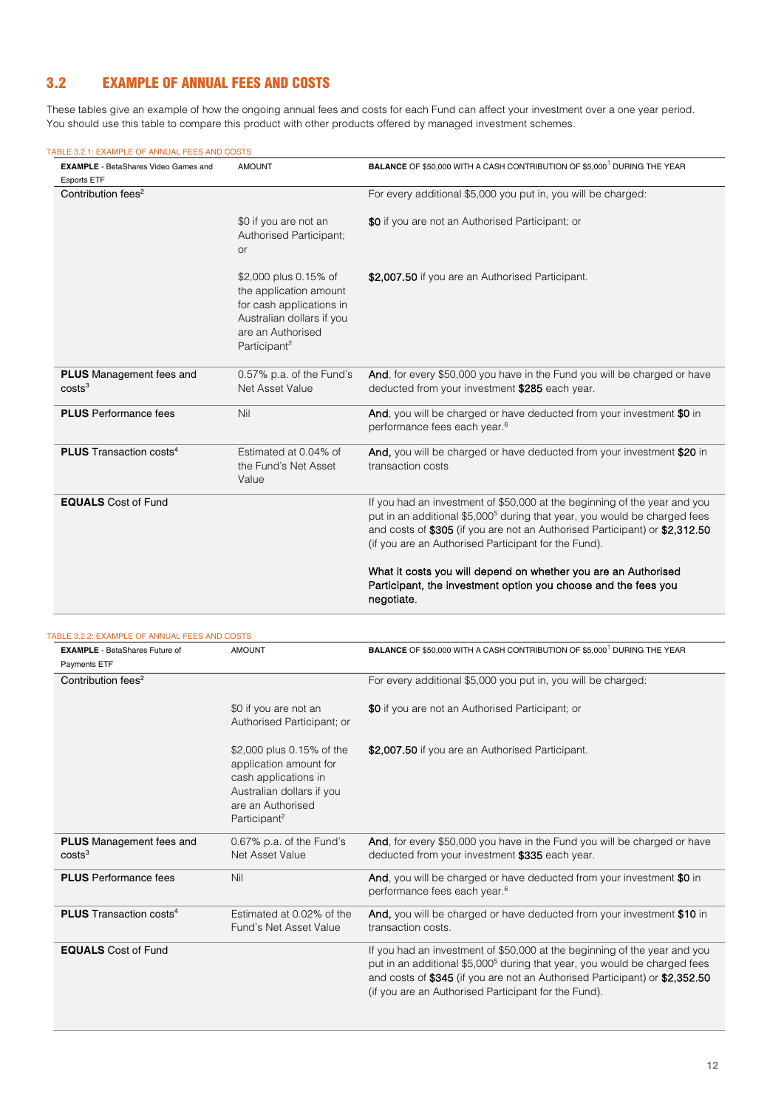## 3.2 EXAMPLE OF ANNUAL FEES AND COSTS

These tables give an example of how the ongoing annual fees and costs for each Fund can affect your investment over a one year period. You should use this table to compare this product with other products offered by managed investment schemes.

#### TABLE 3.2.1: EXAMPLE OF ANNUAL FEES AND COSTS

| <b>EXAMPLE</b> - BetaShares Video Games and           | <b>AMOUNT</b>                                                                                                                                             | <b>BALANCE OF \$50,000 WITH A CASH CONTRIBUTION OF \$5,000<sup>1</sup> DURING THE YEAR</b>                                                                                                                                                                                                                |
|-------------------------------------------------------|-----------------------------------------------------------------------------------------------------------------------------------------------------------|-----------------------------------------------------------------------------------------------------------------------------------------------------------------------------------------------------------------------------------------------------------------------------------------------------------|
| <b>Esports ETF</b>                                    |                                                                                                                                                           |                                                                                                                                                                                                                                                                                                           |
| Contribution fees <sup>2</sup>                        |                                                                                                                                                           | For every additional \$5,000 you put in, you will be charged:                                                                                                                                                                                                                                             |
|                                                       | \$0 if you are not an<br>Authorised Participant;<br><b>or</b>                                                                                             | \$0 if you are not an Authorised Participant; or                                                                                                                                                                                                                                                          |
|                                                       | \$2,000 plus 0.15% of<br>the application amount<br>for cash applications in<br>Australian dollars if you<br>are an Authorised<br>Participant <sup>2</sup> | \$2,007.50 if you are an Authorised Participant.                                                                                                                                                                                                                                                          |
| <b>PLUS</b> Management fees and<br>costs <sup>3</sup> | 0.57% p.a. of the Fund's<br>Net Asset Value                                                                                                               | And, for every \$50,000 you have in the Fund you will be charged or have<br>deducted from your investment \$285 each year.                                                                                                                                                                                |
| <b>PLUS</b> Performance fees                          | Nil                                                                                                                                                       | And, you will be charged or have deducted from your investment \$0 in<br>performance fees each year. <sup>6</sup>                                                                                                                                                                                         |
| <b>PLUS</b> Transaction costs <sup>4</sup>            | Estimated at 0.04% of<br>the Fund's Net Asset<br>Value                                                                                                    | And, you will be charged or have deducted from your investment \$20 in<br>transaction costs                                                                                                                                                                                                               |
| <b>EQUALS</b> Cost of Fund                            |                                                                                                                                                           | If you had an investment of \$50,000 at the beginning of the year and you<br>put in an additional \$5,000 <sup>5</sup> during that year, you would be charged fees<br>and costs of \$305 (if you are not an Authorised Participant) or \$2,312.50<br>(if you are an Authorised Participant for the Fund). |
|                                                       |                                                                                                                                                           | What it costs you will depend on whether you are an Authorised<br>Participant, the investment option you choose and the fees you<br>negotiate.                                                                                                                                                            |

| <b>EXAMPLE</b> - BetaShares Future of                 | <b>AMOUNT</b>                                                                                                                                             | <b>BALANCE OF \$50,000 WITH A CASH CONTRIBUTION OF \$5,000<sup>1</sup> DURING THE YEAR</b>                                                                                                                                                                                                                |  |
|-------------------------------------------------------|-----------------------------------------------------------------------------------------------------------------------------------------------------------|-----------------------------------------------------------------------------------------------------------------------------------------------------------------------------------------------------------------------------------------------------------------------------------------------------------|--|
| Payments ETF                                          |                                                                                                                                                           |                                                                                                                                                                                                                                                                                                           |  |
| Contribution fees <sup>2</sup>                        |                                                                                                                                                           | For every additional \$5,000 you put in, you will be charged:                                                                                                                                                                                                                                             |  |
|                                                       | \$0 if you are not an<br>Authorised Participant; or                                                                                                       | \$0 if you are not an Authorised Participant; or                                                                                                                                                                                                                                                          |  |
|                                                       | \$2,000 plus 0.15% of the<br>application amount for<br>cash applications in<br>Australian dollars if you<br>are an Authorised<br>Participant <sup>2</sup> | \$2,007.50 if you are an Authorised Participant.                                                                                                                                                                                                                                                          |  |
| <b>PLUS</b> Management fees and<br>costs <sup>3</sup> | 0.67% p.a. of the Fund's<br>Net Asset Value                                                                                                               | And, for every \$50,000 you have in the Fund you will be charged or have<br>deducted from your investment \$335 each year.                                                                                                                                                                                |  |
| <b>PLUS</b> Performance fees                          | Nil                                                                                                                                                       | And, you will be charged or have deducted from your investment \$0 in<br>performance fees each year. <sup>6</sup>                                                                                                                                                                                         |  |
| <b>PLUS</b> Transaction costs <sup>4</sup>            | Estimated at 0.02% of the<br>Fund's Net Asset Value                                                                                                       | And, you will be charged or have deducted from your investment \$10 in<br>transaction costs.                                                                                                                                                                                                              |  |
| <b>EQUALS</b> Cost of Fund                            |                                                                                                                                                           | If you had an investment of \$50,000 at the beginning of the year and you<br>put in an additional \$5,000 <sup>5</sup> during that year, you would be charged fees<br>and costs of \$345 (if you are not an Authorised Participant) or \$2,352.50<br>(if you are an Authorised Participant for the Fund). |  |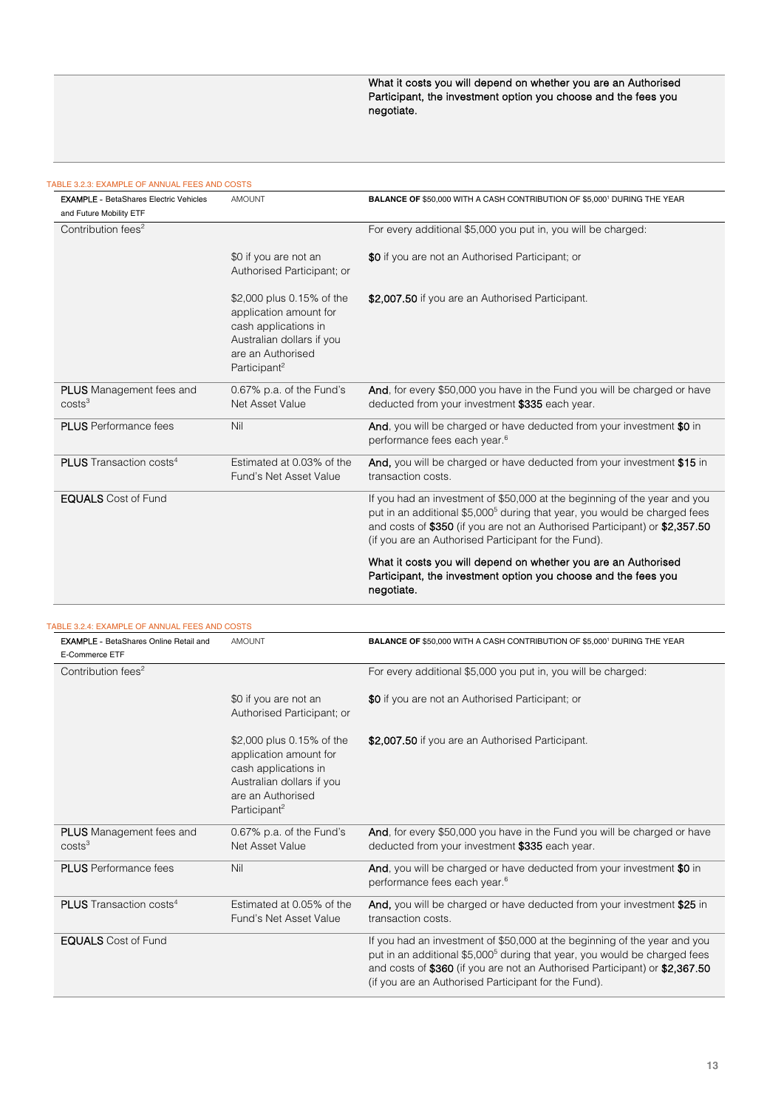What it costs you will depend on whether you are an Authorised Participant, the investment option you choose and the fees you negotiate.

| <b>EXAMPLE - BetaShares Electric Vehicles</b><br>and Future Mobility ETF | <b>AMOUNT</b>                                                                                                                                             | BALANCE OF \$50,000 WITH A CASH CONTRIBUTION OF \$5,000' DURING THE YEAR                                                                                                                                                                                                                                  |
|--------------------------------------------------------------------------|-----------------------------------------------------------------------------------------------------------------------------------------------------------|-----------------------------------------------------------------------------------------------------------------------------------------------------------------------------------------------------------------------------------------------------------------------------------------------------------|
| Contribution fees <sup>2</sup>                                           |                                                                                                                                                           | For every additional \$5,000 you put in, you will be charged:                                                                                                                                                                                                                                             |
|                                                                          | \$0 if you are not an<br>Authorised Participant; or                                                                                                       | \$0 if you are not an Authorised Participant; or                                                                                                                                                                                                                                                          |
|                                                                          | \$2,000 plus 0.15% of the<br>application amount for<br>cash applications in<br>Australian dollars if you<br>are an Authorised<br>Participant <sup>2</sup> | \$2,007.50 if you are an Authorised Participant.                                                                                                                                                                                                                                                          |
| <b>PLUS</b> Management fees and<br>costs <sup>3</sup>                    | 0.67% p.a. of the Fund's<br>Net Asset Value                                                                                                               | And, for every \$50,000 you have in the Fund you will be charged or have<br>deducted from your investment \$335 each year.                                                                                                                                                                                |
| <b>PLUS</b> Performance fees                                             | Nil                                                                                                                                                       | And, you will be charged or have deducted from your investment \$0 in<br>performance fees each year. <sup>6</sup>                                                                                                                                                                                         |
| <b>PLUS</b> Transaction costs <sup>4</sup>                               | Estimated at 0.03% of the<br>Fund's Net Asset Value                                                                                                       | And, you will be charged or have deducted from your investment \$15 in<br>transaction costs.                                                                                                                                                                                                              |
| <b>EQUALS</b> Cost of Fund                                               |                                                                                                                                                           | If you had an investment of \$50,000 at the beginning of the year and you<br>put in an additional \$5,000 <sup>5</sup> during that year, you would be charged fees<br>and costs of \$350 (if you are not an Authorised Participant) or \$2,357.50<br>(if you are an Authorised Participant for the Fund). |
|                                                                          |                                                                                                                                                           | What it costs you will depend on whether you are an Authorised<br>Participant, the investment option you choose and the fees you<br>negotiate.                                                                                                                                                            |

| <b>EXAMPLE - BetaShares Online Retail and</b><br>E-Commerce ETF | <b>AMOUNT</b>                                                                                                                                             | BALANCE OF \$50,000 WITH A CASH CONTRIBUTION OF \$5,000' DURING THE YEAR                                                                                                                                                                                                                                  |
|-----------------------------------------------------------------|-----------------------------------------------------------------------------------------------------------------------------------------------------------|-----------------------------------------------------------------------------------------------------------------------------------------------------------------------------------------------------------------------------------------------------------------------------------------------------------|
| Contribution fees <sup>2</sup>                                  |                                                                                                                                                           | For every additional \$5,000 you put in, you will be charged:                                                                                                                                                                                                                                             |
|                                                                 | \$0 if you are not an<br>Authorised Participant; or                                                                                                       | \$0 if you are not an Authorised Participant; or                                                                                                                                                                                                                                                          |
|                                                                 | \$2,000 plus 0.15% of the<br>application amount for<br>cash applications in<br>Australian dollars if you<br>are an Authorised<br>Participant <sup>2</sup> | \$2,007.50 if you are an Authorised Participant.                                                                                                                                                                                                                                                          |
| <b>PLUS</b> Management fees and<br>costs <sup>3</sup>           | 0.67% p.a. of the Fund's<br>Net Asset Value                                                                                                               | And, for every \$50,000 you have in the Fund you will be charged or have<br>deducted from your investment \$335 each year.                                                                                                                                                                                |
| <b>PLUS</b> Performance fees                                    | Nil                                                                                                                                                       | And, you will be charged or have deducted from your investment \$0 in<br>performance fees each year. <sup>6</sup>                                                                                                                                                                                         |
| <b>PLUS</b> Transaction costs <sup>4</sup>                      | Estimated at 0.05% of the<br>Fund's Net Asset Value                                                                                                       | And, you will be charged or have deducted from your investment \$25 in<br>transaction costs.                                                                                                                                                                                                              |
| <b>EQUALS</b> Cost of Fund                                      |                                                                                                                                                           | If you had an investment of \$50,000 at the beginning of the year and you<br>put in an additional \$5,000 <sup>5</sup> during that year, you would be charged fees<br>and costs of \$360 (if you are not an Authorised Participant) or \$2,367.50<br>(if you are an Authorised Participant for the Fund). |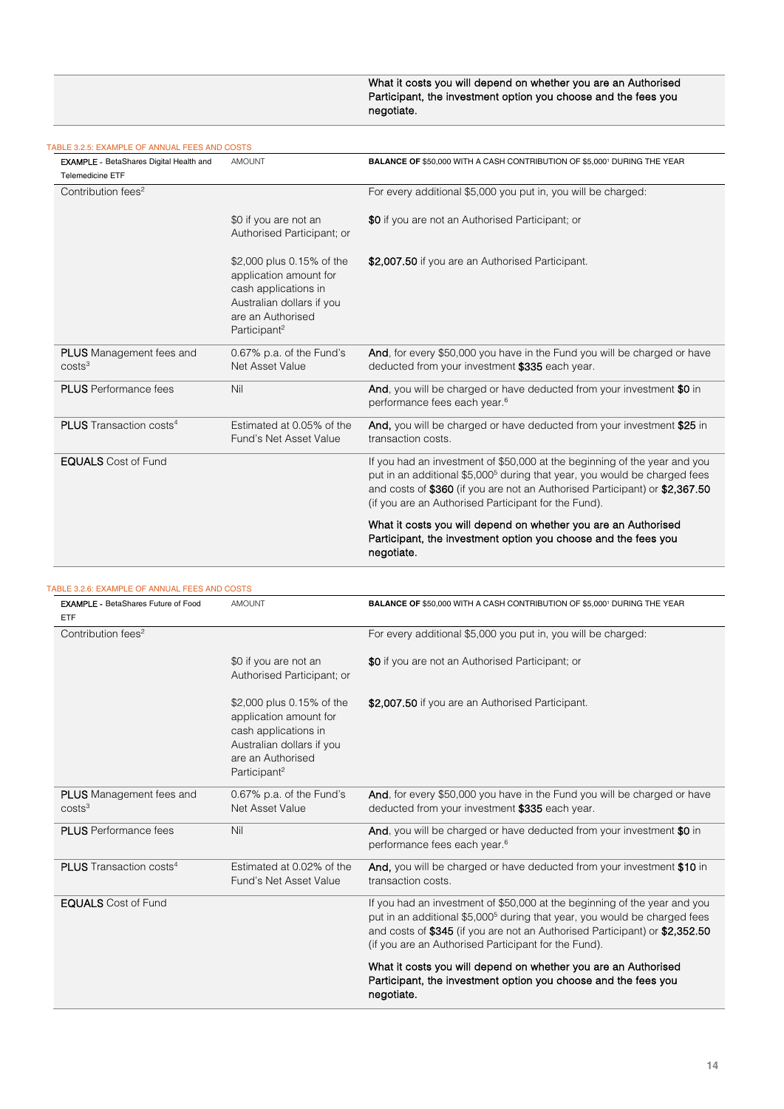What it costs you will depend on whether you are an Authorised Participant, the investment option you choose and the fees you negotiate.

| <b>EXAMPLE - BetaShares Digital Health and</b><br><b>Telemedicine ETF</b> | <b>AMOUNT</b>                                                                                                                                             | BALANCE OF \$50,000 WITH A CASH CONTRIBUTION OF \$5,000' DURING THE YEAR                                                                                                                                                                                                                                  |
|---------------------------------------------------------------------------|-----------------------------------------------------------------------------------------------------------------------------------------------------------|-----------------------------------------------------------------------------------------------------------------------------------------------------------------------------------------------------------------------------------------------------------------------------------------------------------|
| Contribution fees <sup>2</sup>                                            |                                                                                                                                                           | For every additional \$5,000 you put in, you will be charged:                                                                                                                                                                                                                                             |
|                                                                           | \$0 if you are not an<br>Authorised Participant; or                                                                                                       | \$0 if you are not an Authorised Participant; or                                                                                                                                                                                                                                                          |
|                                                                           | \$2,000 plus 0.15% of the<br>application amount for<br>cash applications in<br>Australian dollars if you<br>are an Authorised<br>Participant <sup>2</sup> | \$2,007.50 if you are an Authorised Participant.                                                                                                                                                                                                                                                          |
| <b>PLUS</b> Management fees and<br>costs <sup>3</sup>                     | 0.67% p.a. of the Fund's<br>Net Asset Value                                                                                                               | And, for every \$50,000 you have in the Fund you will be charged or have<br>deducted from your investment \$335 each year.                                                                                                                                                                                |
| <b>PLUS</b> Performance fees                                              | Nil                                                                                                                                                       | And, you will be charged or have deducted from your investment \$0 in<br>performance fees each year. <sup>6</sup>                                                                                                                                                                                         |
| <b>PLUS</b> Transaction costs <sup>4</sup>                                | Estimated at 0.05% of the<br>Fund's Net Asset Value                                                                                                       | And, you will be charged or have deducted from your investment \$25 in<br>transaction costs.                                                                                                                                                                                                              |
| <b>EQUALS</b> Cost of Fund                                                |                                                                                                                                                           | If you had an investment of \$50,000 at the beginning of the year and you<br>put in an additional \$5,000 <sup>5</sup> during that year, you would be charged fees<br>and costs of \$360 (if you are not an Authorised Participant) or \$2,367.50<br>(if you are an Authorised Participant for the Fund). |
|                                                                           |                                                                                                                                                           | What it costs you will depend on whether you are an Authorised<br>Participant, the investment option you choose and the fees you<br>negotiate.                                                                                                                                                            |

|  | TABLE 3.2.6: EXAMPLE OF ANNUAL FEES AND COSTS |  |  |  |
|--|-----------------------------------------------|--|--|--|
|  |                                               |  |  |  |

| <b>EXAMPLE - BetaShares Future of Food</b><br>ETF     | <b>AMOUNT</b>                                                                                                                                             | BALANCE OF \$50,000 WITH A CASH CONTRIBUTION OF \$5,000' DURING THE YEAR                                                                                                                                                                                                                                  |
|-------------------------------------------------------|-----------------------------------------------------------------------------------------------------------------------------------------------------------|-----------------------------------------------------------------------------------------------------------------------------------------------------------------------------------------------------------------------------------------------------------------------------------------------------------|
| Contribution fees <sup>2</sup>                        |                                                                                                                                                           | For every additional \$5,000 you put in, you will be charged:                                                                                                                                                                                                                                             |
|                                                       | \$0 if you are not an<br>Authorised Participant; or                                                                                                       | \$0 if you are not an Authorised Participant; or                                                                                                                                                                                                                                                          |
|                                                       | \$2,000 plus 0.15% of the<br>application amount for<br>cash applications in<br>Australian dollars if you<br>are an Authorised<br>Participant <sup>2</sup> | \$2,007.50 if you are an Authorised Participant.                                                                                                                                                                                                                                                          |
| <b>PLUS</b> Management fees and<br>costs <sup>3</sup> | 0.67% p.a. of the Fund's<br>Net Asset Value                                                                                                               | And, for every \$50,000 you have in the Fund you will be charged or have<br>deducted from your investment \$335 each year.                                                                                                                                                                                |
| <b>PLUS</b> Performance fees                          | Nil                                                                                                                                                       | And, you will be charged or have deducted from your investment \$0 in<br>performance fees each year. <sup>6</sup>                                                                                                                                                                                         |
| <b>PLUS</b> Transaction costs <sup>4</sup>            | Estimated at 0.02% of the<br>Fund's Net Asset Value                                                                                                       | And, you will be charged or have deducted from your investment \$10 in<br>transaction costs.                                                                                                                                                                                                              |
| <b>EQUALS</b> Cost of Fund                            |                                                                                                                                                           | If you had an investment of \$50,000 at the beginning of the year and you<br>put in an additional \$5,000 <sup>5</sup> during that year, you would be charged fees<br>and costs of \$345 (if you are not an Authorised Participant) or \$2,352.50<br>(if you are an Authorised Participant for the Fund). |
|                                                       |                                                                                                                                                           | What it costs you will depend on whether you are an Authorised<br>Participant, the investment option you choose and the fees you<br>negotiate.                                                                                                                                                            |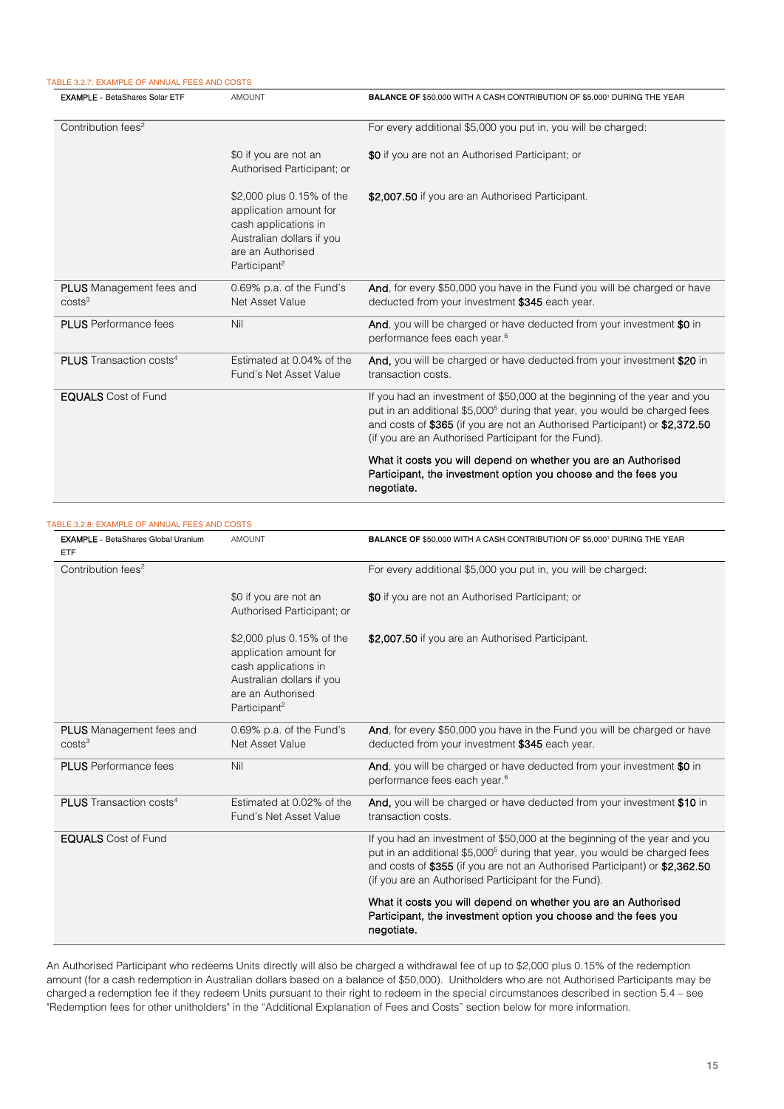#### TABLE 3.2.7: EXAMPLE OF ANNUAL FEES AND COSTS

| <b>EXAMPLE - BetaShares Solar ETF</b>                 | <b>AMOUNT</b>                                                                                                                                             | BALANCE OF \$50,000 WITH A CASH CONTRIBUTION OF \$5,000' DURING THE YEAR                                                                                                                                                                                                                                  |
|-------------------------------------------------------|-----------------------------------------------------------------------------------------------------------------------------------------------------------|-----------------------------------------------------------------------------------------------------------------------------------------------------------------------------------------------------------------------------------------------------------------------------------------------------------|
| Contribution fees <sup>2</sup>                        |                                                                                                                                                           | For every additional \$5,000 you put in, you will be charged:                                                                                                                                                                                                                                             |
|                                                       | \$0 if you are not an<br>Authorised Participant; or                                                                                                       | \$0 if you are not an Authorised Participant; or                                                                                                                                                                                                                                                          |
|                                                       | \$2,000 plus 0.15% of the<br>application amount for<br>cash applications in<br>Australian dollars if you<br>are an Authorised<br>Participant <sup>2</sup> | \$2,007.50 if you are an Authorised Participant.                                                                                                                                                                                                                                                          |
| <b>PLUS</b> Management fees and<br>costs <sup>3</sup> | 0.69% p.a. of the Fund's<br>Net Asset Value                                                                                                               | And, for every \$50,000 you have in the Fund you will be charged or have<br>deducted from your investment \$345 each year.                                                                                                                                                                                |
| <b>PLUS</b> Performance fees                          | Nil                                                                                                                                                       | And, you will be charged or have deducted from your investment \$0 in<br>performance fees each year. <sup>6</sup>                                                                                                                                                                                         |
| <b>PLUS</b> Transaction costs <sup>4</sup>            | Estimated at 0.04% of the<br>Fund's Net Asset Value                                                                                                       | And, you will be charged or have deducted from your investment \$20 in<br>transaction costs.                                                                                                                                                                                                              |
| <b>EQUALS</b> Cost of Fund                            |                                                                                                                                                           | If you had an investment of \$50,000 at the beginning of the year and you<br>put in an additional \$5,000 <sup>5</sup> during that year, you would be charged fees<br>and costs of \$365 (if you are not an Authorised Participant) or \$2,372.50<br>(if you are an Authorised Participant for the Fund). |
|                                                       |                                                                                                                                                           | What it costs you will depend on whether you are an Authorised<br>Participant, the investment option you choose and the fees you<br>negotiate.                                                                                                                                                            |

## TABLE 3.2.8: EXAMPLE OF ANNUAL FEES AND COSTS

| <b>EXAMPLE - BetaShares Global Uranium</b><br><b>ETF</b> | <b>AMOUNT</b>                                                                                                                                             | BALANCE OF \$50,000 WITH A CASH CONTRIBUTION OF \$5,000' DURING THE YEAR                                                                                                                                                                                                                                  |
|----------------------------------------------------------|-----------------------------------------------------------------------------------------------------------------------------------------------------------|-----------------------------------------------------------------------------------------------------------------------------------------------------------------------------------------------------------------------------------------------------------------------------------------------------------|
| Contribution fees <sup>2</sup>                           |                                                                                                                                                           | For every additional \$5,000 you put in, you will be charged:                                                                                                                                                                                                                                             |
|                                                          | \$0 if you are not an<br>Authorised Participant; or                                                                                                       | \$0 if you are not an Authorised Participant; or                                                                                                                                                                                                                                                          |
|                                                          | \$2,000 plus 0.15% of the<br>application amount for<br>cash applications in<br>Australian dollars if you<br>are an Authorised<br>Participant <sup>2</sup> | \$2,007.50 if you are an Authorised Participant.                                                                                                                                                                                                                                                          |
| <b>PLUS</b> Management fees and<br>costs <sup>3</sup>    | 0.69% p.a. of the Fund's<br>Net Asset Value                                                                                                               | And, for every \$50,000 you have in the Fund you will be charged or have<br>deducted from your investment \$345 each year.                                                                                                                                                                                |
| <b>PLUS</b> Performance fees                             | Nil                                                                                                                                                       | And, you will be charged or have deducted from your investment \$0 in<br>performance fees each year. <sup>6</sup>                                                                                                                                                                                         |
| <b>PLUS</b> Transaction costs <sup>4</sup>               | Estimated at 0.02% of the<br>Fund's Net Asset Value                                                                                                       | And, you will be charged or have deducted from your investment \$10 in<br>transaction costs.                                                                                                                                                                                                              |
| <b>EQUALS</b> Cost of Fund                               |                                                                                                                                                           | If you had an investment of \$50,000 at the beginning of the year and you<br>put in an additional \$5,000 <sup>5</sup> during that year, you would be charged fees<br>and costs of \$355 (if you are not an Authorised Participant) or \$2,362.50<br>(if you are an Authorised Participant for the Fund). |
|                                                          |                                                                                                                                                           | What it costs you will depend on whether you are an Authorised<br>Participant, the investment option you choose and the fees you<br>negotiate.                                                                                                                                                            |

An Authorised Participant who redeems Units directly will also be charged a withdrawal fee of up to \$2,000 plus 0.15% of the redemption amount (for a cash redemption in Australian dollars based on a balance of \$50,000). Unitholders who are not Authorised Participants may be charged a redemption fee if they redeem Units pursuant to their right to redeem in the special circumstances described in section 5.4 – see "Redemption fees for other unitholders" in the "Additional Explanation of Fees and Costs" section below for more information.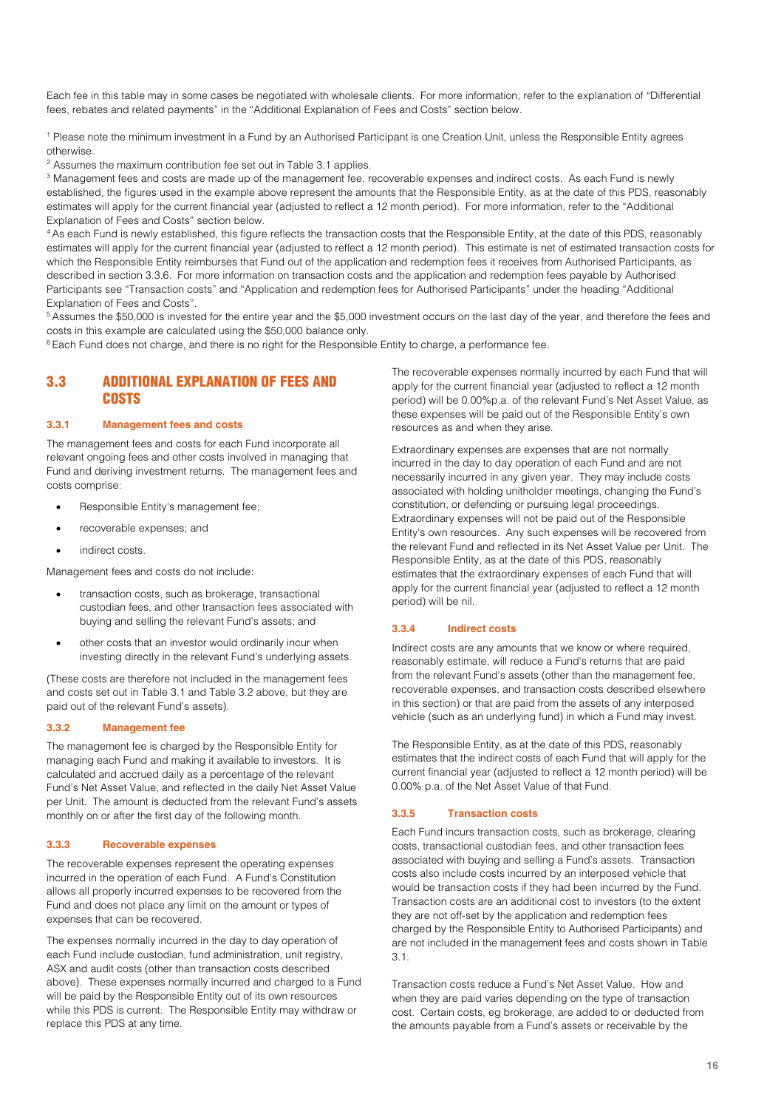Each fee in this table may in some cases be negotiated with wholesale clients. For more information, refer to the explanation of "Differential fees, rebates and related payments" in the "Additional Explanation of Fees and Costs" section below.

<sup>1</sup> Please note the minimum investment in a Fund by an Authorised Participant is one Creation Unit, unless the Responsible Entity agrees otherwise.<br><sup>2</sup> Assumes the maximum contribution fee set out in Table 3.1 applies.

<sup>3</sup> Management fees and costs are made up of the management fee, recoverable expenses and indirect costs. As each Fund is newly established, the figures used in the example above represent the amounts that the Responsible Entity, as at the date of this PDS, reasonably estimates will apply for the current financial year (adjusted to reflect a 12 month period). For more information, refer to the "Additional Explanation of Fees and Costs" section below.

4 As each Fund is newly established, this figure reflects the transaction costs that the Responsible Entity, at the date of this PDS, reasonably estimates will apply for the current financial year (adjusted to reflect a 12 month period). This estimate is net of estimated transaction costs for which the Responsible Entity reimburses that Fund out of the application and redemption fees it receives from Authorised Participants, as described in section 3.3.6. For more information on transaction costs and the application and redemption fees payable by Authorised Participants see "Transaction costs" and "Application and redemption fees for Authorised Participants" under the heading "Additional Explanation of Fees and Costs".

5 Assumes the \$50,000 is invested for the entire year and the \$5,000 investment occurs on the last day of the year, and therefore the fees and costs in this example are calculated using the \$50,000 balance only.

<sup>6</sup> Each Fund does not charge, and there is no right for the Responsible Entity to charge, a performance fee.

### 3.3 ADDITIONAL EXPLANATION OF FEES AND **COSTS**

#### **3.3.1 Management fees and costs**

The management fees and costs for each Fund incorporate all relevant ongoing fees and other costs involved in managing that Fund and deriving investment returns. The management fees and costs comprise:

- Responsible Entity's management fee;
- recoverable expenses; and
- indirect costs.

Management fees and costs do not include:

- transaction costs, such as brokerage, transactional custodian fees, and other transaction fees associated with buying and selling the relevant Fund's assets; and
- other costs that an investor would ordinarily incur when investing directly in the relevant Fund's underlying assets.

(These costs are therefore not included in the management fees and costs set out in Table 3.1 and Table 3.2 above, but they are paid out of the relevant Fund's assets).

#### **3.3.2 Management fee**

The management fee is charged by the Responsible Entity for managing each Fund and making it available to investors. It is calculated and accrued daily as a percentage of the relevant Fund's Net Asset Value, and reflected in the daily Net Asset Value per Unit. The amount is deducted from the relevant Fund's assets monthly on or after the first day of the following month.

#### **3.3.3 Recoverable expenses**

The recoverable expenses represent the operating expenses incurred in the operation of each Fund. A Fund's Constitution allows all properly incurred expenses to be recovered from the Fund and does not place any limit on the amount or types of expenses that can be recovered.

The expenses normally incurred in the day to day operation of each Fund include custodian, fund administration, unit registry, ASX and audit costs (other than transaction costs described above). These expenses normally incurred and charged to a Fund will be paid by the Responsible Entity out of its own resources while this PDS is current. The Responsible Entity may withdraw or replace this PDS at any time.

The recoverable expenses normally incurred by each Fund that will apply for the current financial year (adjusted to reflect a 12 month period) will be 0.00%p.a. of the relevant Fund's Net Asset Value, as these expenses will be paid out of the Responsible Entity's own resources as and when they arise.

Extraordinary expenses are expenses that are not normally incurred in the day to day operation of each Fund and are not necessarily incurred in any given year. They may include costs associated with holding unitholder meetings, changing the Fund's constitution, or defending or pursuing legal proceedings. Extraordinary expenses will not be paid out of the Responsible Entity's own resources. Any such expenses will be recovered from the relevant Fund and reflected in its Net Asset Value per Unit. The Responsible Entity, as at the date of this PDS, reasonably estimates that the extraordinary expenses of each Fund that will apply for the current financial year (adjusted to reflect a 12 month period) will be nil.

#### **3.3.4 Indirect costs**

Indirect costs are any amounts that we know or where required, reasonably estimate, will reduce a Fund's returns that are paid from the relevant Fund's assets (other than the management fee, recoverable expenses, and transaction costs described elsewhere in this section) or that are paid from the assets of any interposed vehicle (such as an underlying fund) in which a Fund may invest.

The Responsible Entity, as at the date of this PDS, reasonably estimates that the indirect costs of each Fund that will apply for the current financial year (adjusted to reflect a 12 month period) will be 0.00% p.a. of the Net Asset Value of that Fund.

#### **3.3.5 Transaction costs**

Each Fund incurs transaction costs, such as brokerage, clearing costs, transactional custodian fees, and other transaction fees associated with buying and selling a Fund's assets. Transaction costs also include costs incurred by an interposed vehicle that would be transaction costs if they had been incurred by the Fund. Transaction costs are an additional cost to investors (to the extent they are not off-set by the application and redemption fees charged by the Responsible Entity to Authorised Participants) and are not included in the management fees and costs shown in Table 3.1.

Transaction costs reduce a Fund's Net Asset Value. How and when they are paid varies depending on the type of transaction cost. Certain costs, eg brokerage, are added to or deducted from the amounts payable from a Fund's assets or receivable by the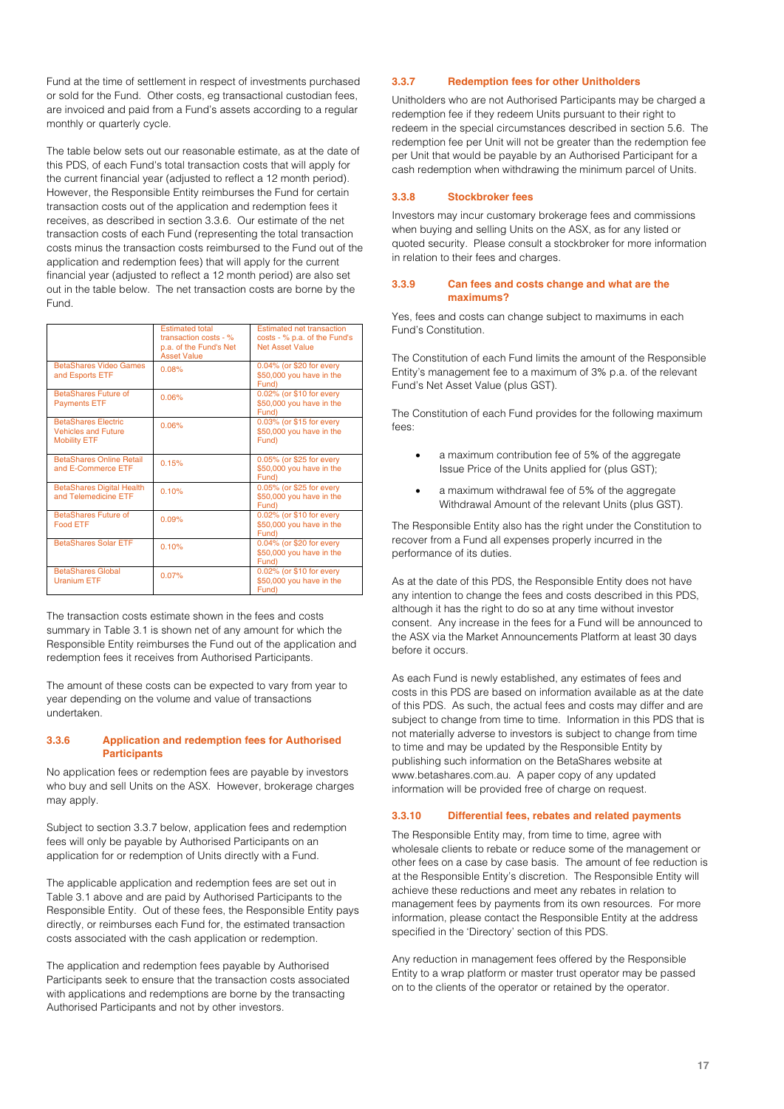Fund at the time of settlement in respect of investments purchased or sold for the Fund. Other costs, eg transactional custodian fees, are invoiced and paid from a Fund's assets according to a regular monthly or quarterly cycle.

The table below sets out our reasonable estimate, as at the date of this PDS, of each Fund's total transaction costs that will apply for the current financial year (adjusted to reflect a 12 month period). However, the Responsible Entity reimburses the Fund for certain transaction costs out of the application and redemption fees it receives, as described in section 3.3.6. Our estimate of the net transaction costs of each Fund (representing the total transaction costs minus the transaction costs reimbursed to the Fund out of the application and redemption fees) that will apply for the current financial year (adjusted to reflect a 12 month period) are also set out in the table below. The net transaction costs are borne by the Fund.

|                                                                                 | <b>Estimated total</b><br>transaction costs - %<br>p.a. of the Fund's Net<br><b>Asset Value</b> | <b>Estimated net transaction</b><br>costs - % p.a. of the Fund's<br><b>Net Asset Value</b> |
|---------------------------------------------------------------------------------|-------------------------------------------------------------------------------------------------|--------------------------------------------------------------------------------------------|
| <b>BetaShares Video Games</b><br>and Esports ETF                                | 0.08%                                                                                           | 0.04% (or \$20 for every<br>\$50,000 you have in the<br>Fund)                              |
| <b>BetaShares Future of</b><br><b>Payments ETF</b>                              | 0.06%                                                                                           | 0.02% (or \$10 for every<br>\$50,000 you have in the<br>Fund)                              |
| <b>BetaShares Electric</b><br><b>Vehicles and Future</b><br><b>Mobility ETF</b> | 0.06%                                                                                           | 0.03% (or \$15 for every<br>\$50,000 you have in the<br>Fund)                              |
| <b>BetaShares Online Retail</b><br>and E-Commerce ETF                           | 0.15%                                                                                           | 0.05% (or \$25 for every<br>\$50,000 you have in the<br>Fund)                              |
| <b>BetaShares Digital Health</b><br>and Telemedicine FTF                        | 0.10%                                                                                           | 0.05% (or \$25 for every<br>\$50,000 you have in the<br>Fund)                              |
| <b>BetaShares Future of</b><br>Food ETF                                         | 0.09%                                                                                           | 0.02% (or \$10 for every<br>\$50,000 you have in the<br>Fund)                              |
| <b>BetaShares Solar ETF</b>                                                     | 0.10%                                                                                           | 0.04% (or \$20 for every<br>\$50,000 you have in the<br>Fund)                              |
| <b>BetaShares Global</b><br><b>Uranium ETF</b>                                  | 0.07%                                                                                           | 0.02% (or \$10 for every<br>\$50,000 you have in the<br>Fund)                              |

The transaction costs estimate shown in the fees and costs summary in Table 3.1 is shown net of any amount for which the Responsible Entity reimburses the Fund out of the application and redemption fees it receives from Authorised Participants.

The amount of these costs can be expected to vary from year to year depending on the volume and value of transactions undertaken.

#### **3.3.6 Application and redemption fees for Authorised Participants**

No application fees or redemption fees are payable by investors who buy and sell Units on the ASX. However, brokerage charges may apply.

Subject to section 3.3.7 below, application fees and redemption fees will only be payable by Authorised Participants on an application for or redemption of Units directly with a Fund.

The applicable application and redemption fees are set out in Table 3.1 above and are paid by Authorised Participants to the Responsible Entity. Out of these fees, the Responsible Entity pays directly, or reimburses each Fund for, the estimated transaction costs associated with the cash application or redemption.

The application and redemption fees payable by Authorised Participants seek to ensure that the transaction costs associated with applications and redemptions are borne by the transacting Authorised Participants and not by other investors.

#### **3.3.7 Redemption fees for other Unitholders**

Unitholders who are not Authorised Participants may be charged a redemption fee if they redeem Units pursuant to their right to redeem in the special circumstances described in section 5.6. The redemption fee per Unit will not be greater than the redemption fee per Unit that would be payable by an Authorised Participant for a cash redemption when withdrawing the minimum parcel of Units.

#### **3.3.8 Stockbroker fees**

Investors may incur customary brokerage fees and commissions when buying and selling Units on the ASX, as for any listed or quoted security. Please consult a stockbroker for more information in relation to their fees and charges.

#### **3.3.9 Can fees and costs change and what are the maximums?**

Yes, fees and costs can change subject to maximums in each Fund's Constitution.

The Constitution of each Fund limits the amount of the Responsible Entity's management fee to a maximum of 3% p.a. of the relevant Fund's Net Asset Value (plus GST).

The Constitution of each Fund provides for the following maximum  $f_{\text{P}}$ 

- a maximum contribution fee of 5% of the aggregate Issue Price of the Units applied for (plus GST);
- a maximum withdrawal fee of 5% of the aggregate Withdrawal Amount of the relevant Units (plus GST).

The Responsible Entity also has the right under the Constitution to recover from a Fund all expenses properly incurred in the performance of its duties.

As at the date of this PDS, the Responsible Entity does not have any intention to change the fees and costs described in this PDS, although it has the right to do so at any time without investor consent. Any increase in the fees for a Fund will be announced to the ASX via the Market Announcements Platform at least 30 days before it occurs.

As each Fund is newly established, any estimates of fees and costs in this PDS are based on information available as at the date of this PDS. As such, the actual fees and costs may differ and are subject to change from time to time. Information in this PDS that is not materially adverse to investors is subject to change from time to time and may be updated by the Responsible Entity by publishing such information on the BetaShares website at www.betashares.com.au. A paper copy of any updated information will be provided free of charge on request.

#### **3.3.10 Differential fees, rebates and related payments**

The Responsible Entity may, from time to time, agree with wholesale clients to rebate or reduce some of the management or other fees on a case by case basis. The amount of fee reduction is at the Responsible Entity's discretion. The Responsible Entity will achieve these reductions and meet any rebates in relation to management fees by payments from its own resources. For more information, please contact the Responsible Entity at the address specified in the 'Directory' section of this PDS.

Any reduction in management fees offered by the Responsible Entity to a wrap platform or master trust operator may be passed on to the clients of the operator or retained by the operator.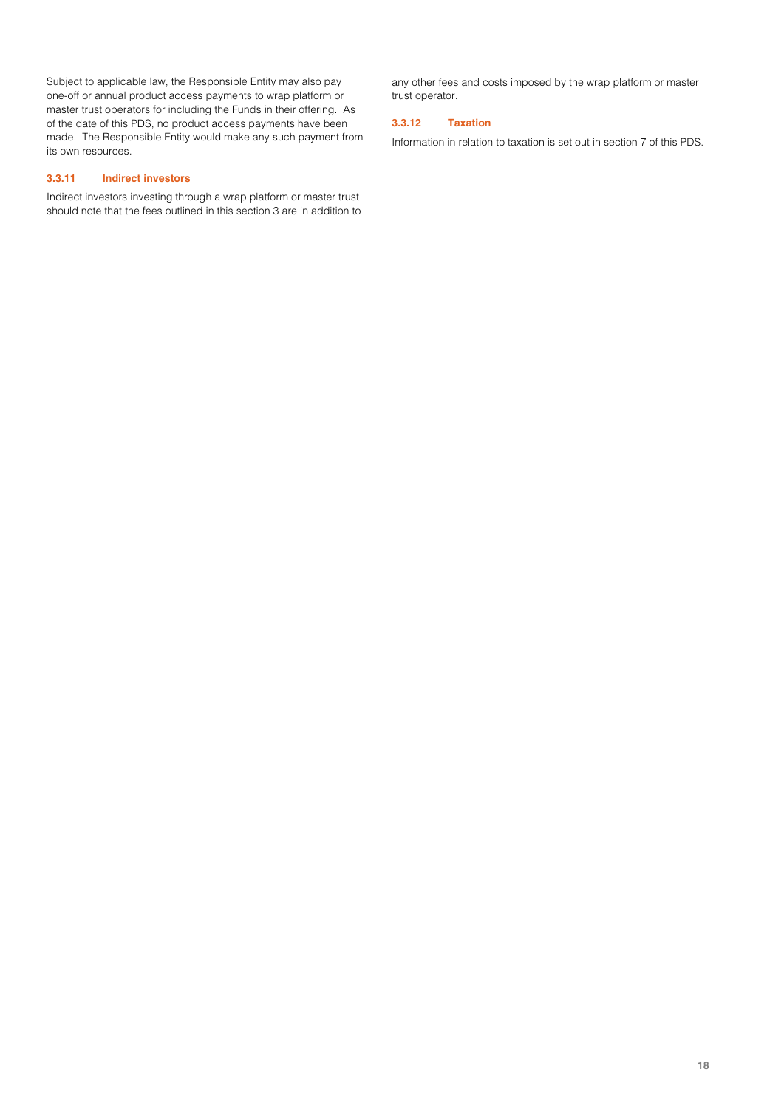Subject to applicable law, the Responsible Entity may also pay one-off or annual product access payments to wrap platform or master trust operators for including the Funds in their offering. As of the date of this PDS, no product access payments have been made. The Responsible Entity would make any such payment from its own resources.

#### **3.3.11 Indirect investors**

Indirect investors investing through a wrap platform or master trust should note that the fees outlined in this sectio[n 3](#page-9-0) are in addition to any other fees and costs imposed by the wrap platform or master trust operator.

#### **3.3.12 Taxation**

Information in relation to taxation is set out in section 7 of this PDS.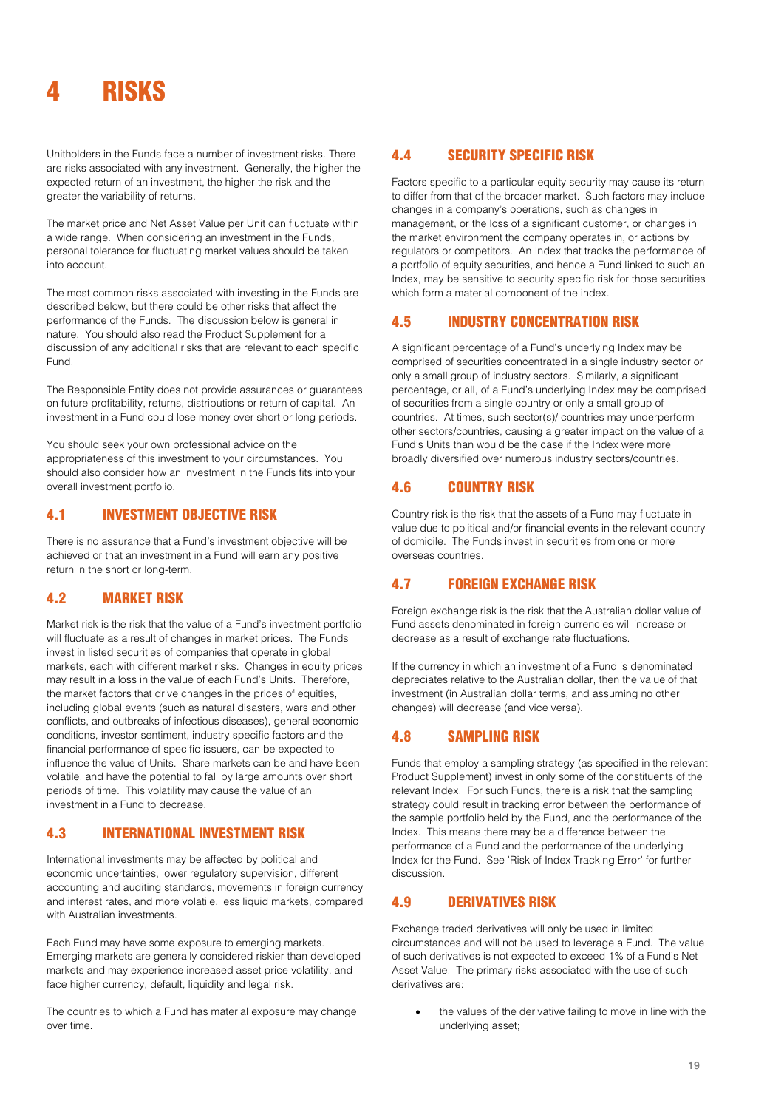<span id="page-19-0"></span>

Unitholders in the Funds face a number of investment risks. There are risks associated with any investment. Generally, the higher the expected return of an investment, the higher the risk and the greater the variability of returns.

The market price and Net Asset Value per Unit can fluctuate within a wide range. When considering an investment in the Funds, personal tolerance for fluctuating market values should be taken into account.

The most common risks associated with investing in the Funds are described below, but there could be other risks that affect the performance of the Funds. The discussion below is general in nature. You should also read the Product Supplement for a discussion of any additional risks that are relevant to each specific Fund.

The Responsible Entity does not provide assurances or guarantees on future profitability, returns, distributions or return of capital. An investment in a Fund could lose money over short or long periods.

You should seek your own professional advice on the appropriateness of this investment to your circumstances. You should also consider how an investment in the Funds fits into your overall investment portfolio.

## 4.1 INVESTMENT OBJECTIVE RISK

There is no assurance that a Fund's investment objective will be achieved or that an investment in a Fund will earn any positive return in the short or long-term.

## 4.2 MARKET RISK

Market risk is the risk that the value of a Fund's investment portfolio will fluctuate as a result of changes in market prices. The Funds invest in listed securities of companies that operate in global markets, each with different market risks. Changes in equity prices may result in a loss in the value of each Fund's Units. Therefore, the market factors that drive changes in the prices of equities, including global events (such as natural disasters, wars and other conflicts, and outbreaks of infectious diseases), general economic conditions, investor sentiment, industry specific factors and the financial performance of specific issuers, can be expected to influence the value of Units. Share markets can be and have been volatile, and have the potential to fall by large amounts over short periods of time. This volatility may cause the value of an investment in a Fund to decrease.

## 4.3 INTERNATIONAL INVESTMENT RISK

International investments may be affected by political and economic uncertainties, lower regulatory supervision, different accounting and auditing standards, movements in foreign currency and interest rates, and more volatile, less liquid markets, compared with Australian investments.

Each Fund may have some exposure to emerging markets. Emerging markets are generally considered riskier than developed markets and may experience increased asset price volatility, and face higher currency, default, liquidity and legal risk.

The countries to which a Fund has material exposure may change over time.

## 4.4 SECURITY SPECIFIC RISK

Factors specific to a particular equity security may cause its return to differ from that of the broader market. Such factors may include changes in a company's operations, such as changes in management, or the loss of a significant customer, or changes in the market environment the company operates in, or actions by regulators or competitors. An Index that tracks the performance of a portfolio of equity securities, and hence a Fund linked to such an Index, may be sensitive to security specific risk for those securities which form a material component of the index.

## 4.5 INDUSTRY CONCENTRATION RISK

A significant percentage of a Fund's underlying Index may be comprised of securities concentrated in a single industry sector or only a small group of industry sectors. Similarly, a significant percentage, or all, of a Fund's underlying Index may be comprised of securities from a single country or only a small group of countries. At times, such sector(s)/ countries may underperform other sectors/countries, causing a greater impact on the value of a Fund's Units than would be the case if the Index were more broadly diversified over numerous industry sectors/countries.

## 4.6 COUNTRY RISK

Country risk is the risk that the assets of a Fund may fluctuate in value due to political and/or financial events in the relevant country of domicile. The Funds invest in securities from one or more overseas countries.

## 4.7 FOREIGN EXCHANGE RISK

Foreign exchange risk is the risk that the Australian dollar value of Fund assets denominated in foreign currencies will increase or decrease as a result of exchange rate fluctuations.

If the currency in which an investment of a Fund is denominated depreciates relative to the Australian dollar, then the value of that investment (in Australian dollar terms, and assuming no other changes) will decrease (and vice versa).

## 4.8 SAMPLING RISK

Funds that employ a sampling strategy (as specified in the relevant Product Supplement) invest in only some of the constituents of the relevant Index. For such Funds, there is a risk that the sampling strategy could result in tracking error between the performance of the sample portfolio held by the Fund, and the performance of the Index. This means there may be a difference between the performance of a Fund and the performance of the underlying Index for the Fund. See 'Risk of Index Tracking Error' for further discussion.

## 4.9 DERIVATIVES RISK

Exchange traded derivatives will only be used in limited circumstances and will not be used to leverage a Fund. The value of such derivatives is not expected to exceed 1% of a Fund's Net Asset Value. The primary risks associated with the use of such derivatives are:

the values of the derivative failing to move in line with the underlying asset;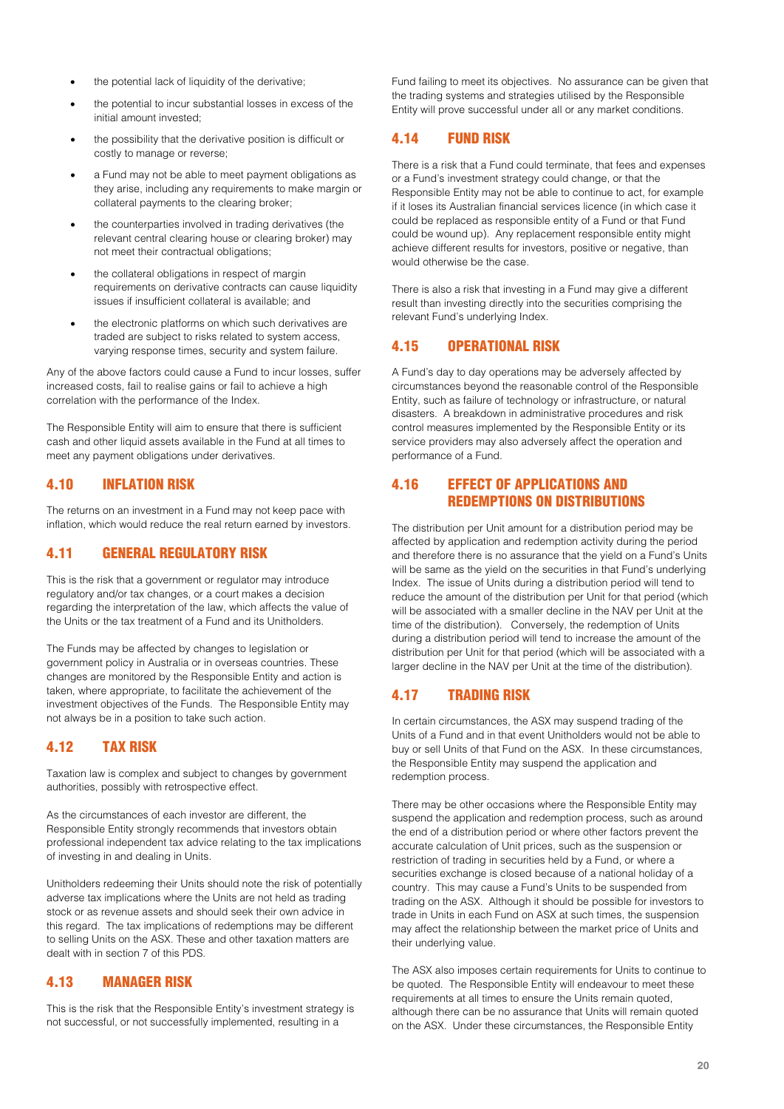- the potential lack of liquidity of the derivative:
- the potential to incur substantial losses in excess of the initial amount invested;
- the possibility that the derivative position is difficult or costly to manage or reverse;
- a Fund may not be able to meet payment obligations as they arise, including any requirements to make margin or collateral payments to the clearing broker;
- the counterparties involved in trading derivatives (the relevant central clearing house or clearing broker) may not meet their contractual obligations;
- the collateral obligations in respect of margin requirements on derivative contracts can cause liquidity issues if insufficient collateral is available; and
- the electronic platforms on which such derivatives are traded are subject to risks related to system access, varying response times, security and system failure.

Any of the above factors could cause a Fund to incur losses, suffer increased costs, fail to realise gains or fail to achieve a high correlation with the performance of the Index.

The Responsible Entity will aim to ensure that there is sufficient cash and other liquid assets available in the Fund at all times to meet any payment obligations under derivatives.

## 4.10 INFLATION RISK

The returns on an investment in a Fund may not keep pace with inflation, which would reduce the real return earned by investors.

## 4.11 GENERAL REGULATORY RISK

This is the risk that a government or regulator may introduce regulatory and/or tax changes, or a court makes a decision regarding the interpretation of the law, which affects the value of the Units or the tax treatment of a Fund and its Unitholders.

The Funds may be affected by changes to legislation or government policy in Australia or in overseas countries. These changes are monitored by the Responsible Entity and action is taken, where appropriate, to facilitate the achievement of the investment objectives of the Funds. The Responsible Entity may not always be in a position to take such action.

## 4.12 TAX RISK

Taxation law is complex and subject to changes by government authorities, possibly with retrospective effect.

As the circumstances of each investor are different, the Responsible Entity strongly recommends that investors obtain professional independent tax advice relating to the tax implications of investing in and dealing in Units.

Unitholders redeeming their Units should note the risk of potentially adverse tax implications where the Units are not held as trading stock or as revenue assets and should seek their own advice in this regard. The tax implications of redemptions may be different to selling Units on the ASX. These and other taxation matters are dealt with in section 7 of this PDS.

## 4.13 MANAGER RISK

This is the risk that the Responsible Entity's investment strategy is not successful, or not successfully implemented, resulting in a

Fund failing to meet its objectives. No assurance can be given that the trading systems and strategies utilised by the Responsible Entity will prove successful under all or any market conditions.

## 4.14 FUND RISK

There is a risk that a Fund could terminate, that fees and expenses or a Fund's investment strategy could change, or that the Responsible Entity may not be able to continue to act, for example if it loses its Australian financial services licence (in which case it could be replaced as responsible entity of a Fund or that Fund could be wound up). Any replacement responsible entity might achieve different results for investors, positive or negative, than would otherwise be the case.

There is also a risk that investing in a Fund may give a different result than investing directly into the securities comprising the relevant Fund's underlying Index.

## 4.15 OPERATIONAL RISK

A Fund's day to day operations may be adversely affected by circumstances beyond the reasonable control of the Responsible Entity, such as failure of technology or infrastructure, or natural disasters. A breakdown in administrative procedures and risk control measures implemented by the Responsible Entity or its service providers may also adversely affect the operation and performance of a Fund.

## 4.16 EFFECT OF APPLICATIONS AND REDEMPTIONS ON DISTRIBUTIONS

The distribution per Unit amount for a distribution period may be affected by application and redemption activity during the period and therefore there is no assurance that the yield on a Fund's Units will be same as the yield on the securities in that Fund's underlying Index. The issue of Units during a distribution period will tend to reduce the amount of the distribution per Unit for that period (which will be associated with a smaller decline in the NAV per Unit at the time of the distribution). Conversely, the redemption of Units during a distribution period will tend to increase the amount of the distribution per Unit for that period (which will be associated with a larger decline in the NAV per Unit at the time of the distribution).

## 4.17 TRADING RISK

In certain circumstances, the ASX may suspend trading of the Units of a Fund and in that event Unitholders would not be able to buy or sell Units of that Fund on the ASX. In these circumstances, the Responsible Entity may suspend the application and redemption process.

There may be other occasions where the Responsible Entity may suspend the application and redemption process, such as around the end of a distribution period or where other factors prevent the accurate calculation of Unit prices, such as the suspension or restriction of trading in securities held by a Fund, or where a securities exchange is closed because of a national holiday of a country. This may cause a Fund's Units to be suspended from trading on the ASX. Although it should be possible for investors to trade in Units in each Fund on ASX at such times, the suspension may affect the relationship between the market price of Units and their underlying value.

The ASX also imposes certain requirements for Units to continue to be quoted. The Responsible Entity will endeavour to meet these requirements at all times to ensure the Units remain quoted, although there can be no assurance that Units will remain quoted on the ASX. Under these circumstances, the Responsible Entity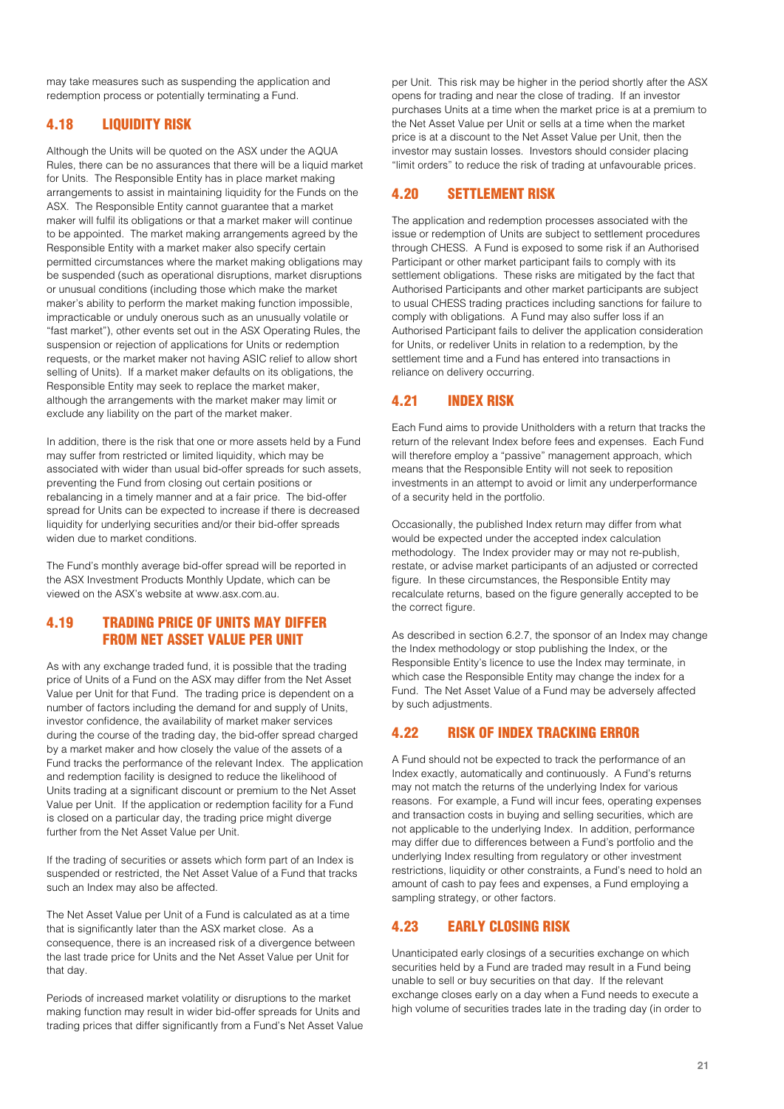may take measures such as suspending the application and redemption process or potentially terminating a Fund.

## 4.18 LIQUIDITY RISK

Although the Units will be quoted on the ASX under the AQUA Rules, there can be no assurances that there will be a liquid market for Units. The Responsible Entity has in place market making arrangements to assist in maintaining liquidity for the Funds on the ASX. The Responsible Entity cannot guarantee that a market maker will fulfil its obligations or that a market maker will continue to be appointed. The market making arrangements agreed by the Responsible Entity with a market maker also specify certain permitted circumstances where the market making obligations may be suspended (such as operational disruptions, market disruptions or unusual conditions (including those which make the market maker's ability to perform the market making function impossible, impracticable or unduly onerous such as an unusually volatile or "fast market"), other events set out in the ASX Operating Rules, the suspension or rejection of applications for Units or redemption requests, or the market maker not having ASIC relief to allow short selling of Units). If a market maker defaults on its obligations, the Responsible Entity may seek to replace the market maker, although the arrangements with the market maker may limit or exclude any liability on the part of the market maker.

In addition, there is the risk that one or more assets held by a Fund may suffer from restricted or limited liquidity, which may be associated with wider than usual bid-offer spreads for such assets, preventing the Fund from closing out certain positions or rebalancing in a timely manner and at a fair price. The bid-offer spread for Units can be expected to increase if there is decreased liquidity for underlying securities and/or their bid-offer spreads widen due to market conditions.

The Fund's monthly average bid-offer spread will be reported in the ASX Investment Products Monthly Update, which can be viewed on the ASX's website at www.asx.com.au.

## 4.19 TRADING PRICE OF UNITS MAY DIFFER FROM NET ASSET VALUE PER UNIT

As with any exchange traded fund, it is possible that the trading price of Units of a Fund on the ASX may differ from the Net Asset Value per Unit for that Fund. The trading price is dependent on a number of factors including the demand for and supply of Units, investor confidence, the availability of market maker services during the course of the trading day, the bid-offer spread charged by a market maker and how closely the value of the assets of a Fund tracks the performance of the relevant Index. The application and redemption facility is designed to reduce the likelihood of Units trading at a significant discount or premium to the Net Asset Value per Unit. If the application or redemption facility for a Fund is closed on a particular day, the trading price might diverge further from the Net Asset Value per Unit.

If the trading of securities or assets which form part of an Index is suspended or restricted, the Net Asset Value of a Fund that tracks such an Index may also be affected.

The Net Asset Value per Unit of a Fund is calculated as at a time that is significantly later than the ASX market close. As a consequence, there is an increased risk of a divergence between the last trade price for Units and the Net Asset Value per Unit for that day.

Periods of increased market volatility or disruptions to the market making function may result in wider bid-offer spreads for Units and trading prices that differ significantly from a Fund's Net Asset Value per Unit. This risk may be higher in the period shortly after the ASX opens for trading and near the close of trading. If an investor purchases Units at a time when the market price is at a premium to the Net Asset Value per Unit or sells at a time when the market price is at a discount to the Net Asset Value per Unit, then the investor may sustain losses. Investors should consider placing "limit orders" to reduce the risk of trading at unfavourable prices.

## 4.20 SETTLEMENT RISK

The application and redemption processes associated with the issue or redemption of Units are subject to settlement procedures through CHESS. A Fund is exposed to some risk if an Authorised Participant or other market participant fails to comply with its settlement obligations. These risks are mitigated by the fact that Authorised Participants and other market participants are subject to usual CHESS trading practices including sanctions for failure to comply with obligations. A Fund may also suffer loss if an Authorised Participant fails to deliver the application consideration for Units, or redeliver Units in relation to a redemption, by the settlement time and a Fund has entered into transactions in reliance on delivery occurring.

## 4.21 INDEX RISK

Each Fund aims to provide Unitholders with a return that tracks the return of the relevant Index before fees and expenses. Each Fund will therefore employ a "passive" management approach, which means that the Responsible Entity will not seek to reposition investments in an attempt to avoid or limit any underperformance of a security held in the portfolio.

Occasionally, the published Index return may differ from what would be expected under the accepted index calculation methodology. The Index provider may or may not re-publish, restate, or advise market participants of an adjusted or corrected figure. In these circumstances, the Responsible Entity may recalculate returns, based on the figure generally accepted to be the correct figure.

As described in sectio[n 6.2.7,](#page-26-1) the sponsor of an Index may change the Index methodology or stop publishing the Index, or the Responsible Entity's licence to use the Index may terminate, in which case the Responsible Entity may change the index for a Fund. The Net Asset Value of a Fund may be adversely affected by such adjustments.

## 4.22 RISK OF INDEX TRACKING ERROR

A Fund should not be expected to track the performance of an Index exactly, automatically and continuously. A Fund's returns may not match the returns of the underlying Index for various reasons. For example, a Fund will incur fees, operating expenses and transaction costs in buying and selling securities, which are not applicable to the underlying Index. In addition, performance may differ due to differences between a Fund's portfolio and the underlying Index resulting from regulatory or other investment restrictions, liquidity or other constraints, a Fund's need to hold an amount of cash to pay fees and expenses, a Fund employing a sampling strategy, or other factors.

## 4.23 EARLY CLOSING RISK

Unanticipated early closings of a securities exchange on which securities held by a Fund are traded may result in a Fund being unable to sell or buy securities on that day. If the relevant exchange closes early on a day when a Fund needs to execute a high volume of securities trades late in the trading day (in order to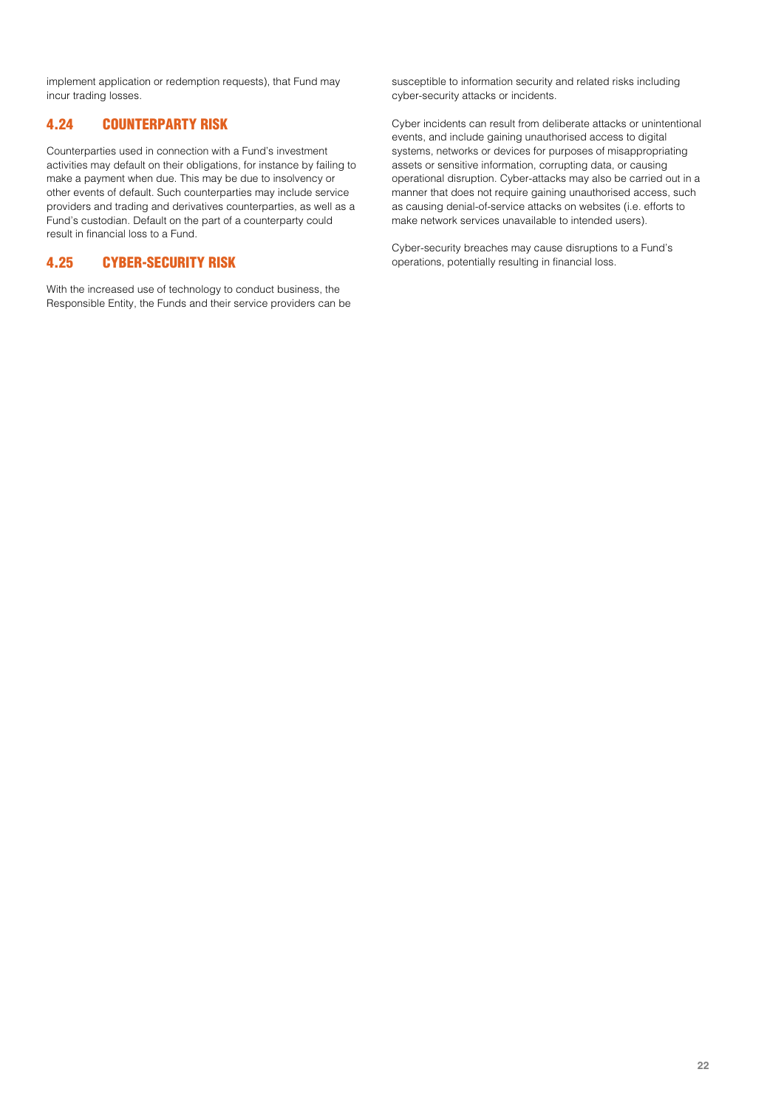implement application or redemption requests), that Fund may incur trading losses.

## 4.24 COUNTERPARTY RISK

Counterparties used in connection with a Fund's investment activities may default on their obligations, for instance by failing to make a payment when due. This may be due to insolvency or other events of default. Such counterparties may include service providers and trading and derivatives counterparties, as well as a Fund's custodian. Default on the part of a counterparty could result in financial loss to a Fund.

## 4.25 CYBER-SECURITY RISK

With the increased use of technology to conduct business, the Responsible Entity, the Funds and their service providers can be susceptible to information security and related risks including cyber-security attacks or incidents.

Cyber incidents can result from deliberate attacks or unintentional events, and include gaining unauthorised access to digital systems, networks or devices for purposes of misappropriating assets or sensitive information, corrupting data, or causing operational disruption. Cyber-attacks may also be carried out in a manner that does not require gaining unauthorised access, such as causing denial-of-service attacks on websites (i.e. efforts to make network services unavailable to intended users).

Cyber-security breaches may cause disruptions to a Fund's operations, potentially resulting in financial loss.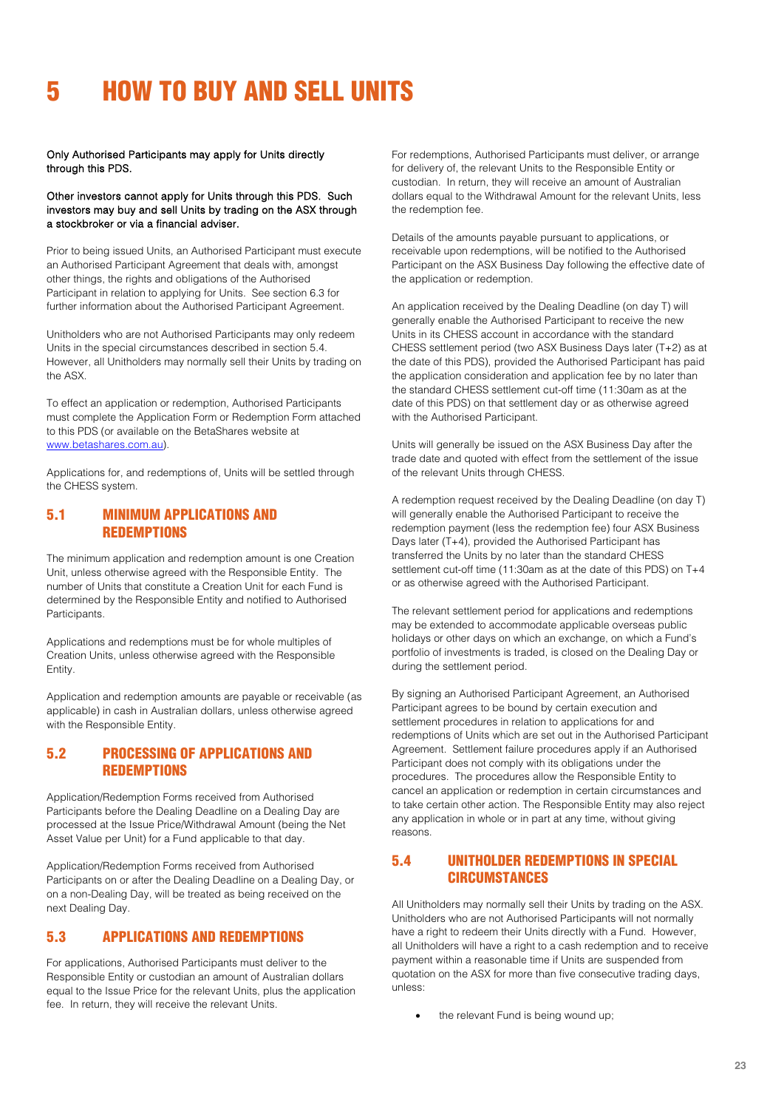## <span id="page-23-0"></span>5 HOW TO BUY AND SELL UNITS

Only Authorised Participants may apply for Units directly through this PDS.

#### Other investors cannot apply for Units through this PDS. Such investors may buy and sell Units by trading on the ASX through a stockbroker or via a financial adviser.

Prior to being issued Units, an Authorised Participant must execute an Authorised Participant Agreement that deals with, amongst other things, the rights and obligations of the Authorised Participant in relation to applying for Units. See section 6.3 for further information about the Authorised Participant Agreement.

Unitholders who are not Authorised Participants may only redeem Units in the special circumstances described in section 5.4. However, all Unitholders may normally sell their Units by trading on the ASX.

To effect an application or redemption, Authorised Participants must complete the Application Form or Redemption Form attached to this PDS (or available on the BetaShares website at [www.betashares.com.au\)](http://www.betashares.com.au/).

Applications for, and redemptions of, Units will be settled through the CHESS system.

## 5.1 MINIMUM APPLICATIONS AND **REDEMPTIONS**

The minimum application and redemption amount is one Creation Unit, unless otherwise agreed with the Responsible Entity. The number of Units that constitute a Creation Unit for each Fund is determined by the Responsible Entity and notified to Authorised Participants.

Applications and redemptions must be for whole multiples of Creation Units, unless otherwise agreed with the Responsible Entity.

Application and redemption amounts are payable or receivable (as applicable) in cash in Australian dollars, unless otherwise agreed with the Responsible Entity.

## 5.2 PROCESSING OF APPLICATIONS AND **REDEMPTIONS**

Application/Redemption Forms received from Authorised Participants before the Dealing Deadline on a Dealing Day are processed at the Issue Price/Withdrawal Amount (being the Net Asset Value per Unit) for a Fund applicable to that day.

Application/Redemption Forms received from Authorised Participants on or after the Dealing Deadline on a Dealing Day, or on a non-Dealing Day, will be treated as being received on the next Dealing Day.

## 5.3 APPLICATIONS AND REDEMPTIONS

For applications, Authorised Participants must deliver to the Responsible Entity or custodian an amount of Australian dollars equal to the Issue Price for the relevant Units, plus the application fee. In return, they will receive the relevant Units.

For redemptions, Authorised Participants must deliver, or arrange for delivery of, the relevant Units to the Responsible Entity or custodian. In return, they will receive an amount of Australian dollars equal to the Withdrawal Amount for the relevant Units, less the redemption fee.

Details of the amounts payable pursuant to applications, or receivable upon redemptions, will be notified to the Authorised Participant on the ASX Business Day following the effective date of the application or redemption.

An application received by the Dealing Deadline (on day T) will generally enable the Authorised Participant to receive the new Units in its CHESS account in accordance with the standard CHESS settlement period (two ASX Business Days later (T+2) as at the date of this PDS), provided the Authorised Participant has paid the application consideration and application fee by no later than the standard CHESS settlement cut-off time (11:30am as at the date of this PDS) on that settlement day or as otherwise agreed with the Authorised Participant.

Units will generally be issued on the ASX Business Day after the trade date and quoted with effect from the settlement of the issue of the relevant Units through CHESS.

A redemption request received by the Dealing Deadline (on day T) will generally enable the Authorised Participant to receive the redemption payment (less the redemption fee) four ASX Business Days later (T+4), provided the Authorised Participant has transferred the Units by no later than the standard CHESS settlement cut-off time (11:30am as at the date of this PDS) on T+4 or as otherwise agreed with the Authorised Participant.

The relevant settlement period for applications and redemptions may be extended to accommodate applicable overseas public holidays or other days on which an exchange, on which a Fund's portfolio of investments is traded, is closed on the Dealing Day or during the settlement period.

By signing an Authorised Participant Agreement, an Authorised Participant agrees to be bound by certain execution and settlement procedures in relation to applications for and redemptions of Units which are set out in the Authorised Participant Agreement. Settlement failure procedures apply if an Authorised Participant does not comply with its obligations under the procedures. The procedures allow the Responsible Entity to cancel an application or redemption in certain circumstances and to take certain other action. The Responsible Entity may also reject any application in whole or in part at any time, without giving reasons.

## 5.4 UNITHOLDER REDEMPTIONS IN SPECIAL **CIRCUMSTANCES**

All Unitholders may normally sell their Units by trading on the ASX. Unitholders who are not Authorised Participants will not normally have a right to redeem their Units directly with a Fund. However, all Unitholders will have a right to a cash redemption and to receive payment within a reasonable time if Units are suspended from quotation on the ASX for more than five consecutive trading days, unless:

the relevant Fund is being wound up;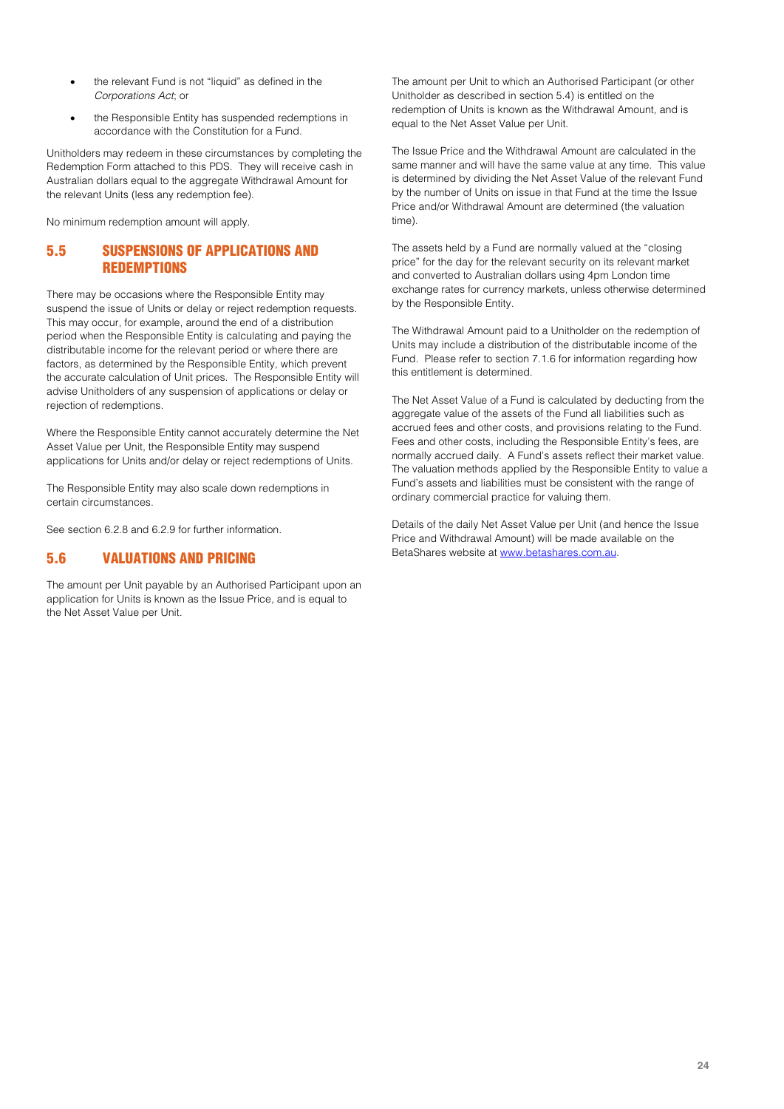- the relevant Fund is not "liquid" as defined in the *Corporations Act*; or
- the Responsible Entity has suspended redemptions in accordance with the Constitution for a Fund.

Unitholders may redeem in these circumstances by completing the Redemption Form attached to this PDS. They will receive cash in Australian dollars equal to the aggregate Withdrawal Amount for the relevant Units (less any redemption fee).

No minimum redemption amount will apply.

## 5.5 SUSPENSIONS OF APPLICATIONS AND **REDEMPTIONS**

There may be occasions where the Responsible Entity may suspend the issue of Units or delay or reject redemption requests. This may occur, for example, around the end of a distribution period when the Responsible Entity is calculating and paying the distributable income for the relevant period or where there are factors, as determined by the Responsible Entity, which prevent the accurate calculation of Unit prices. The Responsible Entity will advise Unitholders of any suspension of applications or delay or rejection of redemptions.

Where the Responsible Entity cannot accurately determine the Net Asset Value per Unit, the Responsible Entity may suspend applications for Units and/or delay or reject redemptions of Units.

The Responsible Entity may also scale down redemptions in certain circumstances.

See section 6.2.8 and 6.2.9 for further information.

## 5.6 VALUATIONS AND PRICING

The amount per Unit payable by an Authorised Participant upon an application for Units is known as the Issue Price, and is equal to the Net Asset Value per Unit.

The amount per Unit to which an Authorised Participant (or other Unitholder as described in section 5.4) is entitled on the redemption of Units is known as the Withdrawal Amount, and is equal to the Net Asset Value per Unit.

The Issue Price and the Withdrawal Amount are calculated in the same manner and will have the same value at any time. This value is determined by dividing the Net Asset Value of the relevant Fund by the number of Units on issue in that Fund at the time the Issue Price and/or Withdrawal Amount are determined (the valuation time).

The assets held by a Fund are normally valued at the "closing price" for the day for the relevant security on its relevant market and converted to Australian dollars using 4pm London time exchange rates for currency markets, unless otherwise determined by the Responsible Entity.

The Withdrawal Amount paid to a Unitholder on the redemption of Units may include a distribution of the distributable income of the Fund. Please refer to section 7.1.6 for information regarding how this entitlement is determined.

The Net Asset Value of a Fund is calculated by deducting from the aggregate value of the assets of the Fund all liabilities such as accrued fees and other costs, and provisions relating to the Fund. Fees and other costs, including the Responsible Entity's fees, are normally accrued daily. A Fund's assets reflect their market value. The valuation methods applied by the Responsible Entity to value a Fund's assets and liabilities must be consistent with the range of ordinary commercial practice for valuing them.

Details of the daily Net Asset Value per Unit (and hence the Issue Price and Withdrawal Amount) will be made available on the BetaShares website at [www.betashares.com.au.](http://www.betashares.com.au/)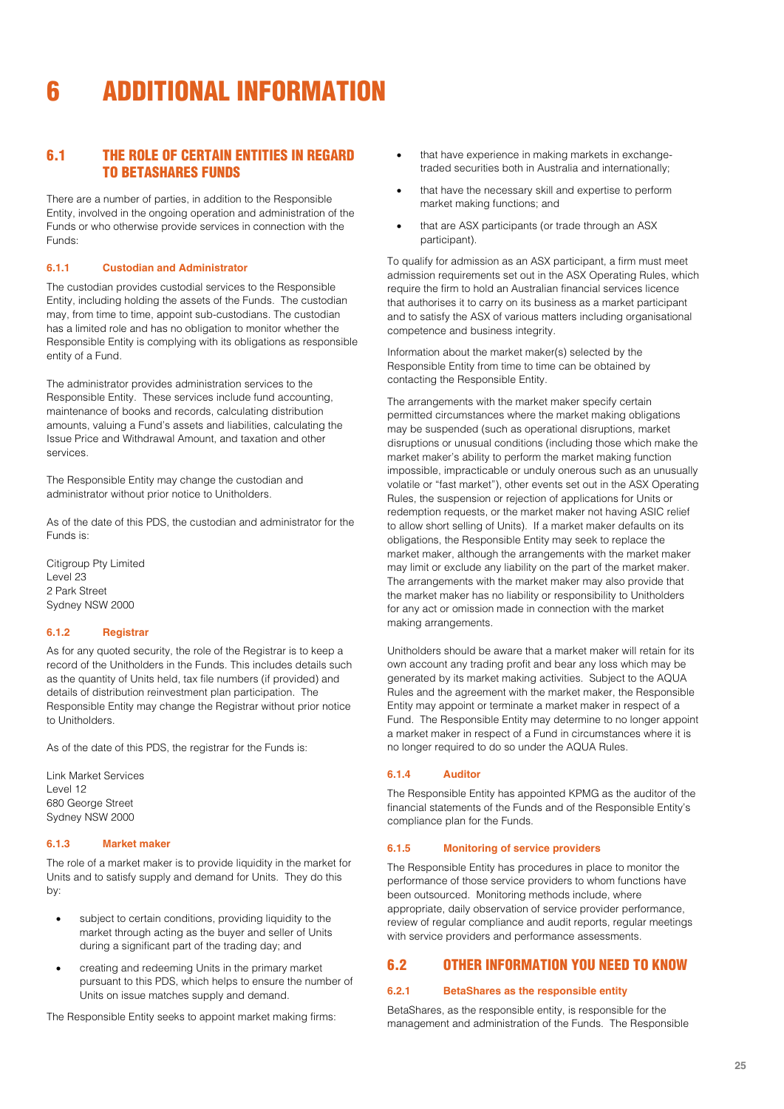## <span id="page-25-0"></span>6 ADDITIONAL INFORMATION

## 6.1 THE ROLE OF CERTAIN ENTITIES IN REGARD TO BETASHARES FUNDS

There are a number of parties, in addition to the Responsible Entity, involved in the ongoing operation and administration of the Funds or who otherwise provide services in connection with the Funds:

#### **6.1.1 Custodian and Administrator**

The custodian provides custodial services to the Responsible Entity, including holding the assets of the Funds. The custodian may, from time to time, appoint sub-custodians. The custodian has a limited role and has no obligation to monitor whether the Responsible Entity is complying with its obligations as responsible entity of a Fund.

The administrator provides administration services to the Responsible Entity. These services include fund accounting, maintenance of books and records, calculating distribution amounts, valuing a Fund's assets and liabilities, calculating the Issue Price and Withdrawal Amount, and taxation and other services.

The Responsible Entity may change the custodian and administrator without prior notice to Unitholders.

As of the date of this PDS, the custodian and administrator for the Funds is:

Citigroup Pty Limited Level 23 2 Park Street Sydney NSW 2000

#### **6.1.2 Registrar**

As for any quoted security, the role of the Registrar is to keep a record of the Unitholders in the Funds. This includes details such as the quantity of Units held, tax file numbers (if provided) and details of distribution reinvestment plan participation. The Responsible Entity may change the Registrar without prior notice to Unitholders.

As of the date of this PDS, the registrar for the Funds is:

Link Market Services Level 12 680 George Street Sydney NSW 2000

#### **6.1.3 Market maker**

The role of a market maker is to provide liquidity in the market for Units and to satisfy supply and demand for Units. They do this by:

- subject to certain conditions, providing liquidity to the market through acting as the buyer and seller of Units during a significant part of the trading day; and
- creating and redeeming Units in the primary market pursuant to this PDS, which helps to ensure the number of Units on issue matches supply and demand.

The Responsible Entity seeks to appoint market making firms:

- that have experience in making markets in exchangetraded securities both in Australia and internationally;
- that have the necessary skill and expertise to perform market making functions; and
- that are ASX participants (or trade through an ASX participant).

To qualify for admission as an ASX participant, a firm must meet admission requirements set out in the ASX Operating Rules, which require the firm to hold an Australian financial services licence that authorises it to carry on its business as a market participant and to satisfy the ASX of various matters including organisational competence and business integrity.

Information about the market maker(s) selected by the Responsible Entity from time to time can be obtained by contacting the Responsible Entity.

The arrangements with the market maker specify certain permitted circumstances where the market making obligations may be suspended (such as operational disruptions, market disruptions or unusual conditions (including those which make the market maker's ability to perform the market making function impossible, impracticable or unduly onerous such as an unusually volatile or "fast market"), other events set out in the ASX Operating Rules, the suspension or rejection of applications for Units or redemption requests, or the market maker not having ASIC relief to allow short selling of Units). If a market maker defaults on its obligations, the Responsible Entity may seek to replace the market maker, although the arrangements with the market maker may limit or exclude any liability on the part of the market maker. The arrangements with the market maker may also provide that the market maker has no liability or responsibility to Unitholders for any act or omission made in connection with the market making arrangements.

Unitholders should be aware that a market maker will retain for its own account any trading profit and bear any loss which may be generated by its market making activities. Subject to the AQUA Rules and the agreement with the market maker, the Responsible Entity may appoint or terminate a market maker in respect of a Fund. The Responsible Entity may determine to no longer appoint a market maker in respect of a Fund in circumstances where it is no longer required to do so under the AQUA Rules.

#### **6.1.4 Auditor**

The Responsible Entity has appointed KPMG as the auditor of the financial statements of the Funds and of the Responsible Entity's compliance plan for the Funds.

#### **6.1.5 Monitoring of service providers**

The Responsible Entity has procedures in place to monitor the performance of those service providers to whom functions have been outsourced. Monitoring methods include, where appropriate, daily observation of service provider performance, review of regular compliance and audit reports, regular meetings with service providers and performance assessments.

## 6.2 OTHER INFORMATION YOU NEED TO KNOW

#### **6.2.1 BetaShares as the responsible entity**

BetaShares, as the responsible entity, is responsible for the management and administration of the Funds. The Responsible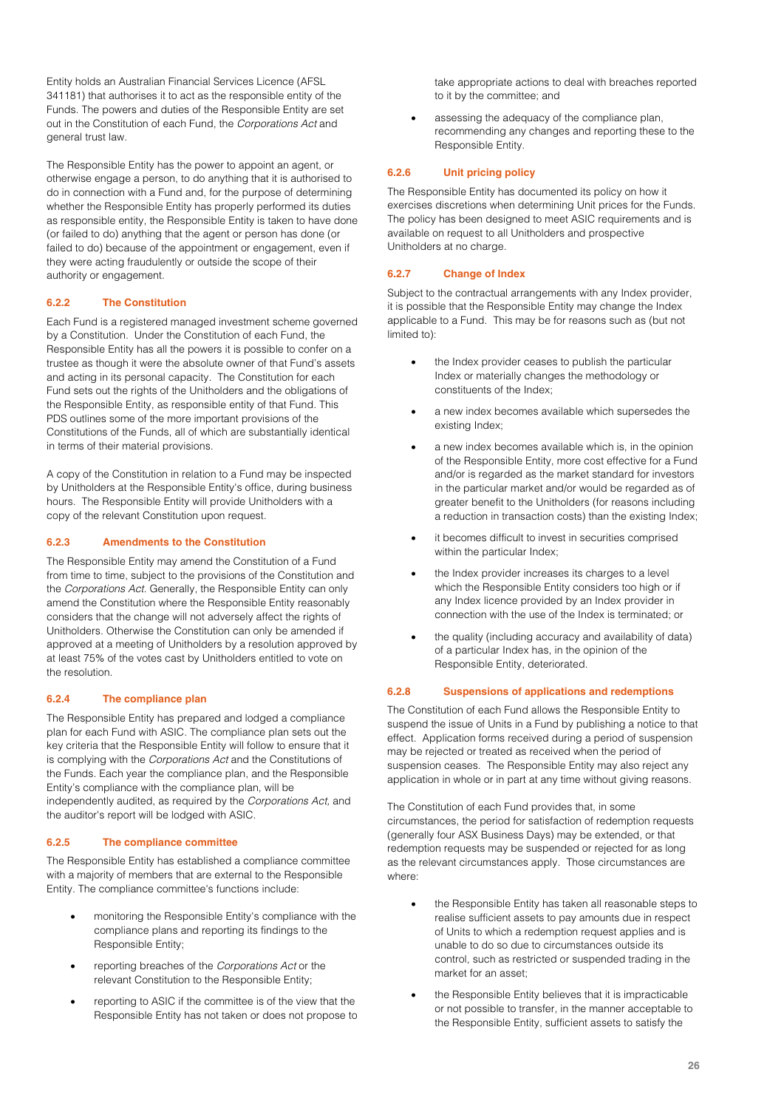Entity holds an Australian Financial Services Licence (AFSL 341181) that authorises it to act as the responsible entity of the Funds. The powers and duties of the Responsible Entity are set out in the Constitution of each Fund, the *Corporations Act* and general trust law.

The Responsible Entity has the power to appoint an agent, or otherwise engage a person, to do anything that it is authorised to do in connection with a Fund and, for the purpose of determining whether the Responsible Entity has properly performed its duties as responsible entity, the Responsible Entity is taken to have done (or failed to do) anything that the agent or person has done (or failed to do) because of the appointment or engagement, even if they were acting fraudulently or outside the scope of their authority or engagement.

#### **6.2.2 The Constitution**

Each Fund is a registered managed investment scheme governed by a Constitution. Under the Constitution of each Fund, the Responsible Entity has all the powers it is possible to confer on a trustee as though it were the absolute owner of that Fund's assets and acting in its personal capacity. The Constitution for each Fund sets out the rights of the Unitholders and the obligations of the Responsible Entity, as responsible entity of that Fund. This PDS outlines some of the more important provisions of the Constitutions of the Funds, all of which are substantially identical in terms of their material provisions.

A copy of the Constitution in relation to a Fund may be inspected by Unitholders at the Responsible Entity's office, during business hours. The Responsible Entity will provide Unitholders with a copy of the relevant Constitution upon request.

#### **6.2.3 Amendments to the Constitution**

The Responsible Entity may amend the Constitution of a Fund from time to time, subject to the provisions of the Constitution and the *Corporations Act.* Generally, the Responsible Entity can only amend the Constitution where the Responsible Entity reasonably considers that the change will not adversely affect the rights of Unitholders. Otherwise the Constitution can only be amended if approved at a meeting of Unitholders by a resolution approved by at least 75% of the votes cast by Unitholders entitled to vote on the resolution.

#### **6.2.4 The compliance plan**

The Responsible Entity has prepared and lodged a compliance plan for each Fund with ASIC. The compliance plan sets out the key criteria that the Responsible Entity will follow to ensure that it is complying with the *Corporations Act* and the Constitutions of the Funds. Each year the compliance plan, and the Responsible Entity's compliance with the compliance plan, will be independently audited, as required by the *Corporations Act,* and the auditor's report will be lodged with ASIC.

#### **6.2.5 The compliance committee**

The Responsible Entity has established a compliance committee with a majority of members that are external to the Responsible Entity. The compliance committee's functions include:

- monitoring the Responsible Entity's compliance with the compliance plans and reporting its findings to the Responsible Entity;
- reporting breaches of the *Corporations Act* or the relevant Constitution to the Responsible Entity;
- reporting to ASIC if the committee is of the view that the Responsible Entity has not taken or does not propose to

take appropriate actions to deal with breaches reported to it by the committee; and

assessing the adequacy of the compliance plan, recommending any changes and reporting these to the Responsible Entity.

#### **6.2.6 Unit pricing policy**

The Responsible Entity has documented its policy on how it exercises discretions when determining Unit prices for the Funds. The policy has been designed to meet ASIC requirements and is available on request to all Unitholders and prospective Unitholders at no charge.

#### <span id="page-26-1"></span>**6.2.7 Change of Index**

Subject to the contractual arrangements with any Index provider, it is possible that the Responsible Entity may change the Index applicable to a Fund. This may be for reasons such as (but not limited to):

- the Index provider ceases to publish the particular Index or materially changes the methodology or constituents of the Index;
- a new index becomes available which supersedes the existing Index;
- a new index becomes available which is, in the opinion of the Responsible Entity, more cost effective for a Fund and/or is regarded as the market standard for investors in the particular market and/or would be regarded as of greater benefit to the Unitholders (for reasons including a reduction in transaction costs) than the existing Index;
- it becomes difficult to invest in securities comprised within the particular Index:
- the Index provider increases its charges to a level which the Responsible Entity considers too high or if any Index licence provided by an Index provider in connection with the use of the Index is terminated; or
- the quality (including accuracy and availability of data) of a particular Index has, in the opinion of the Responsible Entity, deteriorated.

#### <span id="page-26-0"></span>**6.2.8 Suspensions of applications and redemptions**

The Constitution of each Fund allows the Responsible Entity to suspend the issue of Units in a Fund by publishing a notice to that effect. Application forms received during a period of suspension may be rejected or treated as received when the period of suspension ceases. The Responsible Entity may also reject any application in whole or in part at any time without giving reasons.

The Constitution of each Fund provides that, in some circumstances, the period for satisfaction of redemption requests (generally four ASX Business Days) may be extended, or that redemption requests may be suspended or rejected for as long as the relevant circumstances apply. Those circumstances are where:

- the Responsible Entity has taken all reasonable steps to realise sufficient assets to pay amounts due in respect of Units to which a redemption request applies and is unable to do so due to circumstances outside its control, such as restricted or suspended trading in the market for an asset;
- the Responsible Entity believes that it is impracticable or not possible to transfer, in the manner acceptable to the Responsible Entity, sufficient assets to satisfy the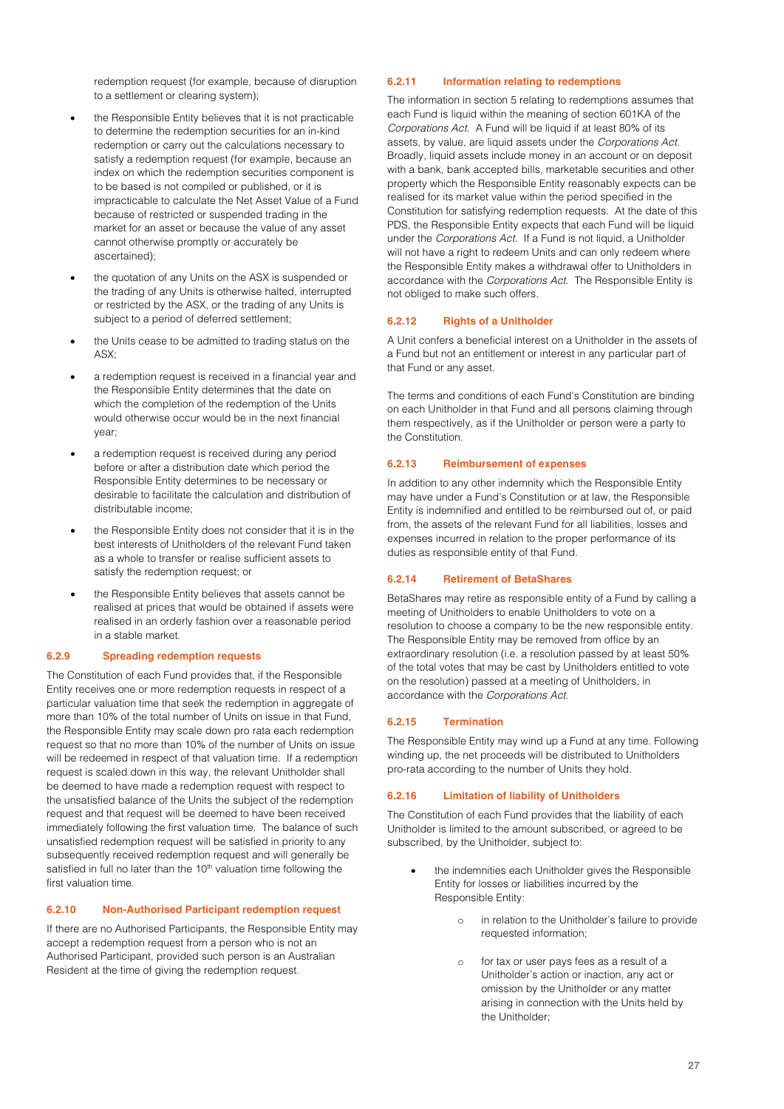redemption request (for example, because of disruption to a settlement or clearing system);

- the Responsible Entity believes that it is not practicable to determine the redemption securities for an in-kind redemption or carry out the calculations necessary to satisfy a redemption request (for example, because an index on which the redemption securities component is to be based is not compiled or published, or it is impracticable to calculate the Net Asset Value of a Fund because of restricted or suspended trading in the market for an asset or because the value of any asset cannot otherwise promptly or accurately be ascertained);
- the quotation of any Units on the ASX is suspended or the trading of any Units is otherwise halted, interrupted or restricted by the ASX, or the trading of any Units is subject to a period of deferred settlement;
- the Units cease to be admitted to trading status on the ASX;
- a redemption request is received in a financial year and the Responsible Entity determines that the date on which the completion of the redemption of the Units would otherwise occur would be in the next financial year;
- a redemption request is received during any period before or after a distribution date which period the Responsible Entity determines to be necessary or desirable to facilitate the calculation and distribution of distributable income;
- the Responsible Entity does not consider that it is in the best interests of Unitholders of the relevant Fund taken as a whole to transfer or realise sufficient assets to satisfy the redemption request; or
- the Responsible Entity believes that assets cannot be realised at prices that would be obtained if assets were realised in an orderly fashion over a reasonable period in a stable market.

#### <span id="page-27-0"></span>**6.2.9 Spreading redemption requests**

The Constitution of each Fund provides that, if the Responsible Entity receives one or more redemption requests in respect of a particular valuation time that seek the redemption in aggregate of more than 10% of the total number of Units on issue in that Fund, the Responsible Entity may scale down pro rata each redemption request so that no more than 10% of the number of Units on issue will be redeemed in respect of that valuation time. If a redemption request is scaled down in this way, the relevant Unitholder shall be deemed to have made a redemption request with respect to the unsatisfied balance of the Units the subject of the redemption request and that request will be deemed to have been received immediately following the first valuation time. The balance of such unsatisfied redemption request will be satisfied in priority to any subsequently received redemption request and will generally be satisfied in full no later than the  $10<sup>th</sup>$  valuation time following the first valuation time.

#### **6.2.10 Non-Authorised Participant redemption request**

If there are no Authorised Participants, the Responsible Entity may accept a redemption request from a person who is not an Authorised Participant, provided such person is an Australian Resident at the time of giving the redemption request.

#### **6.2.11 Information relating to redemptions**

The information in section [5](#page-23-0) relating to redemptions assumes that each Fund is liquid within the meaning of section 601KA of the *Corporations Act*. A Fund will be liquid if at least 80% of its assets, by value, are liquid assets under the *Corporations Act*. Broadly, liquid assets include money in an account or on deposit with a bank, bank accepted bills, marketable securities and other property which the Responsible Entity reasonably expects can be realised for its market value within the period specified in the Constitution for satisfying redemption requests. At the date of this PDS, the Responsible Entity expects that each Fund will be liquid under the *Corporations Act*. If a Fund is not liquid, a Unitholder will not have a right to redeem Units and can only redeem where the Responsible Entity makes a withdrawal offer to Unitholders in accordance with the *Corporations Act*. The Responsible Entity is not obliged to make such offers.

#### **6.2.12 Rights of a Unitholder**

A Unit confers a beneficial interest on a Unitholder in the assets of a Fund but not an entitlement or interest in any particular part of that Fund or any asset.

The terms and conditions of each Fund's Constitution are binding on each Unitholder in that Fund and all persons claiming through them respectively, as if the Unitholder or person were a party to the Constitution.

#### **6.2.13 Reimbursement of expenses**

In addition to any other indemnity which the Responsible Entity may have under a Fund's Constitution or at law, the Responsible Entity is indemnified and entitled to be reimbursed out of, or paid from, the assets of the relevant Fund for all liabilities, losses and expenses incurred in relation to the proper performance of its duties as responsible entity of that Fund.

#### **6.2.14 Retirement of BetaShares**

BetaShares may retire as responsible entity of a Fund by calling a meeting of Unitholders to enable Unitholders to vote on a resolution to choose a company to be the new responsible entity. The Responsible Entity may be removed from office by an extraordinary resolution (i.e. a resolution passed by at least 50% of the total votes that may be cast by Unitholders entitled to vote on the resolution) passed at a meeting of Unitholders, in accordance with the *Corporations Act.* 

#### **6.2.15 Termination**

The Responsible Entity may wind up a Fund at any time. Following winding up, the net proceeds will be distributed to Unitholders pro-rata according to the number of Units they hold.

#### **6.2.16 Limitation of liability of Unitholders**

The Constitution of each Fund provides that the liability of each Unitholder is limited to the amount subscribed, or agreed to be subscribed, by the Unitholder, subject to:

- the indemnities each Unitholder gives the Responsible Entity for losses or liabilities incurred by the Responsible Entity:
	- in relation to the Unitholder's failure to provide requested information;
	- o for tax or user pays fees as a result of a Unitholder's action or inaction, any act or omission by the Unitholder or any matter arising in connection with the Units held by the Unitholder;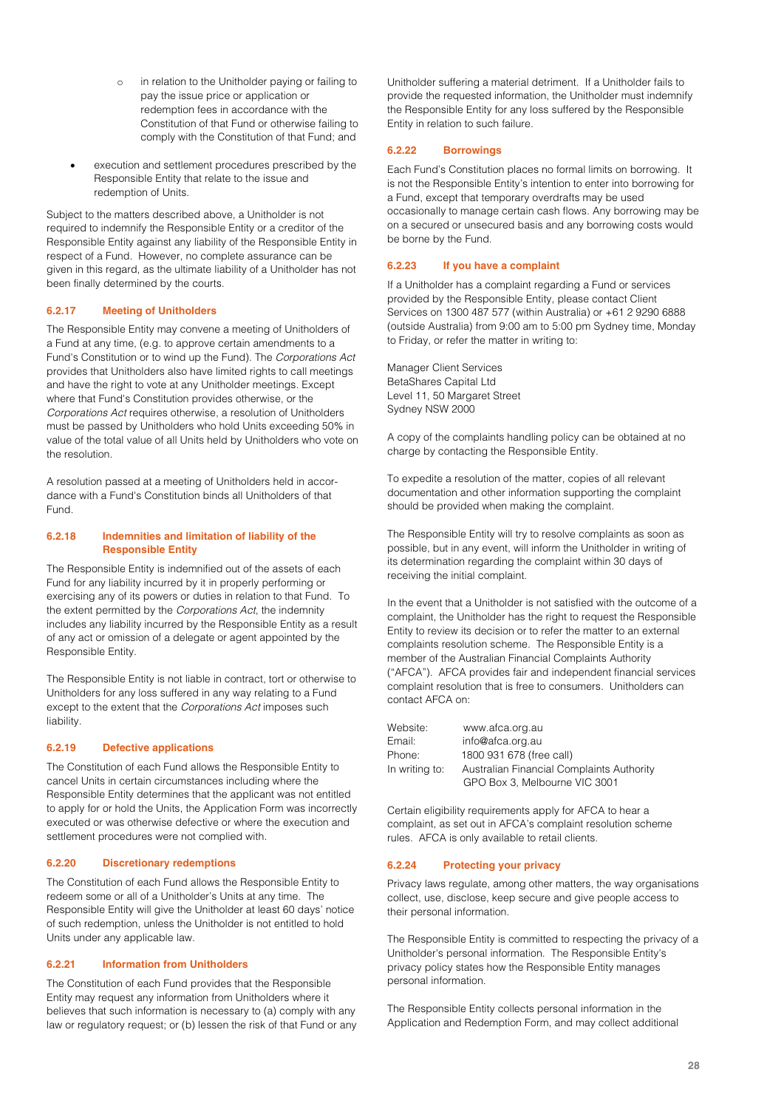- o in relation to the Unitholder paying or failing to pay the issue price or application or redemption fees in accordance with the Constitution of that Fund or otherwise failing to comply with the Constitution of that Fund; and
- execution and settlement procedures prescribed by the Responsible Entity that relate to the issue and redemption of Units.

Subject to the matters described above, a Unitholder is not required to indemnify the Responsible Entity or a creditor of the Responsible Entity against any liability of the Responsible Entity in respect of a Fund. However, no complete assurance can be given in this regard, as the ultimate liability of a Unitholder has not been finally determined by the courts.

#### **6.2.17 Meeting of Unitholders**

The Responsible Entity may convene a meeting of Unitholders of a Fund at any time, (e.g. to approve certain amendments to a Fund's Constitution or to wind up the Fund). The *Corporations Act* provides that Unitholders also have limited rights to call meetings and have the right to vote at any Unitholder meetings. Except where that Fund's Constitution provides otherwise, or the *Corporations Act* requires otherwise, a resolution of Unitholders must be passed by Unitholders who hold Units exceeding 50% in value of the total value of all Units held by Unitholders who vote on the resolution.

A resolution passed at a meeting of Unitholders held in accordance with a Fund's Constitution binds all Unitholders of that Fund.

#### **6.2.18 Indemnities and limitation of liability of the Responsible Entity**

The Responsible Entity is indemnified out of the assets of each Fund for any liability incurred by it in properly performing or exercising any of its powers or duties in relation to that Fund. To the extent permitted by the *Corporations Act*, the indemnity includes any liability incurred by the Responsible Entity as a result of any act or omission of a delegate or agent appointed by the Responsible Entity.

The Responsible Entity is not liable in contract, tort or otherwise to Unitholders for any loss suffered in any way relating to a Fund except to the extent that the *Corporations Act* imposes such liability.

#### **6.2.19 Defective applications**

The Constitution of each Fund allows the Responsible Entity to cancel Units in certain circumstances including where the Responsible Entity determines that the applicant was not entitled to apply for or hold the Units, the Application Form was incorrectly executed or was otherwise defective or where the execution and settlement procedures were not complied with.

#### **6.2.20 Discretionary redemptions**

The Constitution of each Fund allows the Responsible Entity to redeem some or all of a Unitholder's Units at any time. The Responsible Entity will give the Unitholder at least 60 days' notice of such redemption, unless the Unitholder is not entitled to hold Units under any applicable law.

#### **6.2.21 Information from Unitholders**

The Constitution of each Fund provides that the Responsible Entity may request any information from Unitholders where it believes that such information is necessary to (a) comply with any law or regulatory request; or (b) lessen the risk of that Fund or any Unitholder suffering a material detriment. If a Unitholder fails to provide the requested information, the Unitholder must indemnify the Responsible Entity for any loss suffered by the Responsible Entity in relation to such failure.

#### **6.2.22 Borrowings**

Each Fund's Constitution places no formal limits on borrowing. It is not the Responsible Entity's intention to enter into borrowing for a Fund, except that temporary overdrafts may be used occasionally to manage certain cash flows. Any borrowing may be on a secured or unsecured basis and any borrowing costs would be borne by the Fund.

#### **6.2.23 If you have a complaint**

If a Unitholder has a complaint regarding a Fund or services provided by the Responsible Entity, please contact Client Services on 1300 487 577 (within Australia) or +61 2 9290 6888 (outside Australia) from 9:00 am to 5:00 pm Sydney time, Monday to Friday, or refer the matter in writing to:

Manager Client Services BetaShares Capital Ltd Level 11, 50 Margaret Street Sydney NSW 2000

A copy of the complaints handling policy can be obtained at no charge by contacting the Responsible Entity.

To expedite a resolution of the matter, copies of all relevant documentation and other information supporting the complaint should be provided when making the complaint.

The Responsible Entity will try to resolve complaints as soon as possible, but in any event, will inform the Unitholder in writing of its determination regarding the complaint within 30 days of receiving the initial complaint.

In the event that a Unitholder is not satisfied with the outcome of a complaint, the Unitholder has the right to request the Responsible Entity to review its decision or to refer the matter to an external complaints resolution scheme. The Responsible Entity is a member of the Australian Financial Complaints Authority ("AFCA"). AFCA provides fair and independent financial services complaint resolution that is free to consumers. Unitholders can contact AFCA on:

| Website:       | www.afca.org.au                           |
|----------------|-------------------------------------------|
| Email:         | info@afca.org.au                          |
| Phone:         | 1800 931 678 (free call)                  |
| In writing to: | Australian Financial Complaints Authority |
|                | GPO Box 3, Melbourne VIC 3001             |

Certain eligibility requirements apply for AFCA to hear a complaint, as set out in AFCA's complaint resolution scheme rules. AFCA is only available to retail clients.

#### **6.2.24 Protecting your privacy**

Privacy laws regulate, among other matters, the way organisations collect, use, disclose, keep secure and give people access to their personal information.

The Responsible Entity is committed to respecting the privacy of a Unitholder's personal information. The Responsible Entity's privacy policy states how the Responsible Entity manages personal information.

The Responsible Entity collects personal information in the Application and Redemption Form, and may collect additional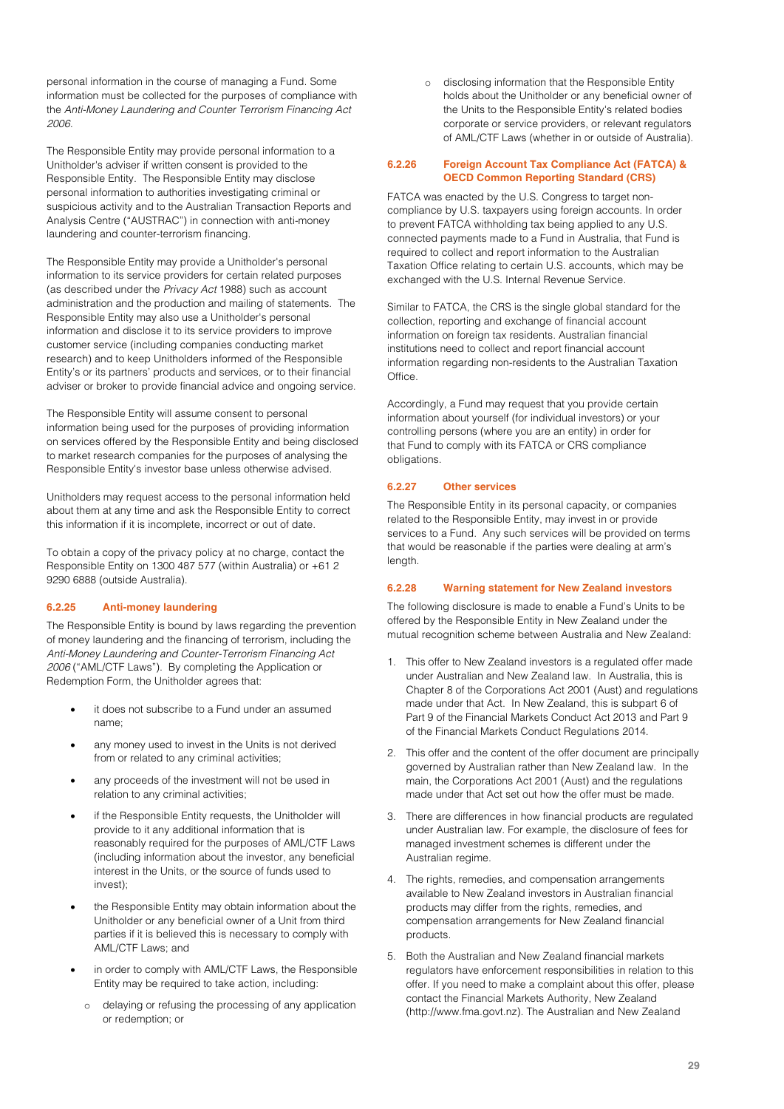personal information in the course of managing a Fund. Some information must be collected for the purposes of compliance with the *Anti-Money Laundering and Counter Terrorism Financing Act 2006.* 

The Responsible Entity may provide personal information to a Unitholder's adviser if written consent is provided to the Responsible Entity. The Responsible Entity may disclose personal information to authorities investigating criminal or suspicious activity and to the Australian Transaction Reports and Analysis Centre ("AUSTRAC") in connection with anti-money laundering and counter-terrorism financing.

The Responsible Entity may provide a Unitholder's personal information to its service providers for certain related purposes (as described under the *Privacy Act* 1988) such as account administration and the production and mailing of statements. The Responsible Entity may also use a Unitholder's personal information and disclose it to its service providers to improve customer service (including companies conducting market research) and to keep Unitholders informed of the Responsible Entity's or its partners' products and services, or to their financial adviser or broker to provide financial advice and ongoing service.

The Responsible Entity will assume consent to personal information being used for the purposes of providing information on services offered by the Responsible Entity and being disclosed to market research companies for the purposes of analysing the Responsible Entity's investor base unless otherwise advised.

Unitholders may request access to the personal information held about them at any time and ask the Responsible Entity to correct this information if it is incomplete, incorrect or out of date.

To obtain a copy of the privacy policy at no charge, contact the Responsible Entity on 1300 487 577 (within Australia) or +61 2 9290 6888 (outside Australia).

#### **6.2.25 Anti-money laundering**

The Responsible Entity is bound by laws regarding the prevention of money laundering and the financing of terrorism, including the *Anti-Money Laundering and Counter-Terrorism Financing Act 2006* ("AML/CTF Laws"). By completing the Application or Redemption Form, the Unitholder agrees that:

- it does not subscribe to a Fund under an assumed name;
- any money used to invest in the Units is not derived from or related to any criminal activities;
- any proceeds of the investment will not be used in relation to any criminal activities;
- if the Responsible Entity requests, the Unitholder will provide to it any additional information that is reasonably required for the purposes of AML/CTF Laws (including information about the investor, any beneficial interest in the Units, or the source of funds used to invest);
- the Responsible Entity may obtain information about the Unitholder or any beneficial owner of a Unit from third parties if it is believed this is necessary to comply with AML/CTF Laws; and
- in order to comply with AML/CTF Laws, the Responsible Entity may be required to take action, including:
	- o delaying or refusing the processing of any application or redemption; or

o disclosing information that the Responsible Entity holds about the Unitholder or any beneficial owner of the Units to the Responsible Entity's related bodies corporate or service providers, or relevant regulators of AML/CTF Laws (whether in or outside of Australia).

#### **6.2.26 Foreign Account Tax Compliance Act (FATCA) & OECD Common Reporting Standard (CRS)**

FATCA was enacted by the U.S. Congress to target noncompliance by U.S. taxpayers using foreign accounts. In order to prevent FATCA withholding tax being applied to any U.S. connected payments made to a Fund in Australia, that Fund is required to collect and report information to the Australian Taxation Office relating to certain U.S. accounts, which may be exchanged with the U.S. Internal Revenue Service.

Similar to FATCA, the CRS is the single global standard for the collection, reporting and exchange of financial account information on foreign tax residents. Australian financial institutions need to collect and report financial account information regarding non-residents to the Australian Taxation Office.

Accordingly, a Fund may request that you provide certain information about yourself (for individual investors) or your controlling persons (where you are an entity) in order for that Fund to comply with its FATCA or CRS compliance obligations.

#### **6.2.27 Other services**

The Responsible Entity in its personal capacity, or companies related to the Responsible Entity, may invest in or provide services to a Fund. Any such services will be provided on terms that would be reasonable if the parties were dealing at arm's length.

#### **6.2.28 Warning statement for New Zealand investors**

The following disclosure is made to enable a Fund's Units to be offered by the Responsible Entity in New Zealand under the mutual recognition scheme between Australia and New Zealand:

- 1. This offer to New Zealand investors is a regulated offer made under Australian and New Zealand law. In Australia, this is Chapter 8 of the Corporations Act 2001 (Aust) and regulations made under that Act. In New Zealand, this is subpart 6 of Part 9 of the Financial Markets Conduct Act 2013 and Part 9 of the Financial Markets Conduct Regulations 2014.
- 2. This offer and the content of the offer document are principally governed by Australian rather than New Zealand law. In the main, the Corporations Act 2001 (Aust) and the regulations made under that Act set out how the offer must be made.
- 3. There are differences in how financial products are regulated under Australian law. For example, the disclosure of fees for managed investment schemes is different under the Australian regime.
- 4. The rights, remedies, and compensation arrangements available to New Zealand investors in Australian financial products may differ from the rights, remedies, and compensation arrangements for New Zealand financial products.
- 5. Both the Australian and New Zealand financial markets regulators have enforcement responsibilities in relation to this offer. If you need to make a complaint about this offer, please contact the Financial Markets Authority, New Zealand [\(http://www.fma.govt.nz\)](http://www.fma.govt.nz/). The Australian and New Zealand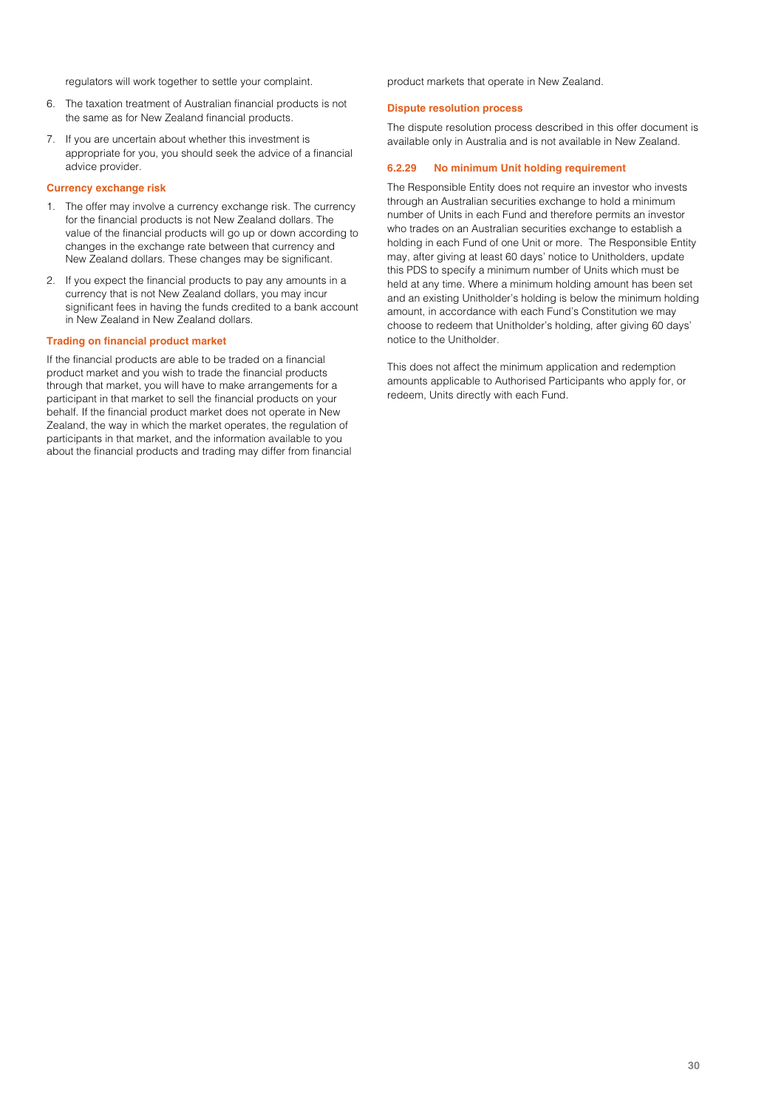regulators will work together to settle your complaint.

- 6. The taxation treatment of Australian financial products is not the same as for New Zealand financial products.
- 7. If you are uncertain about whether this investment is appropriate for you, you should seek the advice of a financial advice provider.

#### **Currency exchange risk**

- 1. The offer may involve a currency exchange risk. The currency for the financial products is not New Zealand dollars. The value of the financial products will go up or down according to changes in the exchange rate between that currency and New Zealand dollars. These changes may be significant.
- 2. If you expect the financial products to pay any amounts in a currency that is not New Zealand dollars, you may incur significant fees in having the funds credited to a bank account in New Zealand in New Zealand dollars.

#### **Trading on financial product market**

If the financial products are able to be traded on a financial product market and you wish to trade the financial products through that market, you will have to make arrangements for a participant in that market to sell the financial products on your behalf. If the financial product market does not operate in New Zealand, the way in which the market operates, the regulation of participants in that market, and the information available to you about the financial products and trading may differ from financial product markets that operate in New Zealand.

#### **Dispute resolution process**

The dispute resolution process described in this offer document is available only in Australia and is not available in New Zealand.

#### **6.2.29 No minimum Unit holding requirement**

The Responsible Entity does not require an investor who invests through an Australian securities exchange to hold a minimum number of Units in each Fund and therefore permits an investor who trades on an Australian securities exchange to establish a holding in each Fund of one Unit or more. The Responsible Entity may, after giving at least 60 days' notice to Unitholders, update this PDS to specify a minimum number of Units which must be held at any time. Where a minimum holding amount has been set and an existing Unitholder's holding is below the minimum holding amount, in accordance with each Fund's Constitution we may choose to redeem that Unitholder's holding, after giving 60 days' notice to the Unitholder.

This does not affect the minimum application and redemption amounts applicable to Authorised Participants who apply for, or redeem, Units directly with each Fund.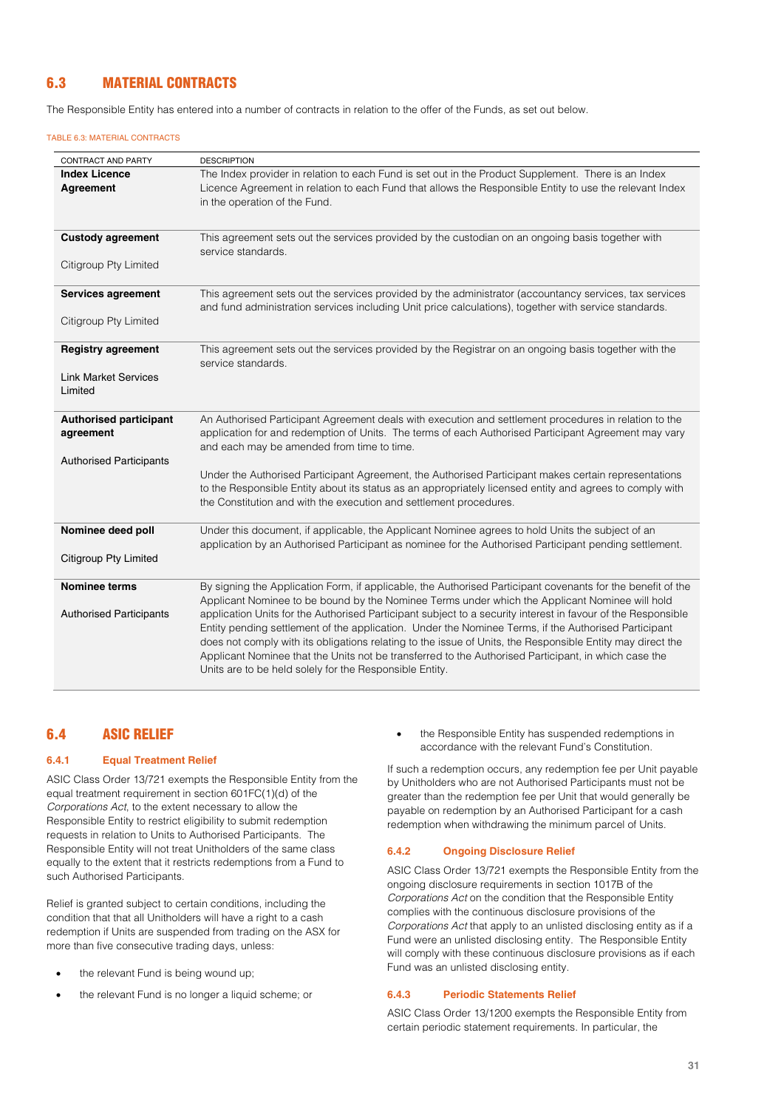## 6.3 MATERIAL CONTRACTS

The Responsible Entity has entered into a number of contracts in relation to the offer of the Funds, as set out below.

#### TABLE 6.3: MATERIAL CONTRACTS

| <b>CONTRACT AND PARTY</b>                                                    | <b>DESCRIPTION</b>                                                                                                                                                                                                                                                                                                                                                                                                                                                                                                                                                                                                                                                                                                     |
|------------------------------------------------------------------------------|------------------------------------------------------------------------------------------------------------------------------------------------------------------------------------------------------------------------------------------------------------------------------------------------------------------------------------------------------------------------------------------------------------------------------------------------------------------------------------------------------------------------------------------------------------------------------------------------------------------------------------------------------------------------------------------------------------------------|
| <b>Index Licence</b><br>Agreement                                            | The Index provider in relation to each Fund is set out in the Product Supplement. There is an Index<br>Licence Agreement in relation to each Fund that allows the Responsible Entity to use the relevant Index<br>in the operation of the Fund.                                                                                                                                                                                                                                                                                                                                                                                                                                                                        |
| <b>Custody agreement</b><br>Citigroup Pty Limited                            | This agreement sets out the services provided by the custodian on an ongoing basis together with<br>service standards.                                                                                                                                                                                                                                                                                                                                                                                                                                                                                                                                                                                                 |
| Services agreement<br>Citigroup Pty Limited                                  | This agreement sets out the services provided by the administrator (accountancy services, tax services<br>and fund administration services including Unit price calculations), together with service standards.                                                                                                                                                                                                                                                                                                                                                                                                                                                                                                        |
| <b>Registry agreement</b><br>Link Market Services<br>Limited                 | This agreement sets out the services provided by the Registrar on an ongoing basis together with the<br>service standards.                                                                                                                                                                                                                                                                                                                                                                                                                                                                                                                                                                                             |
| <b>Authorised participant</b><br>agreement<br><b>Authorised Participants</b> | An Authorised Participant Agreement deals with execution and settlement procedures in relation to the<br>application for and redemption of Units. The terms of each Authorised Participant Agreement may vary<br>and each may be amended from time to time.<br>Under the Authorised Participant Agreement, the Authorised Participant makes certain representations<br>to the Responsible Entity about its status as an appropriately licensed entity and agrees to comply with<br>the Constitution and with the execution and settlement procedures.                                                                                                                                                                  |
| Nominee deed poll<br><b>Citigroup Pty Limited</b>                            | Under this document, if applicable, the Applicant Nominee agrees to hold Units the subject of an<br>application by an Authorised Participant as nominee for the Authorised Participant pending settlement.                                                                                                                                                                                                                                                                                                                                                                                                                                                                                                             |
| <b>Nominee terms</b><br><b>Authorised Participants</b>                       | By signing the Application Form, if applicable, the Authorised Participant covenants for the benefit of the<br>Applicant Nominee to be bound by the Nominee Terms under which the Applicant Nominee will hold<br>application Units for the Authorised Participant subject to a security interest in favour of the Responsible<br>Entity pending settlement of the application. Under the Nominee Terms, if the Authorised Participant<br>does not comply with its obligations relating to the issue of Units, the Responsible Entity may direct the<br>Applicant Nominee that the Units not be transferred to the Authorised Participant, in which case the<br>Units are to be held solely for the Responsible Entity. |

### 6.4 ASIC RELIEF

#### **6.4.1 Equal Treatment Relief**

ASIC Class Order 13/721 exempts the Responsible Entity from the equal treatment requirement in section 601FC(1)(d) of the *Corporations Act*, to the extent necessary to allow the Responsible Entity to restrict eligibility to submit redemption requests in relation to Units to Authorised Participants. The Responsible Entity will not treat Unitholders of the same class equally to the extent that it restricts redemptions from a Fund to such Authorised Participants.

Relief is granted subject to certain conditions, including the condition that that all Unitholders will have a right to a cash redemption if Units are suspended from trading on the ASX for more than five consecutive trading days, unless:

- the relevant Fund is being wound up;
- the relevant Fund is no longer a liquid scheme; or

• the Responsible Entity has suspended redemptions in accordance with the relevant Fund's Constitution.

If such a redemption occurs, any redemption fee per Unit payable by Unitholders who are not Authorised Participants must not be greater than the redemption fee per Unit that would generally be payable on redemption by an Authorised Participant for a cash redemption when withdrawing the minimum parcel of Units.

#### **6.4.2 Ongoing Disclosure Relief**

ASIC Class Order 13/721 exempts the Responsible Entity from the ongoing disclosure requirements in section 1017B of the *Corporations Act* on the condition that the Responsible Entity complies with the continuous disclosure provisions of the *Corporations Act* that apply to an unlisted disclosing entity as if a Fund were an unlisted disclosing entity. The Responsible Entity will comply with these continuous disclosure provisions as if each Fund was an unlisted disclosing entity.

#### **6.4.3 Periodic Statements Relief**

ASIC Class Order 13/1200 exempts the Responsible Entity from certain periodic statement requirements. In particular, the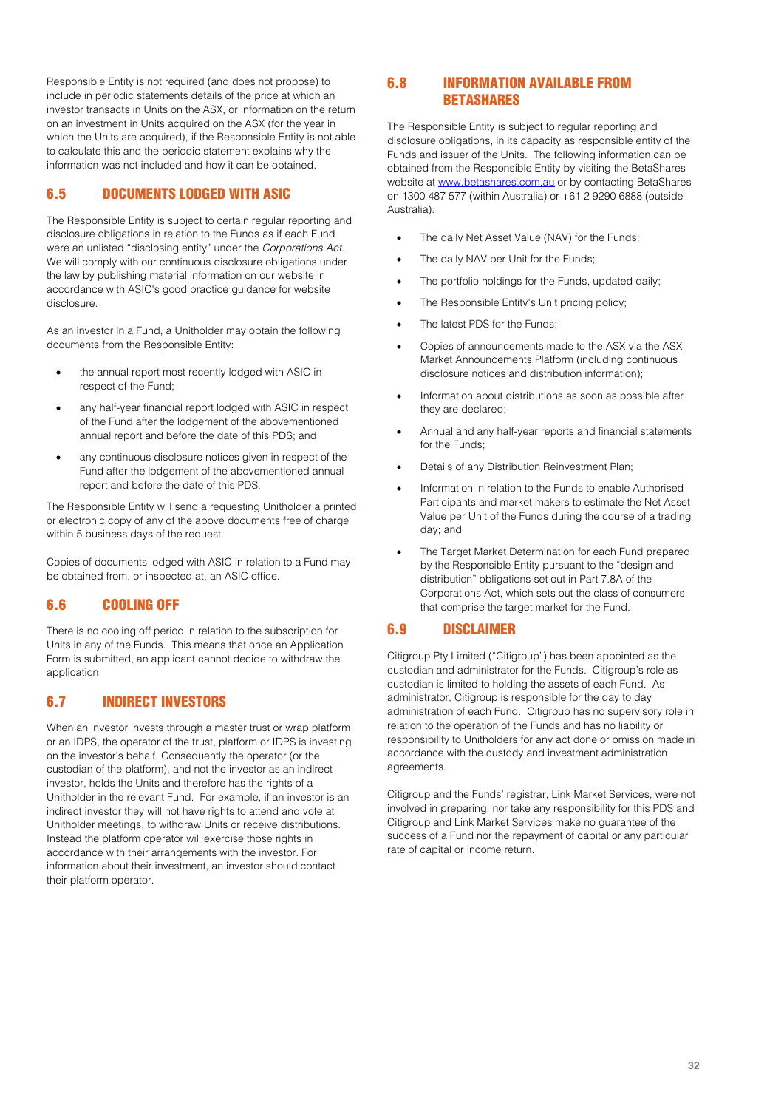Responsible Entity is not required (and does not propose) to include in periodic statements details of the price at which an investor transacts in Units on the ASX, or information on the return on an investment in Units acquired on the ASX (for the year in which the Units are acquired), if the Responsible Entity is not able to calculate this and the periodic statement explains why the information was not included and how it can be obtained.

## 6.5 DOCUMENTS LODGED WITH ASIC

The Responsible Entity is subject to certain regular reporting and disclosure obligations in relation to the Funds as if each Fund were an unlisted "disclosing entity" under the *Corporations Act*. We will comply with our continuous disclosure obligations under the law by publishing material information on our website in accordance with ASIC's good practice guidance for website disclosure.

As an investor in a Fund, a Unitholder may obtain the following documents from the Responsible Entity:

- the annual report most recently lodged with ASIC in respect of the Fund;
- any half-year financial report lodged with ASIC in respect of the Fund after the lodgement of the abovementioned annual report and before the date of this PDS; and
- any continuous disclosure notices given in respect of the Fund after the lodgement of the abovementioned annual report and before the date of this PDS.

The Responsible Entity will send a requesting Unitholder a printed or electronic copy of any of the above documents free of charge within 5 business days of the request.

Copies of documents lodged with ASIC in relation to a Fund may be obtained from, or inspected at, an ASIC office.

## 6.6 COOLING OFF

There is no cooling off period in relation to the subscription for Units in any of the Funds. This means that once an Application Form is submitted, an applicant cannot decide to withdraw the application.

## 6.7 INDIRECT INVESTORS

When an investor invests through a master trust or wrap platform or an IDPS, the operator of the trust, platform or IDPS is investing on the investor's behalf. Consequently the operator (or the custodian of the platform), and not the investor as an indirect investor, holds the Units and therefore has the rights of a Unitholder in the relevant Fund. For example, if an investor is an indirect investor they will not have rights to attend and vote at Unitholder meetings, to withdraw Units or receive distributions. Instead the platform operator will exercise those rights in accordance with their arrangements with the investor. For information about their investment, an investor should contact their platform operator.

## 6.8 INFORMATION AVAILABLE FROM **BETASHARES**

The Responsible Entity is subject to regular reporting and disclosure obligations, in its capacity as responsible entity of the Funds and issuer of the Units. The following information can be obtained from the Responsible Entity by visiting the BetaShares website at [www.betashares.com.au](http://www.betashares.com.au/) or by contacting BetaShares on 1300 487 577 (within Australia) or +61 2 9290 6888 (outside Australia):

- The daily Net Asset Value (NAV) for the Funds;
- The daily NAV per Unit for the Funds;
- The portfolio holdings for the Funds, updated daily;
- The Responsible Entity's Unit pricing policy;
- The latest PDS for the Funds:
- Copies of announcements made to the ASX via the ASX Market Announcements Platform (including continuous disclosure notices and distribution information);
- Information about distributions as soon as possible after they are declared;
- Annual and any half-year reports and financial statements for the Funds;
- Details of any Distribution Reinvestment Plan;
- Information in relation to the Funds to enable Authorised Participants and market makers to estimate the Net Asset Value per Unit of the Funds during the course of a trading day; and
- The Target Market Determination for each Fund prepared by the Responsible Entity pursuant to the "design and distribution" obligations set out in Part 7.8A of the Corporations Act, which sets out the class of consumers that comprise the target market for the Fund.

## 6.9 DISCLAIMER

Citigroup Pty Limited ("Citigroup") has been appointed as the custodian and administrator for the Funds. Citigroup's role as custodian is limited to holding the assets of each Fund. As administrator, Citigroup is responsible for the day to day administration of each Fund. Citigroup has no supervisory role in relation to the operation of the Funds and has no liability or responsibility to Unitholders for any act done or omission made in accordance with the custody and investment administration agreements.

Citigroup and the Funds' registrar, Link Market Services, were not involved in preparing, nor take any responsibility for this PDS and Citigroup and Link Market Services make no guarantee of the success of a Fund nor the repayment of capital or any particular rate of capital or income return.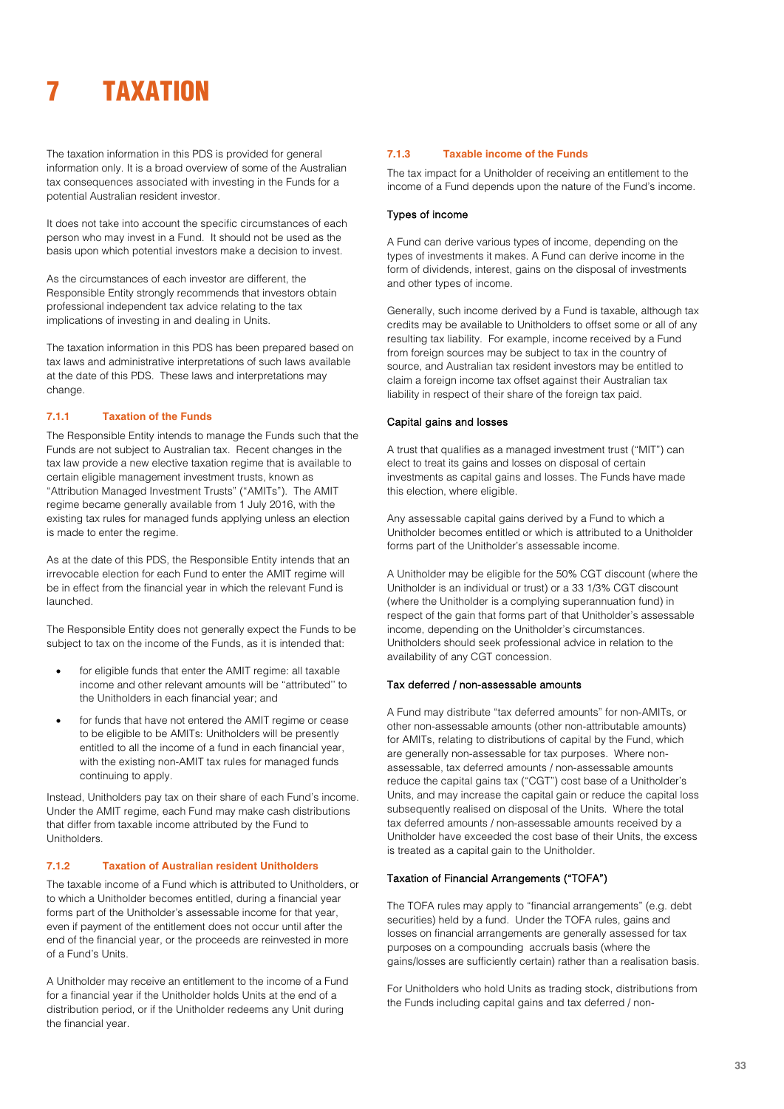# <span id="page-33-0"></span>**TAXATION**

The taxation information in this PDS is provided for general information only. It is a broad overview of some of the Australian tax consequences associated with investing in the Funds for a potential Australian resident investor.

It does not take into account the specific circumstances of each person who may invest in a Fund. It should not be used as the basis upon which potential investors make a decision to invest.

As the circumstances of each investor are different, the Responsible Entity strongly recommends that investors obtain professional independent tax advice relating to the tax implications of investing in and dealing in Units.

The taxation information in this PDS has been prepared based on tax laws and administrative interpretations of such laws available at the date of this PDS. These laws and interpretations may change.

#### **7.1.1 Taxation of the Funds**

The Responsible Entity intends to manage the Funds such that the Funds are not subject to Australian tax. Recent changes in the tax law provide a new elective taxation regime that is available to certain eligible management investment trusts, known as "Attribution Managed Investment Trusts" ("AMITs"). The AMIT regime became generally available from 1 July 2016, with the existing tax rules for managed funds applying unless an election is made to enter the regime.

As at the date of this PDS, the Responsible Entity intends that an irrevocable election for each Fund to enter the AMIT regime will be in effect from the financial year in which the relevant Fund is launched.

The Responsible Entity does not generally expect the Funds to be subject to tax on the income of the Funds, as it is intended that:

- for eligible funds that enter the AMIT regime: all taxable income and other relevant amounts will be "attributed'' to the Unitholders in each financial year; and
- for funds that have not entered the AMIT regime or cease to be eligible to be AMITs: Unitholders will be presently entitled to all the income of a fund in each financial year, with the existing non-AMIT tax rules for managed funds continuing to apply.

Instead, Unitholders pay tax on their share of each Fund's income. Under the AMIT regime, each Fund may make cash distributions that differ from taxable income attributed by the Fund to Unitholders.

#### **7.1.2 Taxation of Australian resident Unitholders**

The taxable income of a Fund which is attributed to Unitholders, or to which a Unitholder becomes entitled, during a financial year forms part of the Unitholder's assessable income for that year, even if payment of the entitlement does not occur until after the end of the financial year, or the proceeds are reinvested in more of a Fund's Units.

A Unitholder may receive an entitlement to the income of a Fund for a financial year if the Unitholder holds Units at the end of a distribution period, or if the Unitholder redeems any Unit during the financial year.

#### **7.1.3 Taxable income of the Funds**

The tax impact for a Unitholder of receiving an entitlement to the income of a Fund depends upon the nature of the Fund's income.

#### Types of income

A Fund can derive various types of income, depending on the types of investments it makes. A Fund can derive income in the form of dividends, interest, gains on the disposal of investments and other types of income.

Generally, such income derived by a Fund is taxable, although tax credits may be available to Unitholders to offset some or all of any resulting tax liability. For example, income received by a Fund from foreign sources may be subject to tax in the country of source, and Australian tax resident investors may be entitled to claim a foreign income tax offset against their Australian tax liability in respect of their share of the foreign tax paid.

#### Capital gains and losses

A trust that qualifies as a managed investment trust ("MIT") can elect to treat its gains and losses on disposal of certain investments as capital gains and losses. The Funds have made this election, where eligible.

Any assessable capital gains derived by a Fund to which a Unitholder becomes entitled or which is attributed to a Unitholder forms part of the Unitholder's assessable income.

A Unitholder may be eligible for the 50% CGT discount (where the Unitholder is an individual or trust) or a 33 1/3% CGT discount (where the Unitholder is a complying superannuation fund) in respect of the gain that forms part of that Unitholder's assessable income, depending on the Unitholder's circumstances. Unitholders should seek professional advice in relation to the availability of any CGT concession.

#### Tax deferred / non-assessable amounts

A Fund may distribute "tax deferred amounts" for non-AMITs, or other non-assessable amounts (other non-attributable amounts) for AMITs, relating to distributions of capital by the Fund, which are generally non-assessable for tax purposes. Where nonassessable, tax deferred amounts / non-assessable amounts reduce the capital gains tax ("CGT") cost base of a Unitholder's Units, and may increase the capital gain or reduce the capital loss subsequently realised on disposal of the Units. Where the total tax deferred amounts / non-assessable amounts received by a Unitholder have exceeded the cost base of their Units, the excess is treated as a capital gain to the Unitholder.

#### Taxation of Financial Arrangements ("TOFA")

The TOFA rules may apply to "financial arrangements" (e.g. debt securities) held by a fund. Under the TOFA rules, gains and losses on financial arrangements are generally assessed for tax purposes on a compounding accruals basis (where the gains/losses are sufficiently certain) rather than a realisation basis.

For Unitholders who hold Units as trading stock, distributions from the Funds including capital gains and tax deferred / non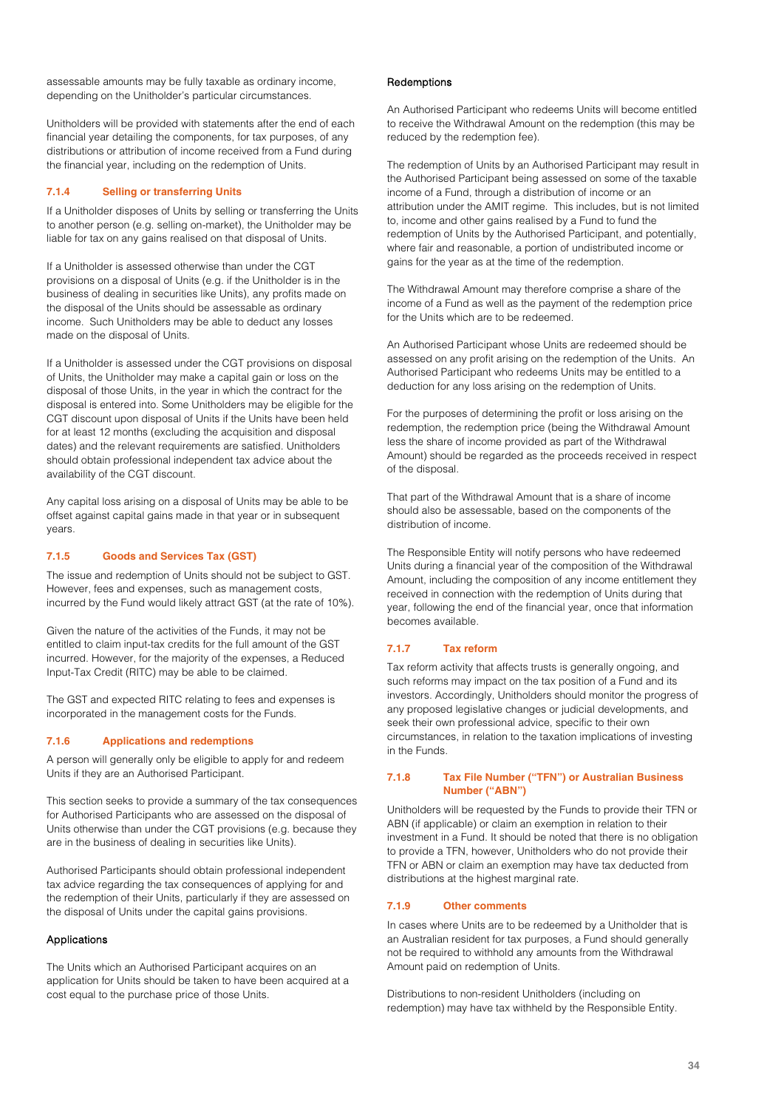assessable amounts may be fully taxable as ordinary income, depending on the Unitholder's particular circumstances.

Unitholders will be provided with statements after the end of each financial year detailing the components, for tax purposes, of any distributions or attribution of income received from a Fund during the financial year, including on the redemption of Units.

#### **7.1.4 Selling or transferring Units**

If a Unitholder disposes of Units by selling or transferring the Units to another person (e.g. selling on-market), the Unitholder may be liable for tax on any gains realised on that disposal of Units.

If a Unitholder is assessed otherwise than under the CGT provisions on a disposal of Units (e.g. if the Unitholder is in the business of dealing in securities like Units), any profits made on the disposal of the Units should be assessable as ordinary income. Such Unitholders may be able to deduct any losses made on the disposal of Units.

If a Unitholder is assessed under the CGT provisions on disposal of Units, the Unitholder may make a capital gain or loss on the disposal of those Units, in the year in which the contract for the disposal is entered into. Some Unitholders may be eligible for the CGT discount upon disposal of Units if the Units have been held for at least 12 months (excluding the acquisition and disposal dates) and the relevant requirements are satisfied. Unitholders should obtain professional independent tax advice about the availability of the CGT discount.

Any capital loss arising on a disposal of Units may be able to be offset against capital gains made in that year or in subsequent years.

#### **7.1.5 Goods and Services Tax (GST)**

The issue and redemption of Units should not be subject to GST. However, fees and expenses, such as management costs, incurred by the Fund would likely attract GST (at the rate of 10%).

Given the nature of the activities of the Funds, it may not be entitled to claim input-tax credits for the full amount of the GST incurred. However, for the majority of the expenses, a Reduced Input-Tax Credit (RITC) may be able to be claimed.

The GST and expected RITC relating to fees and expenses is incorporated in the management costs for the Funds.

#### **7.1.6 Applications and redemptions**

A person will generally only be eligible to apply for and redeem Units if they are an Authorised Participant.

This section seeks to provide a summary of the tax consequences for Authorised Participants who are assessed on the disposal of Units otherwise than under the CGT provisions (e.g. because they are in the business of dealing in securities like Units).

Authorised Participants should obtain professional independent tax advice regarding the tax consequences of applying for and the redemption of their Units, particularly if they are assessed on the disposal of Units under the capital gains provisions.

#### Applications

The Units which an Authorised Participant acquires on an application for Units should be taken to have been acquired at a cost equal to the purchase price of those Units.

#### Redemptions

An Authorised Participant who redeems Units will become entitled to receive the Withdrawal Amount on the redemption (this may be reduced by the redemption fee).

The redemption of Units by an Authorised Participant may result in the Authorised Participant being assessed on some of the taxable income of a Fund, through a distribution of income or an attribution under the AMIT regime. This includes, but is not limited to, income and other gains realised by a Fund to fund the redemption of Units by the Authorised Participant, and potentially, where fair and reasonable, a portion of undistributed income or gains for the year as at the time of the redemption.

The Withdrawal Amount may therefore comprise a share of the income of a Fund as well as the payment of the redemption price for the Units which are to be redeemed.

An Authorised Participant whose Units are redeemed should be assessed on any profit arising on the redemption of the Units. An Authorised Participant who redeems Units may be entitled to a deduction for any loss arising on the redemption of Units.

For the purposes of determining the profit or loss arising on the redemption, the redemption price (being the Withdrawal Amount less the share of income provided as part of the Withdrawal Amount) should be regarded as the proceeds received in respect of the disposal.

That part of the Withdrawal Amount that is a share of income should also be assessable, based on the components of the distribution of income.

The Responsible Entity will notify persons who have redeemed Units during a financial year of the composition of the Withdrawal Amount, including the composition of any income entitlement they received in connection with the redemption of Units during that year, following the end of the financial year, once that information becomes available.

#### **7.1.7 Tax reform**

Tax reform activity that affects trusts is generally ongoing, and such reforms may impact on the tax position of a Fund and its investors. Accordingly, Unitholders should monitor the progress of any proposed legislative changes or judicial developments, and seek their own professional advice, specific to their own circumstances, in relation to the taxation implications of investing in the Funds.

#### **7.1.8 Tax File Number ("TFN") or Australian Business Number ("ABN")**

Unitholders will be requested by the Funds to provide their TFN or ABN (if applicable) or claim an exemption in relation to their investment in a Fund. It should be noted that there is no obligation to provide a TFN, however, Unitholders who do not provide their TFN or ABN or claim an exemption may have tax deducted from distributions at the highest marginal rate.

#### **7.1.9 Other comments**

In cases where Units are to be redeemed by a Unitholder that is an Australian resident for tax purposes, a Fund should generally not be required to withhold any amounts from the Withdrawal Amount paid on redemption of Units.

Distributions to non-resident Unitholders (including on redemption) may have tax withheld by the Responsible Entity.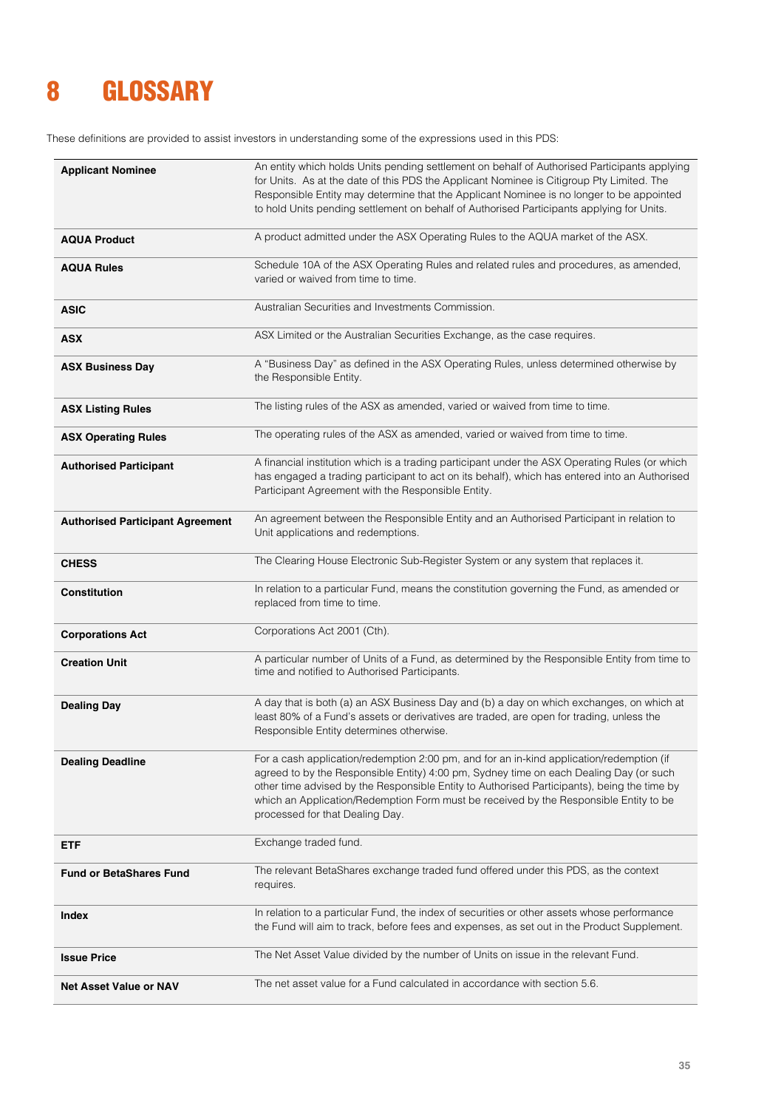# <span id="page-35-0"></span>8 GLOSSARY

These definitions are provided to assist investors in understanding some of the expressions used in this PDS:

| <b>Applicant Nominee</b>                | An entity which holds Units pending settlement on behalf of Authorised Participants applying<br>for Units. As at the date of this PDS the Applicant Nominee is Citigroup Pty Limited. The<br>Responsible Entity may determine that the Applicant Nominee is no longer to be appointed<br>to hold Units pending settlement on behalf of Authorised Participants applying for Units.                            |
|-----------------------------------------|---------------------------------------------------------------------------------------------------------------------------------------------------------------------------------------------------------------------------------------------------------------------------------------------------------------------------------------------------------------------------------------------------------------|
| <b>AQUA Product</b>                     | A product admitted under the ASX Operating Rules to the AQUA market of the ASX.                                                                                                                                                                                                                                                                                                                               |
| <b>AQUA Rules</b>                       | Schedule 10A of the ASX Operating Rules and related rules and procedures, as amended,<br>varied or waived from time to time.                                                                                                                                                                                                                                                                                  |
| <b>ASIC</b>                             | Australian Securities and Investments Commission.                                                                                                                                                                                                                                                                                                                                                             |
| ASX                                     | ASX Limited or the Australian Securities Exchange, as the case requires.                                                                                                                                                                                                                                                                                                                                      |
| <b>ASX Business Day</b>                 | A "Business Day" as defined in the ASX Operating Rules, unless determined otherwise by<br>the Responsible Entity.                                                                                                                                                                                                                                                                                             |
| <b>ASX Listing Rules</b>                | The listing rules of the ASX as amended, varied or waived from time to time.                                                                                                                                                                                                                                                                                                                                  |
| <b>ASX Operating Rules</b>              | The operating rules of the ASX as amended, varied or waived from time to time.                                                                                                                                                                                                                                                                                                                                |
| <b>Authorised Participant</b>           | A financial institution which is a trading participant under the ASX Operating Rules (or which<br>has engaged a trading participant to act on its behalf), which has entered into an Authorised<br>Participant Agreement with the Responsible Entity.                                                                                                                                                         |
| <b>Authorised Participant Agreement</b> | An agreement between the Responsible Entity and an Authorised Participant in relation to<br>Unit applications and redemptions.                                                                                                                                                                                                                                                                                |
| <b>CHESS</b>                            | The Clearing House Electronic Sub-Register System or any system that replaces it.                                                                                                                                                                                                                                                                                                                             |
| <b>Constitution</b>                     | In relation to a particular Fund, means the constitution governing the Fund, as amended or<br>replaced from time to time.                                                                                                                                                                                                                                                                                     |
| <b>Corporations Act</b>                 | Corporations Act 2001 (Cth).                                                                                                                                                                                                                                                                                                                                                                                  |
| <b>Creation Unit</b>                    | A particular number of Units of a Fund, as determined by the Responsible Entity from time to<br>time and notified to Authorised Participants.                                                                                                                                                                                                                                                                 |
| <b>Dealing Day</b>                      | A day that is both (a) an ASX Business Day and (b) a day on which exchanges, on which at<br>least 80% of a Fund's assets or derivatives are traded, are open for trading, unless the<br>Responsible Entity determines otherwise.                                                                                                                                                                              |
| <b>Dealing Deadline</b>                 | For a cash application/redemption 2:00 pm, and for an in-kind application/redemption (if<br>agreed to by the Responsible Entity) 4:00 pm, Sydney time on each Dealing Day (or such<br>other time advised by the Responsible Entity to Authorised Participants), being the time by<br>which an Application/Redemption Form must be received by the Responsible Entity to be<br>processed for that Dealing Day. |
| <b>ETF</b>                              | Exchange traded fund.                                                                                                                                                                                                                                                                                                                                                                                         |
| <b>Fund or BetaShares Fund</b>          | The relevant BetaShares exchange traded fund offered under this PDS, as the context<br>requires.                                                                                                                                                                                                                                                                                                              |
| Index                                   | In relation to a particular Fund, the index of securities or other assets whose performance<br>the Fund will aim to track, before fees and expenses, as set out in the Product Supplement.                                                                                                                                                                                                                    |
| <b>Issue Price</b>                      | The Net Asset Value divided by the number of Units on issue in the relevant Fund.                                                                                                                                                                                                                                                                                                                             |
| <b>Net Asset Value or NAV</b>           | The net asset value for a Fund calculated in accordance with section 5.6.                                                                                                                                                                                                                                                                                                                                     |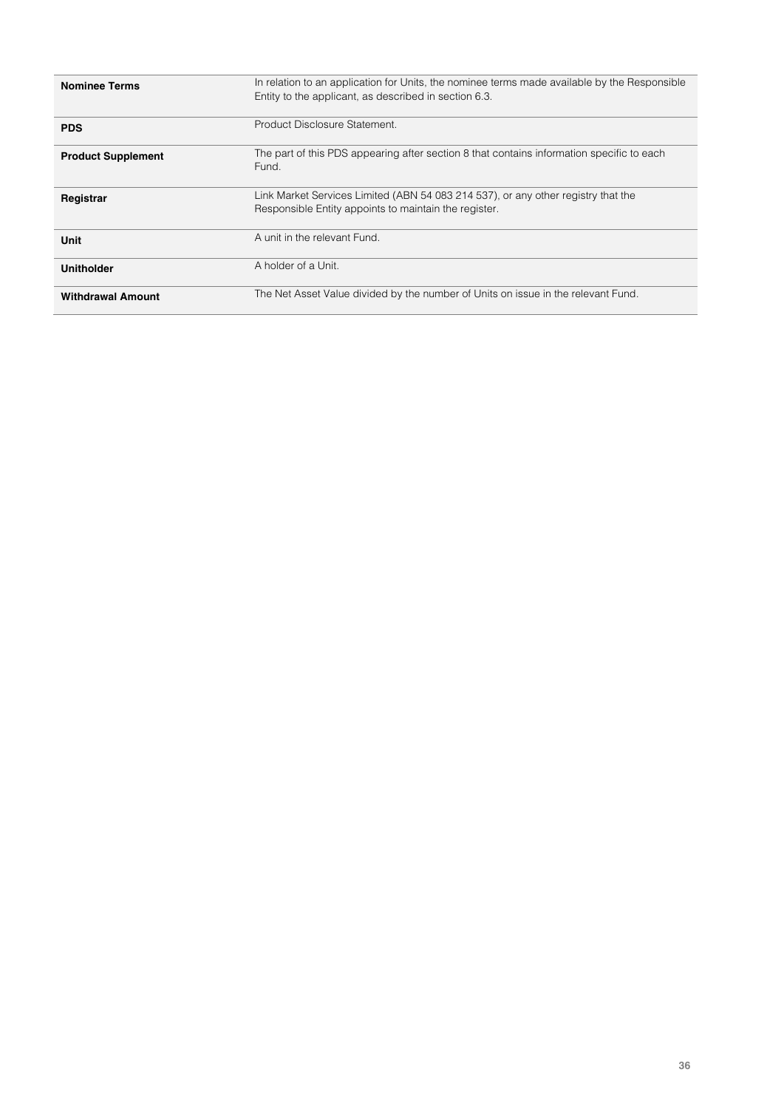| <b>Nominee Terms</b>      | In relation to an application for Units, the nominee terms made available by the Responsible<br>Entity to the applicant, as described in section 6.3. |
|---------------------------|-------------------------------------------------------------------------------------------------------------------------------------------------------|
| <b>PDS</b>                | Product Disclosure Statement.                                                                                                                         |
| <b>Product Supplement</b> | The part of this PDS appearing after section 8 that contains information specific to each<br>Fund.                                                    |
| Registrar                 | Link Market Services Limited (ABN 54 083 214 537), or any other registry that the<br>Responsible Entity appoints to maintain the register.            |
| Unit                      | A unit in the relevant Fund.                                                                                                                          |
| <b>Unitholder</b>         | A holder of a Unit.                                                                                                                                   |
| <b>Withdrawal Amount</b>  | The Net Asset Value divided by the number of Units on issue in the relevant Fund.                                                                     |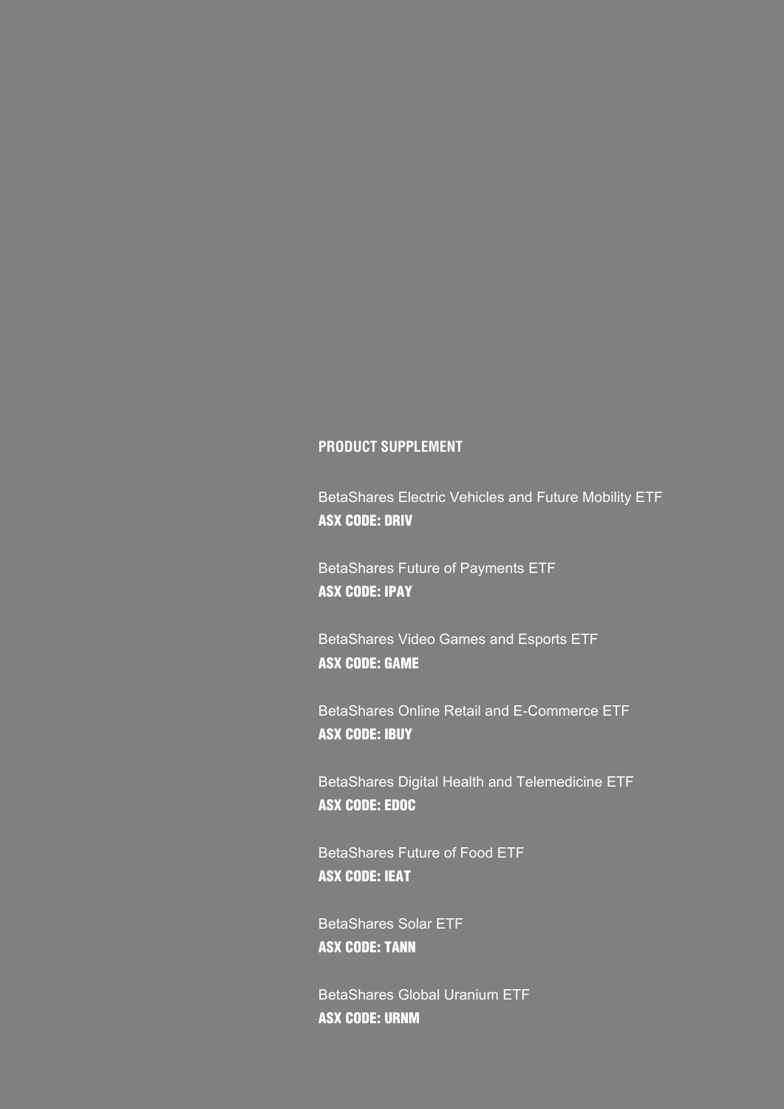## **PRODUCT SUPPLEMENT**

BetaShares Electric Vehicles and Future Mobility ETF ASX CODE: DRIV

BetaShares Future of Payments ETF ASX CODE: IPAY

BetaShares Video Games and Esports ETF ASX CODE: GAME

BetaShares Online Retail and E-Commerce ETF ASX CODE: IBUY

BetaShares Digital Health and Telemedicine ETF ASX CODE: EDOC

BetaShares Future of Food ETF ASX CODE: IEAT

BetaShares Solar ETF ASX CODE: TANN

BetaShares Global Uranium ETF ASX CODE: URNM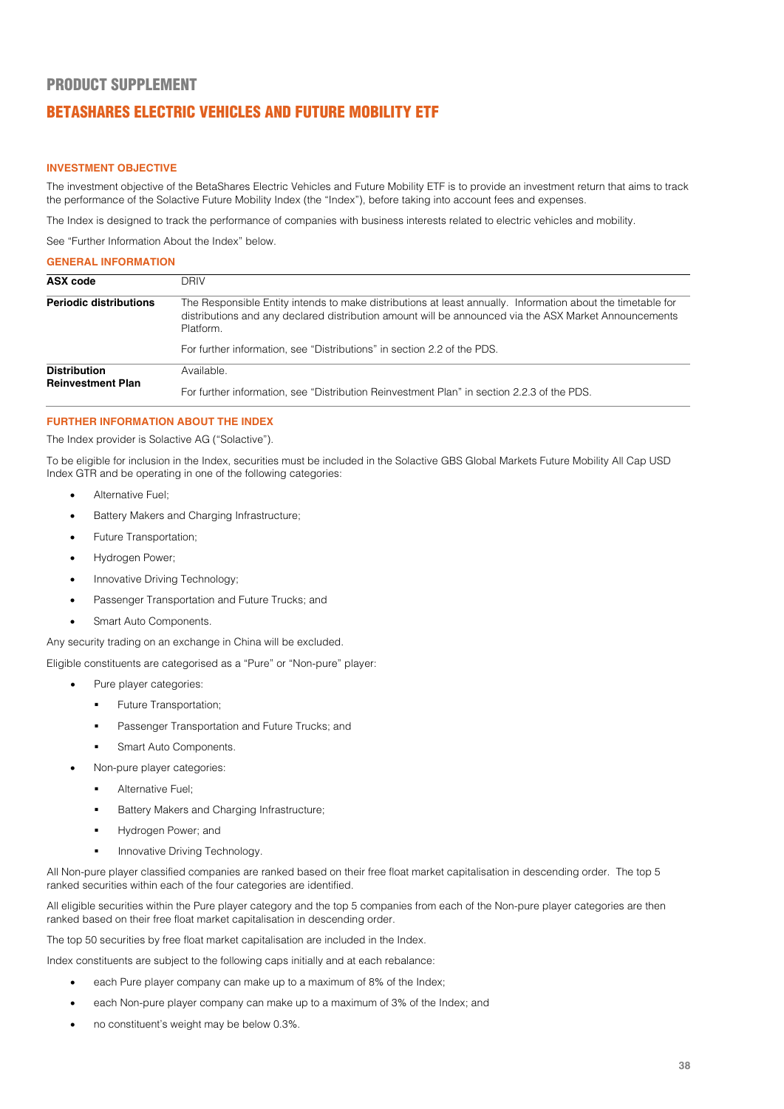## PRODUCT SUPPLEMENT

## <span id="page-38-0"></span>BETASHARES ELECTRIC VEHICLES AND FUTURE MOBILITY ETF

#### **INVESTMENT OBJECTIVE**

The investment objective of the BetaShares Electric Vehicles and Future Mobility ETF is to provide an investment return that aims to track the performance of the Solactive Future Mobility Index (the "Index"), before taking into account fees and expenses.

The Index is designed to track the performance of companies with business interests related to electric vehicles and mobility.

See "Further Information About the Index" below.

#### **GENERAL INFORMATION**

| <b>ASX</b> code                                 | DRIV                                                                                                                                                                                                                              |
|-------------------------------------------------|-----------------------------------------------------------------------------------------------------------------------------------------------------------------------------------------------------------------------------------|
| <b>Periodic distributions</b>                   | The Responsible Entity intends to make distributions at least annually. Information about the timetable for<br>distributions and any declared distribution amount will be announced via the ASX Market Announcements<br>Platform. |
|                                                 | For further information, see "Distributions" in section 2.2 of the PDS.                                                                                                                                                           |
| <b>Distribution</b><br><b>Reinvestment Plan</b> | Available.                                                                                                                                                                                                                        |
|                                                 | For further information, see "Distribution Reinvestment Plan" in section 2.2.3 of the PDS.                                                                                                                                        |

#### **FURTHER INFORMATION ABOUT THE INDEX**

The Index provider is Solactive AG ("Solactive").

To be eligible for inclusion in the Index, securities must be included in the Solactive GBS Global Markets Future Mobility All Cap USD Index GTR and be operating in one of the following categories:

- Alternative Fuel;
- Battery Makers and Charging Infrastructure;
- Future Transportation;
- Hydrogen Power;
- Innovative Driving Technology;
- Passenger Transportation and Future Trucks; and
- Smart Auto Components.
- Any security trading on an exchange in China will be excluded.

Eligible constituents are categorised as a "Pure" or "Non-pure" player:

- Pure player categories:
	- **Future Transportation;**
	- **Passenger Transportation and Future Trucks; and**
	- Smart Auto Components.
- Non-pure player categories:
	- **Alternative Fuel:**
	- Battery Makers and Charging Infrastructure;
	- **Hydrogen Power**; and
	- Innovative Driving Technology.

All Non-pure player classified companies are ranked based on their free float market capitalisation in descending order. The top 5 ranked securities within each of the four categories are identified.

All eligible securities within the Pure player category and the top 5 companies from each of the Non-pure player categories are then ranked based on their free float market capitalisation in descending order.

The top 50 securities by free float market capitalisation are included in the Index.

Index constituents are subject to the following caps initially and at each rebalance:

- each Pure player company can make up to a maximum of 8% of the Index;
- each Non-pure player company can make up to a maximum of 3% of the Index; and
- no constituent's weight may be below 0.3%.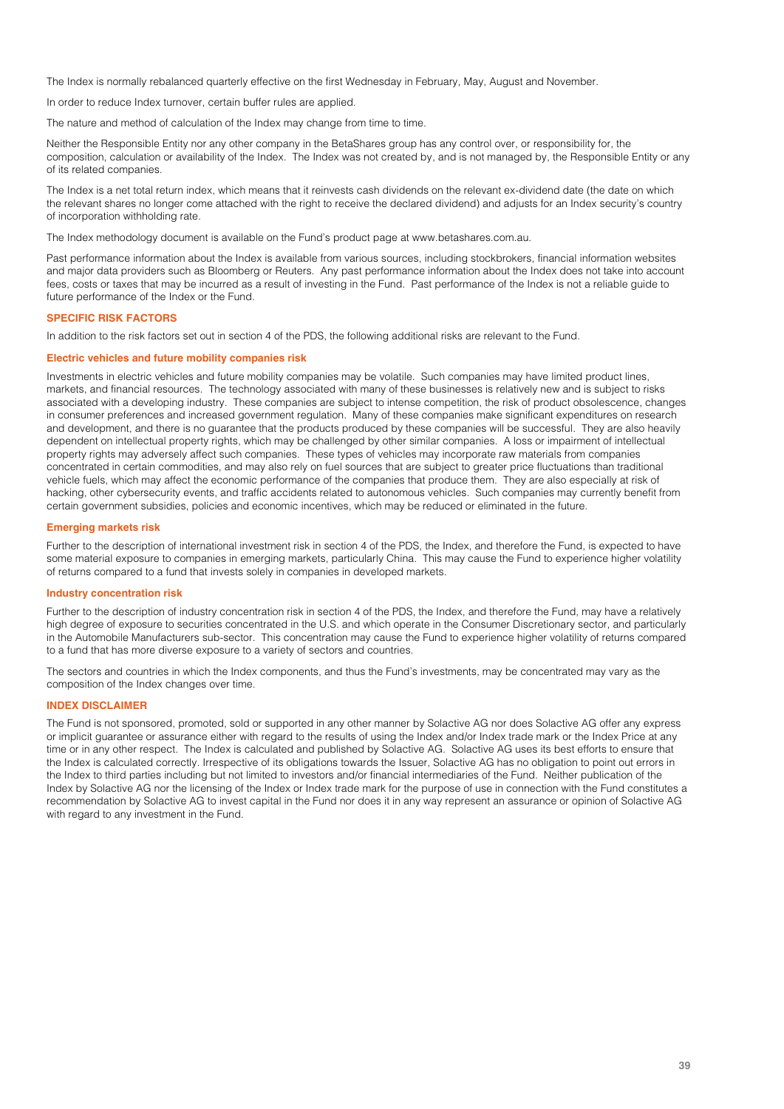The Index is normally rebalanced quarterly effective on the first Wednesday in February, May, August and November.

In order to reduce Index turnover, certain buffer rules are applied.

The nature and method of calculation of the Index may change from time to time.

Neither the Responsible Entity nor any other company in the BetaShares group has any control over, or responsibility for, the composition, calculation or availability of the Index. The Index was not created by, and is not managed by, the Responsible Entity or any of its related companies.

The Index is a net total return index, which means that it reinvests cash dividends on the relevant ex-dividend date (the date on which the relevant shares no longer come attached with the right to receive the declared dividend) and adjusts for an Index security's country of incorporation withholding rate.

The Index methodology document is available on the Fund's product page at www.betashares.com.au.

Past performance information about the Index is available from various sources, including stockbrokers, financial information websites and major data providers such as Bloomberg or Reuters. Any past performance information about the Index does not take into account fees, costs or taxes that may be incurred as a result of investing in the Fund. Past performance of the Index is not a reliable guide to future performance of the Index or the Fund.

#### **SPECIFIC RISK FACTORS**

In addition to the risk factors set out in section 4 of the PDS, the following additional risks are relevant to the Fund.

#### **Electric vehicles and future mobility companies risk**

Investments in electric vehicles and future mobility companies may be volatile. Such companies may have limited product lines, markets, and financial resources. The technology associated with many of these businesses is relatively new and is subject to risks associated with a developing industry. These companies are subject to intense competition, the risk of product obsolescence, changes in consumer preferences and increased government regulation. Many of these companies make significant expenditures on research and development, and there is no guarantee that the products produced by these companies will be successful. They are also heavily dependent on intellectual property rights, which may be challenged by other similar companies. A loss or impairment of intellectual property rights may adversely affect such companies. These types of vehicles may incorporate raw materials from companies concentrated in certain commodities, and may also rely on fuel sources that are subject to greater price fluctuations than traditional vehicle fuels, which may affect the economic performance of the companies that produce them. They are also especially at risk of hacking, other cybersecurity events, and traffic accidents related to autonomous vehicles. Such companies may currently benefit from certain government subsidies, policies and economic incentives, which may be reduced or eliminated in the future.

#### **Emerging markets risk**

Further to the description of international investment risk in section 4 of the PDS, the Index, and therefore the Fund, is expected to have some material exposure to companies in emerging markets, particularly China. This may cause the Fund to experience higher volatility of returns compared to a fund that invests solely in companies in developed markets.

#### **Industry concentration risk**

Further to the description of industry concentration risk in section 4 of the PDS, the Index, and therefore the Fund, may have a relatively high degree of exposure to securities concentrated in the U.S. and which operate in the Consumer Discretionary sector, and particularly in the Automobile Manufacturers sub-sector. This concentration may cause the Fund to experience higher volatility of returns compared to a fund that has more diverse exposure to a variety of sectors and countries.

The sectors and countries in which the Index components, and thus the Fund's investments, may be concentrated may vary as the composition of the Index changes over time.

#### **INDEX DISCLAIMER**

The Fund is not sponsored, promoted, sold or supported in any other manner by Solactive AG nor does Solactive AG offer any express or implicit guarantee or assurance either with regard to the results of using the Index and/or Index trade mark or the Index Price at any time or in any other respect. The Index is calculated and published by Solactive AG. Solactive AG uses its best efforts to ensure that the Index is calculated correctly. Irrespective of its obligations towards the Issuer, Solactive AG has no obligation to point out errors in the Index to third parties including but not limited to investors and/or financial intermediaries of the Fund. Neither publication of the Index by Solactive AG nor the licensing of the Index or Index trade mark for the purpose of use in connection with the Fund constitutes a recommendation by Solactive AG to invest capital in the Fund nor does it in any way represent an assurance or opinion of Solactive AG with regard to any investment in the Fund.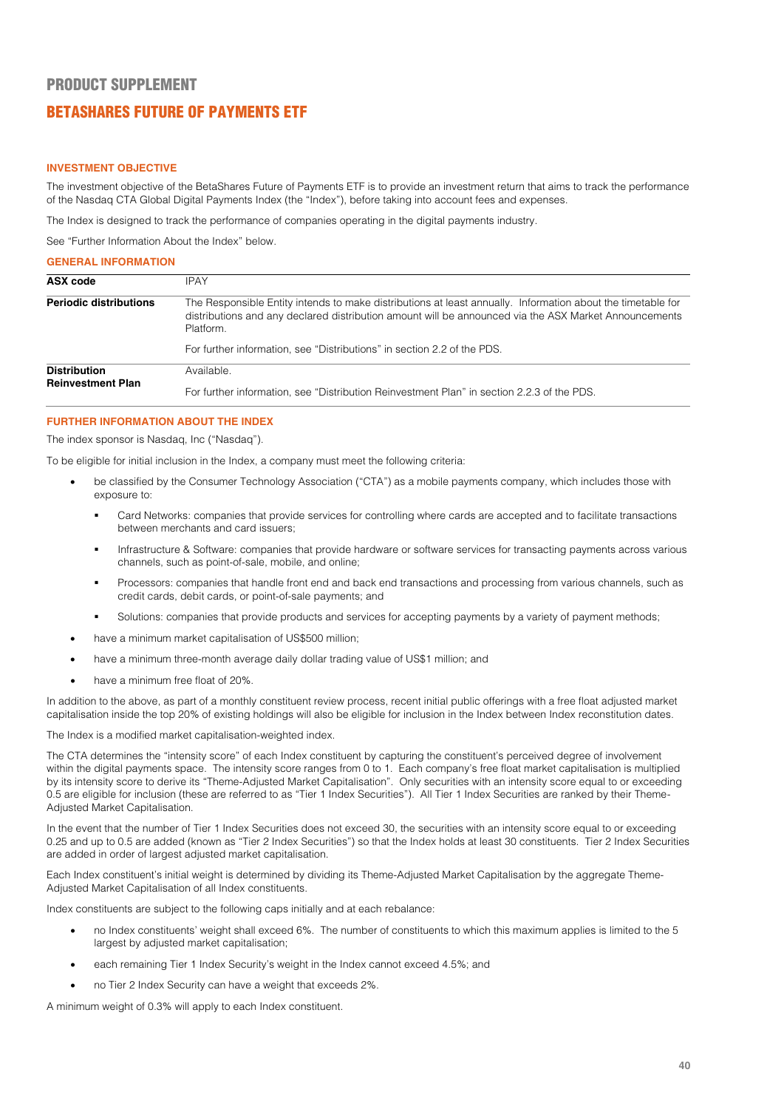## PRODUCT SUPPLEMENT

## <span id="page-40-0"></span>BETASHARES FUTURE OF PAYMENTS ETF

#### **INVESTMENT OBJECTIVE**

The investment objective of the BetaShares Future of Payments ETF is to provide an investment return that aims to track the performance of the Nasdaq CTA Global Digital Payments Index (the "Index"), before taking into account fees and expenses.

The Index is designed to track the performance of companies operating in the digital payments industry.

See "Further Information About the Index" below.

#### **GENERAL INFORMATION**

| ASX code                      | <b>IPAY</b>                                                                                                                                                                                                                       |
|-------------------------------|-----------------------------------------------------------------------------------------------------------------------------------------------------------------------------------------------------------------------------------|
| <b>Periodic distributions</b> | The Responsible Entity intends to make distributions at least annually. Information about the timetable for<br>distributions and any declared distribution amount will be announced via the ASX Market Announcements<br>Platform. |
|                               | For further information, see "Distributions" in section 2.2 of the PDS.                                                                                                                                                           |
| <b>Distribution</b>           | Available.                                                                                                                                                                                                                        |
| <b>Reinvestment Plan</b>      | For further information, see "Distribution Reinvestment Plan" in section 2.2.3 of the PDS.                                                                                                                                        |

#### **FURTHER INFORMATION ABOUT THE INDEX**

The index sponsor is Nasdaq, Inc ("Nasdaq").

To be eligible for initial inclusion in the Index, a company must meet the following criteria:

- be classified by the Consumer Technology Association ("CTA") as a mobile payments company, which includes those with exposure to:
	- Card Networks: companies that provide services for controlling where cards are accepted and to facilitate transactions between merchants and card issuers;
	- Infrastructure & Software: companies that provide hardware or software services for transacting payments across various channels, such as point-of-sale, mobile, and online;
	- Processors: companies that handle front end and back end transactions and processing from various channels, such as credit cards, debit cards, or point-of-sale payments; and
	- Solutions: companies that provide products and services for accepting payments by a variety of payment methods;
- have a minimum market capitalisation of US\$500 million;
- have a minimum three-month average daily dollar trading value of US\$1 million; and
- have a minimum free float of 20%.

In addition to the above, as part of a monthly constituent review process, recent initial public offerings with a free float adjusted market capitalisation inside the top 20% of existing holdings will also be eligible for inclusion in the Index between Index reconstitution dates.

The Index is a modified market capitalisation-weighted index.

The CTA determines the "intensity score" of each Index constituent by capturing the constituent's perceived degree of involvement within the digital payments space. The intensity score ranges from 0 to 1. Each company's free float market capitalisation is multiplied by its intensity score to derive its "Theme-Adjusted Market Capitalisation". Only securities with an intensity score equal to or exceeding 0.5 are eligible for inclusion (these are referred to as "Tier 1 Index Securities"). All Tier 1 Index Securities are ranked by their Theme-Adjusted Market Capitalisation.

In the event that the number of Tier 1 Index Securities does not exceed 30, the securities with an intensity score equal to or exceeding 0.25 and up to 0.5 are added (known as "Tier 2 Index Securities") so that the Index holds at least 30 constituents. Tier 2 Index Securities are added in order of largest adjusted market capitalisation.

Each Index constituent's initial weight is determined by dividing its Theme-Adjusted Market Capitalisation by the aggregate Theme-Adjusted Market Capitalisation of all Index constituents.

Index constituents are subject to the following caps initially and at each rebalance:

- no Index constituents' weight shall exceed 6%. The number of constituents to which this maximum applies is limited to the 5 largest by adjusted market capitalisation;
- each remaining Tier 1 Index Security's weight in the Index cannot exceed 4.5%; and
- no Tier 2 Index Security can have a weight that exceeds 2%.

A minimum weight of 0.3% will apply to each Index constituent.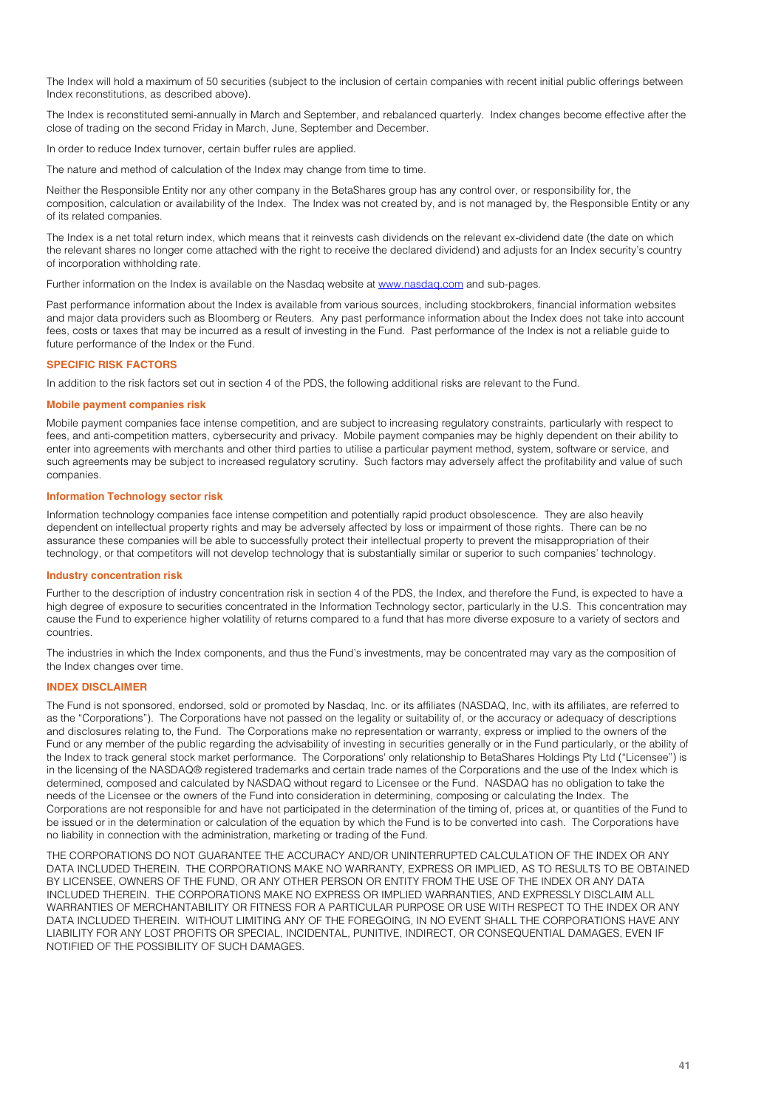The Index will hold a maximum of 50 securities (subject to the inclusion of certain companies with recent initial public offerings between Index reconstitutions, as described above).

The Index is reconstituted semi-annually in March and September, and rebalanced quarterly. Index changes become effective after the close of trading on the second Friday in March, June, September and December.

In order to reduce Index turnover, certain buffer rules are applied.

The nature and method of calculation of the Index may change from time to time.

Neither the Responsible Entity nor any other company in the BetaShares group has any control over, or responsibility for, the composition, calculation or availability of the Index. The Index was not created by, and is not managed by, the Responsible Entity or any of its related companies.

The Index is a net total return index, which means that it reinvests cash dividends on the relevant ex-dividend date (the date on which the relevant shares no longer come attached with the right to receive the declared dividend) and adjusts for an Index security's country of incorporation withholding rate.

Further information on the Index is available on the Nasdaq website a[t www.nasdaq.com](http://www.nasdaq.com/) and sub-pages.

Past performance information about the Index is available from various sources, including stockbrokers, financial information websites and major data providers such as Bloomberg or Reuters. Any past performance information about the Index does not take into account fees, costs or taxes that may be incurred as a result of investing in the Fund. Past performance of the Index is not a reliable guide to future performance of the Index or the Fund.

#### **SPECIFIC RISK FACTORS**

In addition to the risk factors set out in section 4 of the PDS, the following additional risks are relevant to the Fund.

#### **Mobile payment companies risk**

Mobile payment companies face intense competition, and are subject to increasing regulatory constraints, particularly with respect to fees, and anti-competition matters, cybersecurity and privacy. Mobile payment companies may be highly dependent on their ability to enter into agreements with merchants and other third parties to utilise a particular payment method, system, software or service, and such agreements may be subject to increased regulatory scrutiny. Such factors may adversely affect the profitability and value of such companies.

#### **Information Technology sector risk**

Information technology companies face intense competition and potentially rapid product obsolescence. They are also heavily dependent on intellectual property rights and may be adversely affected by loss or impairment of those rights. There can be no assurance these companies will be able to successfully protect their intellectual property to prevent the misappropriation of their technology, or that competitors will not develop technology that is substantially similar or superior to such companies' technology.

#### **Industry concentration risk**

Further to the description of industry concentration risk in section 4 of the PDS, the Index, and therefore the Fund, is expected to have a high degree of exposure to securities concentrated in the Information Technology sector, particularly in the U.S. This concentration may cause the Fund to experience higher volatility of returns compared to a fund that has more diverse exposure to a variety of sectors and countries.

The industries in which the Index components, and thus the Fund's investments, may be concentrated may vary as the composition of the Index changes over time.

#### **INDEX DISCLAIMER**

The Fund is not sponsored, endorsed, sold or promoted by Nasdaq, Inc. or its affiliates (NASDAQ, Inc, with its affiliates, are referred to as the "Corporations"). The Corporations have not passed on the legality or suitability of, or the accuracy or adequacy of descriptions and disclosures relating to, the Fund. The Corporations make no representation or warranty, express or implied to the owners of the Fund or any member of the public regarding the advisability of investing in securities generally or in the Fund particularly, or the ability of the Index to track general stock market performance. The Corporations' only relationship to BetaShares Holdings Pty Ltd ("Licensee") is in the licensing of the NASDAQ® registered trademarks and certain trade names of the Corporations and the use of the Index which is determined, composed and calculated by NASDAQ without regard to Licensee or the Fund. NASDAQ has no obligation to take the needs of the Licensee or the owners of the Fund into consideration in determining, composing or calculating the Index. The Corporations are not responsible for and have not participated in the determination of the timing of, prices at, or quantities of the Fund to be issued or in the determination or calculation of the equation by which the Fund is to be converted into cash. The Corporations have no liability in connection with the administration, marketing or trading of the Fund.

THE CORPORATIONS DO NOT GUARANTEE THE ACCURACY AND/OR UNINTERRUPTED CALCULATION OF THE INDEX OR ANY DATA INCLUDED THEREIN. THE CORPORATIONS MAKE NO WARRANTY, EXPRESS OR IMPLIED, AS TO RESULTS TO BE OBTAINED BY LICENSEE, OWNERS OF THE FUND, OR ANY OTHER PERSON OR ENTITY FROM THE USE OF THE INDEX OR ANY DATA INCLUDED THEREIN. THE CORPORATIONS MAKE NO EXPRESS OR IMPLIED WARRANTIES, AND EXPRESSLY DISCLAIM ALL WARRANTIES OF MERCHANTABILITY OR FITNESS FOR A PARTICULAR PURPOSE OR USE WITH RESPECT TO THE INDEX OR ANY DATA INCLUDED THEREIN. WITHOUT LIMITING ANY OF THE FOREGOING, IN NO EVENT SHALL THE CORPORATIONS HAVE ANY LIABILITY FOR ANY LOST PROFITS OR SPECIAL, INCIDENTAL, PUNITIVE, INDIRECT, OR CONSEQUENTIAL DAMAGES, EVEN IF NOTIFIED OF THE POSSIBILITY OF SUCH DAMAGES.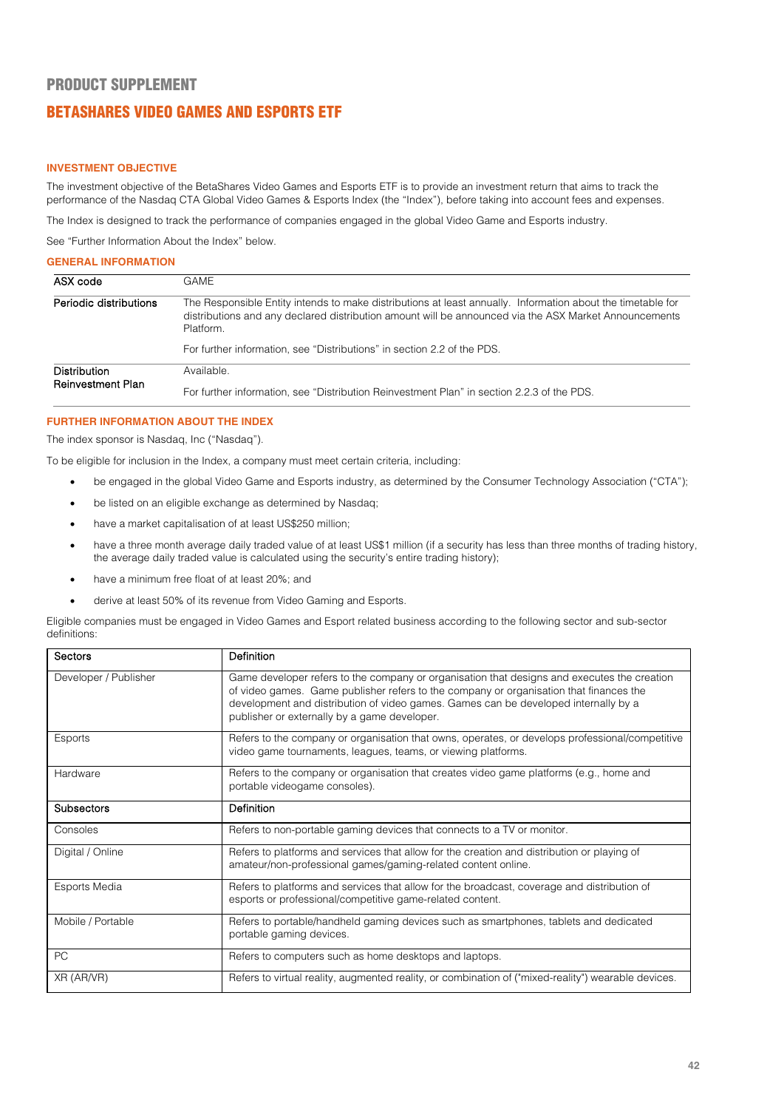## PRODUCT SUPPLEMENT

## <span id="page-42-0"></span>BETASHARES VIDEO GAMES AND ESPORTS ETF

#### **INVESTMENT OBJECTIVE**

The investment objective of the BetaShares Video Games and Esports ETF is to provide an investment return that aims to track the performance of the Nasdaq CTA Global Video Games & Esports Index (the "Index"), before taking into account fees and expenses.

The Index is designed to track the performance of companies engaged in the global Video Game and Esports industry.

See "Further Information About the Index" below.

#### **GENERAL INFORMATION**

| ASX code                                        | GAME                                                                                                                                                                                                                              |  |
|-------------------------------------------------|-----------------------------------------------------------------------------------------------------------------------------------------------------------------------------------------------------------------------------------|--|
| Periodic distributions                          | The Responsible Entity intends to make distributions at least annually. Information about the timetable for<br>distributions and any declared distribution amount will be announced via the ASX Market Announcements<br>Platform. |  |
|                                                 | For further information, see "Distributions" in section 2.2 of the PDS.                                                                                                                                                           |  |
| <b>Distribution</b><br><b>Reinvestment Plan</b> | Available.                                                                                                                                                                                                                        |  |
|                                                 | For further information, see "Distribution Reinvestment Plan" in section 2.2.3 of the PDS.                                                                                                                                        |  |

#### **FURTHER INFORMATION ABOUT THE INDEX**

The index sponsor is Nasdaq, Inc ("Nasdaq").

To be eligible for inclusion in the Index, a company must meet certain criteria, including:

- be engaged in the global Video Game and Esports industry, as determined by the Consumer Technology Association ("CTA");
- be listed on an eligible exchange as determined by Nasdag;
- have a market capitalisation of at least US\$250 million;
- have a three month average daily traded value of at least US\$1 million (if a security has less than three months of trading history, the average daily traded value is calculated using the security's entire trading history);
- have a minimum free float of at least 20%; and
- derive at least 50% of its revenue from Video Gaming and Esports.

Eligible companies must be engaged in Video Games and Esport related business according to the following sector and sub-sector definitions:

| Sectors               | <b>Definition</b>                                                                                                                                                                                                                                                                                                            |  |
|-----------------------|------------------------------------------------------------------------------------------------------------------------------------------------------------------------------------------------------------------------------------------------------------------------------------------------------------------------------|--|
| Developer / Publisher | Game developer refers to the company or organisation that designs and executes the creation<br>of video games. Game publisher refers to the company or organisation that finances the<br>development and distribution of video games. Games can be developed internally by a<br>publisher or externally by a game developer. |  |
| Esports               | Refers to the company or organisation that owns, operates, or develops professional/competitive<br>video game tournaments, leagues, teams, or viewing platforms.                                                                                                                                                             |  |
| Hardware              | Refers to the company or organisation that creates video game platforms (e.g., home and<br>portable videogame consoles).                                                                                                                                                                                                     |  |
| <b>Subsectors</b>     | <b>Definition</b>                                                                                                                                                                                                                                                                                                            |  |
| Consoles              | Refers to non-portable gaming devices that connects to a TV or monitor.                                                                                                                                                                                                                                                      |  |
| Digital / Online      | Refers to platforms and services that allow for the creation and distribution or playing of<br>amateur/non-professional games/gaming-related content online.                                                                                                                                                                 |  |
| <b>Esports Media</b>  | Refers to platforms and services that allow for the broadcast, coverage and distribution of<br>esports or professional/competitive game-related content.                                                                                                                                                                     |  |
| Mobile / Portable     | Refers to portable/handheld gaming devices such as smartphones, tablets and dedicated<br>portable gaming devices.                                                                                                                                                                                                            |  |
| PC.                   | Refers to computers such as home desktops and laptops.                                                                                                                                                                                                                                                                       |  |
| XR (AR/VR)            | Refers to virtual reality, augmented reality, or combination of ("mixed-reality") wearable devices.                                                                                                                                                                                                                          |  |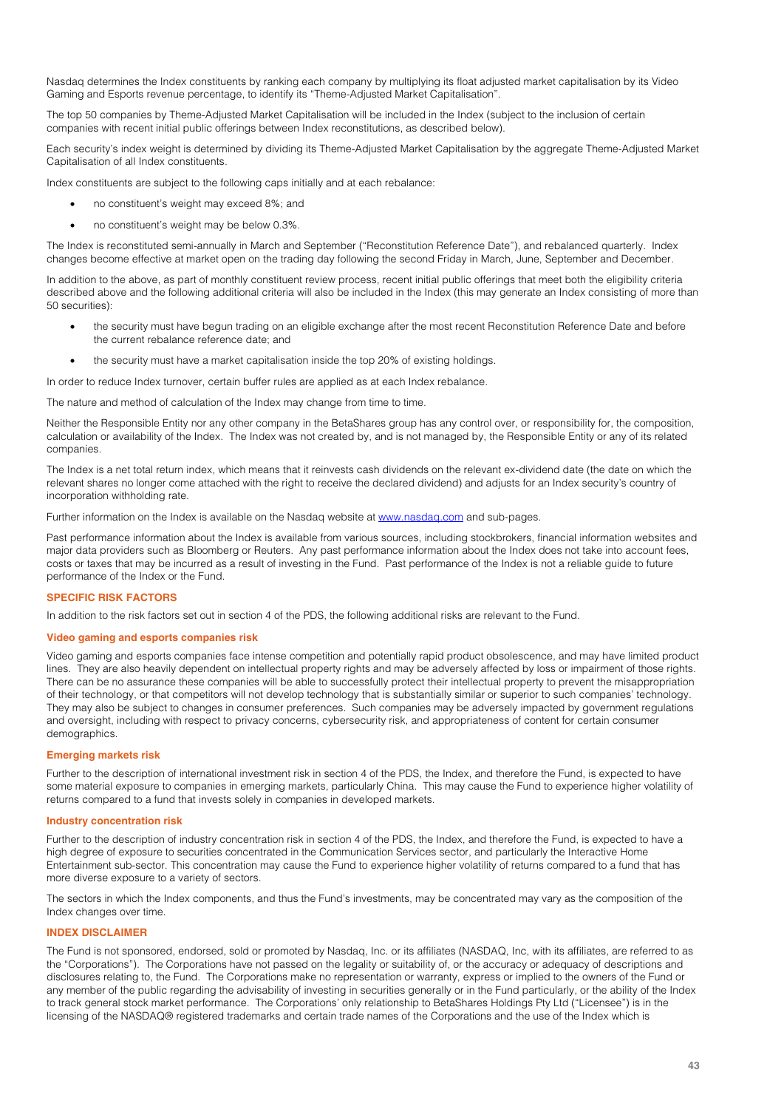Nasdaq determines the Index constituents by ranking each company by multiplying its float adjusted market capitalisation by its Video Gaming and Esports revenue percentage, to identify its "Theme-Adjusted Market Capitalisation".

The top 50 companies by Theme-Adjusted Market Capitalisation will be included in the Index (subject to the inclusion of certain companies with recent initial public offerings between Index reconstitutions, as described below).

Each security's index weight is determined by dividing its Theme-Adjusted Market Capitalisation by the aggregate Theme-Adjusted Market Capitalisation of all Index constituents.

Index constituents are subject to the following caps initially and at each rebalance:

- no constituent's weight may exceed 8%; and
- no constituent's weight may be below 0.3%.

The Index is reconstituted semi-annually in March and September ("Reconstitution Reference Date"), and rebalanced quarterly. Index changes become effective at market open on the trading day following the second Friday in March, June, September and December.

In addition to the above, as part of monthly constituent review process, recent initial public offerings that meet both the eligibility criteria described above and the following additional criteria will also be included in the Index (this may generate an Index consisting of more than 50 securities):

- the security must have begun trading on an eligible exchange after the most recent Reconstitution Reference Date and before the current rebalance reference date; and
- the security must have a market capitalisation inside the top 20% of existing holdings.

In order to reduce Index turnover, certain buffer rules are applied as at each Index rebalance.

The nature and method of calculation of the Index may change from time to time.

Neither the Responsible Entity nor any other company in the BetaShares group has any control over, or responsibility for, the composition, calculation or availability of the Index. The Index was not created by, and is not managed by, the Responsible Entity or any of its related companies.

The Index is a net total return index, which means that it reinvests cash dividends on the relevant ex-dividend date (the date on which the relevant shares no longer come attached with the right to receive the declared dividend) and adjusts for an Index security's country of incorporation withholding rate.

Further information on the Index is available on the Nasdaq website a[t www.nasdaq.com](http://www.nasdaq.com/) and sub-pages.

Past performance information about the Index is available from various sources, including stockbrokers, financial information websites and major data providers such as Bloomberg or Reuters. Any past performance information about the Index does not take into account fees, costs or taxes that may be incurred as a result of investing in the Fund. Past performance of the Index is not a reliable guide to future performance of the Index or the Fund.

#### **SPECIFIC RISK FACTORS**

In addition to the risk factors set out in section 4 of the PDS, the following additional risks are relevant to the Fund.

#### **Video gaming and esports companies risk**

Video gaming and esports companies face intense competition and potentially rapid product obsolescence, and may have limited product lines. They are also heavily dependent on intellectual property rights and may be adversely affected by loss or impairment of those rights. There can be no assurance these companies will be able to successfully protect their intellectual property to prevent the misappropriation of their technology, or that competitors will not develop technology that is substantially similar or superior to such companies' technology. They may also be subject to changes in consumer preferences. Such companies may be adversely impacted by government regulations and oversight, including with respect to privacy concerns, cybersecurity risk, and appropriateness of content for certain consumer demographics.

#### **Emerging markets risk**

Further to the description of international investment risk in section 4 of the PDS, the Index, and therefore the Fund, is expected to have some material exposure to companies in emerging markets, particularly China. This may cause the Fund to experience higher volatility of returns compared to a fund that invests solely in companies in developed markets.

#### **Industry concentration risk**

Further to the description of industry concentration risk in section 4 of the PDS, the Index, and therefore the Fund, is expected to have a high degree of exposure to securities concentrated in the Communication Services sector, and particularly the Interactive Home Entertainment sub-sector. This concentration may cause the Fund to experience higher volatility of returns compared to a fund that has more diverse exposure to a variety of sectors.

The sectors in which the Index components, and thus the Fund's investments, may be concentrated may vary as the composition of the Index changes over time.

#### **INDEX DISCLAIMER**

The Fund is not sponsored, endorsed, sold or promoted by Nasdaq, Inc. or its affiliates (NASDAQ, Inc, with its affiliates, are referred to as the "Corporations"). The Corporations have not passed on the legality or suitability of, or the accuracy or adequacy of descriptions and disclosures relating to, the Fund. The Corporations make no representation or warranty, express or implied to the owners of the Fund or any member of the public regarding the advisability of investing in securities generally or in the Fund particularly, or the ability of the Index to track general stock market performance. The Corporations' only relationship to BetaShares Holdings Pty Ltd ("Licensee") is in the licensing of the NASDAQ® registered trademarks and certain trade names of the Corporations and the use of the Index which is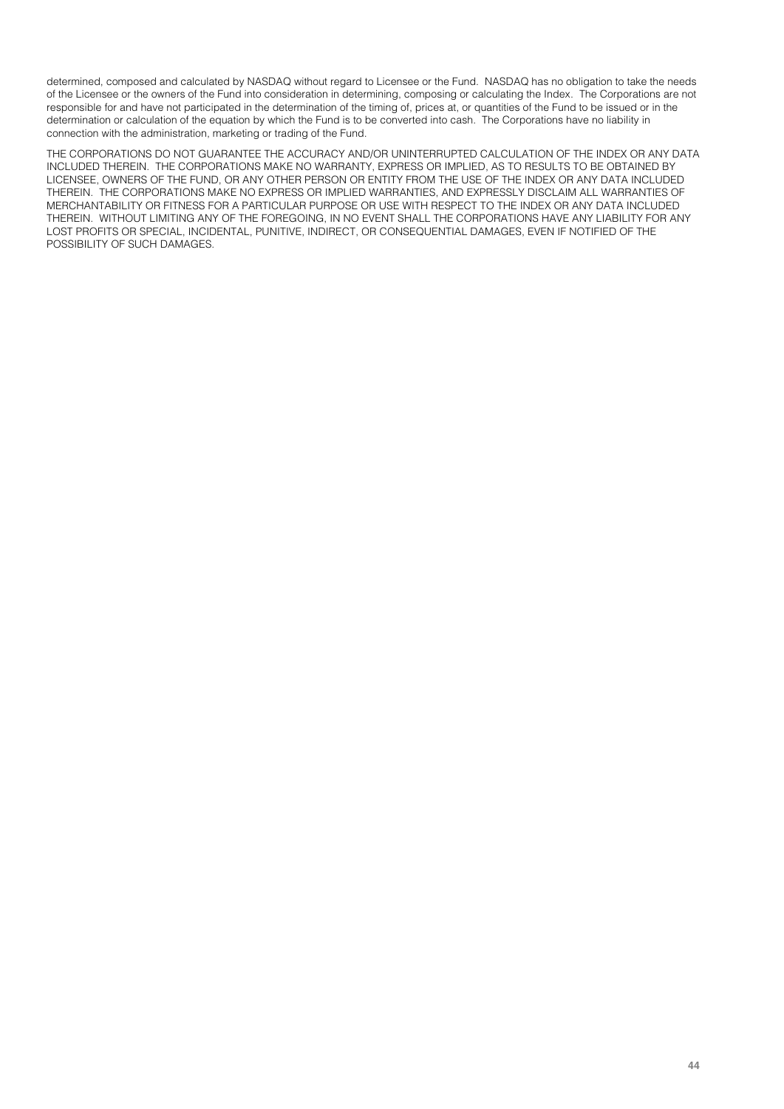determined, composed and calculated by NASDAQ without regard to Licensee or the Fund. NASDAQ has no obligation to take the needs of the Licensee or the owners of the Fund into consideration in determining, composing or calculating the Index. The Corporations are not responsible for and have not participated in the determination of the timing of, prices at, or quantities of the Fund to be issued or in the determination or calculation of the equation by which the Fund is to be converted into cash. The Corporations have no liability in connection with the administration, marketing or trading of the Fund.

THE CORPORATIONS DO NOT GUARANTEE THE ACCURACY AND/OR UNINTERRUPTED CALCULATION OF THE INDEX OR ANY DATA INCLUDED THEREIN. THE CORPORATIONS MAKE NO WARRANTY, EXPRESS OR IMPLIED, AS TO RESULTS TO BE OBTAINED BY LICENSEE, OWNERS OF THE FUND, OR ANY OTHER PERSON OR ENTITY FROM THE USE OF THE INDEX OR ANY DATA INCLUDED THEREIN. THE CORPORATIONS MAKE NO EXPRESS OR IMPLIED WARRANTIES, AND EXPRESSLY DISCLAIM ALL WARRANTIES OF MERCHANTABILITY OR FITNESS FOR A PARTICULAR PURPOSE OR USE WITH RESPECT TO THE INDEX OR ANY DATA INCLUDED THEREIN. WITHOUT LIMITING ANY OF THE FOREGOING, IN NO EVENT SHALL THE CORPORATIONS HAVE ANY LIABILITY FOR ANY LOST PROFITS OR SPECIAL, INCIDENTAL, PUNITIVE, INDIRECT, OR CONSEQUENTIAL DAMAGES, EVEN IF NOTIFIED OF THE POSSIBILITY OF SUCH DAMAGES.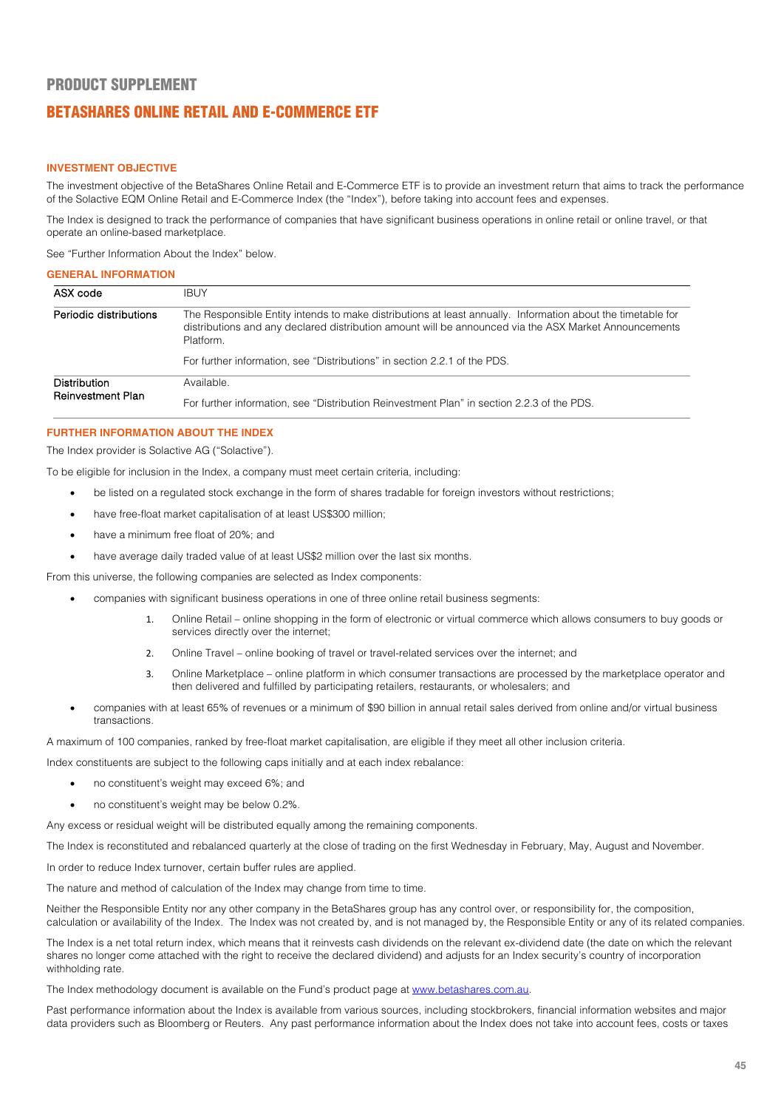## PRODUCT SUPPLEMENT

## <span id="page-45-0"></span>BETASHARES ONLINE RETAIL AND E-COMMERCE ETF

#### **INVESTMENT OBJECTIVE**

The investment objective of the BetaShares Online Retail and E-Commerce ETF is to provide an investment return that aims to track the performance of the Solactive EQM Online Retail and E-Commerce Index (the "Index"), before taking into account fees and expenses.

The Index is designed to track the performance of companies that have significant business operations in online retail or online travel, or that operate an online-based marketplace.

See "Further Information About the Index" below.

| <b>GENERAL INFORMATION</b> |                                                                                                                                                                                                                                   |  |  |
|----------------------------|-----------------------------------------------------------------------------------------------------------------------------------------------------------------------------------------------------------------------------------|--|--|
| ASX code                   | <b>IBUY</b>                                                                                                                                                                                                                       |  |  |
| Periodic distributions     | The Responsible Entity intends to make distributions at least annually. Information about the timetable for<br>distributions and any declared distribution amount will be announced via the ASX Market Announcements<br>Platform. |  |  |
|                            | For further information, see "Distributions" in section 2.2.1 of the PDS.                                                                                                                                                         |  |  |
| <b>Distribution</b>        | Available.                                                                                                                                                                                                                        |  |  |
| Reinvestment Plan          | For further information, see "Distribution Reinvestment Plan" in section 2.2.3 of the PDS.                                                                                                                                        |  |  |

#### **FURTHER INFORMATION ABOUT THE INDEX**

The Index provider is Solactive AG ("Solactive").

To be eligible for inclusion in the Index, a company must meet certain criteria, including:

- be listed on a regulated stock exchange in the form of shares tradable for foreign investors without restrictions;
- have free-float market capitalisation of at least US\$300 million;
- have a minimum free float of 20%; and
- have average daily traded value of at least US\$2 million over the last six months.

From this universe, the following companies are selected as Index components:

- companies with significant business operations in one of three online retail business segments:
	- 1. Online Retail online shopping in the form of electronic or virtual commerce which allows consumers to buy goods or services directly over the internet;
	- 2. Online Travel online booking of travel or travel-related services over the internet; and
	- 3. Online Marketplace online platform in which consumer transactions are processed by the marketplace operator and then delivered and fulfilled by participating retailers, restaurants, or wholesalers; and
- companies with at least 65% of revenues or a minimum of \$90 billion in annual retail sales derived from online and/or virtual business transactions.

A maximum of 100 companies, ranked by free-float market capitalisation, are eligible if they meet all other inclusion criteria.

Index constituents are subject to the following caps initially and at each index rebalance:

- no constituent's weight may exceed 6%; and
- no constituent's weight may be below 0.2%.

Any excess or residual weight will be distributed equally among the remaining components.

The Index is reconstituted and rebalanced quarterly at the close of trading on the first Wednesday in February, May, August and November.

In order to reduce Index turnover, certain buffer rules are applied.

The nature and method of calculation of the Index may change from time to time.

Neither the Responsible Entity nor any other company in the BetaShares group has any control over, or responsibility for, the composition, calculation or availability of the Index. The Index was not created by, and is not managed by, the Responsible Entity or any of its related companies.

The Index is a net total return index, which means that it reinvests cash dividends on the relevant ex-dividend date (the date on which the relevant shares no longer come attached with the right to receive the declared dividend) and adjusts for an Index security's country of incorporation withholding rate.

The Index methodology document is available on the Fund's product page at [www.betashares.com.au.](http://www.betashares.com.au/)

Past performance information about the Index is available from various sources, including stockbrokers, financial information websites and major data providers such as Bloomberg or Reuters. Any past performance information about the Index does not take into account fees, costs or taxes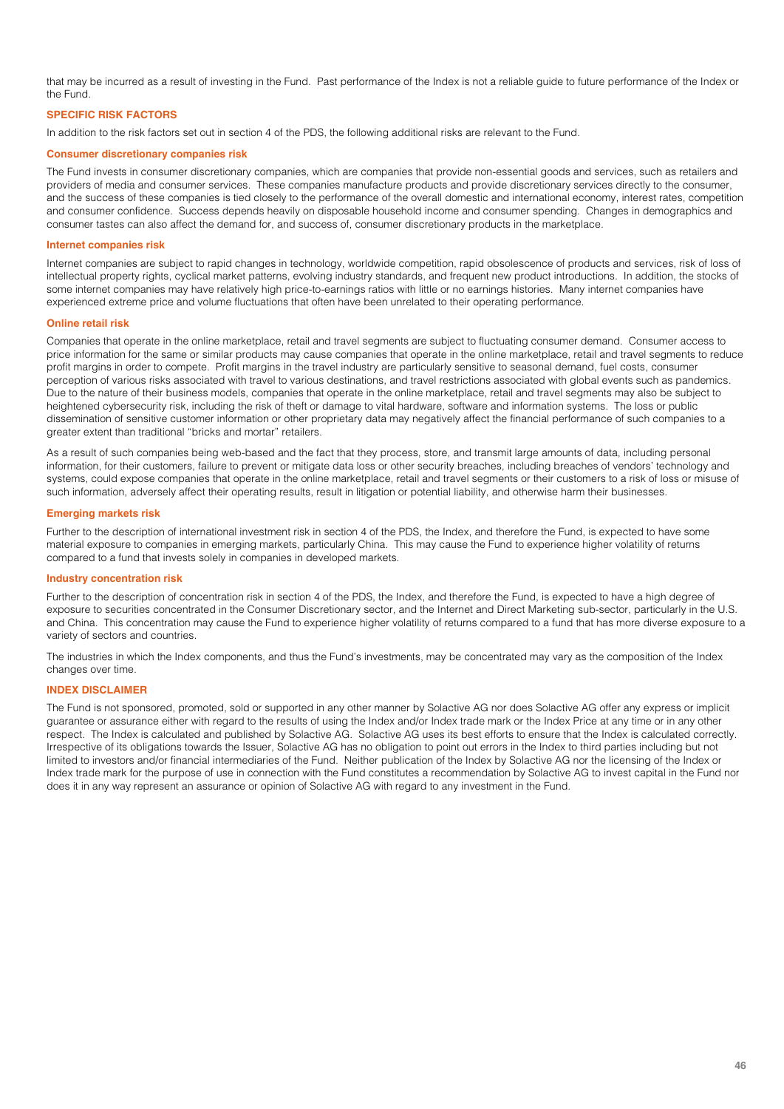that may be incurred as a result of investing in the Fund. Past performance of the Index is not a reliable guide to future performance of the Index or the Fund.

#### **SPECIFIC RISK FACTORS**

In addition to the risk factors set out in section 4 of the PDS, the following additional risks are relevant to the Fund.

#### **Consumer discretionary companies risk**

The Fund invests in consumer discretionary companies, which are companies that provide non-essential goods and services, such as retailers and providers of media and consumer services. These companies manufacture products and provide discretionary services directly to the consumer, and the success of these companies is tied closely to the performance of the overall domestic and international economy, interest rates, competition and consumer confidence. Success depends heavily on disposable household income and consumer spending. Changes in demographics and consumer tastes can also affect the demand for, and success of, consumer discretionary products in the marketplace.

#### **Internet companies risk**

Internet companies are subject to rapid changes in technology, worldwide competition, rapid obsolescence of products and services, risk of loss of intellectual property rights, cyclical market patterns, evolving industry standards, and frequent new product introductions. In addition, the stocks of some internet companies may have relatively high price-to-earnings ratios with little or no earnings histories. Many internet companies have experienced extreme price and volume fluctuations that often have been unrelated to their operating performance.

#### **Online retail risk**

Companies that operate in the online marketplace, retail and travel segments are subject to fluctuating consumer demand. Consumer access to price information for the same or similar products may cause companies that operate in the online marketplace, retail and travel segments to reduce profit margins in order to compete. Profit margins in the travel industry are particularly sensitive to seasonal demand, fuel costs, consumer perception of various risks associated with travel to various destinations, and travel restrictions associated with global events such as pandemics. Due to the nature of their business models, companies that operate in the online marketplace, retail and travel segments may also be subject to heightened cybersecurity risk, including the risk of theft or damage to vital hardware, software and information systems. The loss or public dissemination of sensitive customer information or other proprietary data may negatively affect the financial performance of such companies to a greater extent than traditional "bricks and mortar" retailers.

As a result of such companies being web-based and the fact that they process, store, and transmit large amounts of data, including personal information, for their customers, failure to prevent or mitigate data loss or other security breaches, including breaches of vendors' technology and systems, could expose companies that operate in the online marketplace, retail and travel segments or their customers to a risk of loss or misuse of such information, adversely affect their operating results, result in litigation or potential liability, and otherwise harm their businesses.

#### **Emerging markets risk**

Further to the description of international investment risk in section 4 of the PDS, the Index, and therefore the Fund, is expected to have some material exposure to companies in emerging markets, particularly China. This may cause the Fund to experience higher volatility of returns compared to a fund that invests solely in companies in developed markets.

#### **Industry concentration risk**

Further to the description of concentration risk in section 4 of the PDS, the Index, and therefore the Fund, is expected to have a high degree of exposure to securities concentrated in the Consumer Discretionary sector, and the Internet and Direct Marketing sub-sector, particularly in the U.S. and China. This concentration may cause the Fund to experience higher volatility of returns compared to a fund that has more diverse exposure to a variety of sectors and countries.

The industries in which the Index components, and thus the Fund's investments, may be concentrated may vary as the composition of the Index changes over time.

#### **INDEX DISCLAIMER**

The Fund is not sponsored, promoted, sold or supported in any other manner by Solactive AG nor does Solactive AG offer any express or implicit guarantee or assurance either with regard to the results of using the Index and/or Index trade mark or the Index Price at any time or in any other respect. The Index is calculated and published by Solactive AG. Solactive AG uses its best efforts to ensure that the Index is calculated correctly. Irrespective of its obligations towards the Issuer, Solactive AG has no obligation to point out errors in the Index to third parties including but not limited to investors and/or financial intermediaries of the Fund. Neither publication of the Index by Solactive AG nor the licensing of the Index or Index trade mark for the purpose of use in connection with the Fund constitutes a recommendation by Solactive AG to invest capital in the Fund nor does it in any way represent an assurance or opinion of Solactive AG with regard to any investment in the Fund.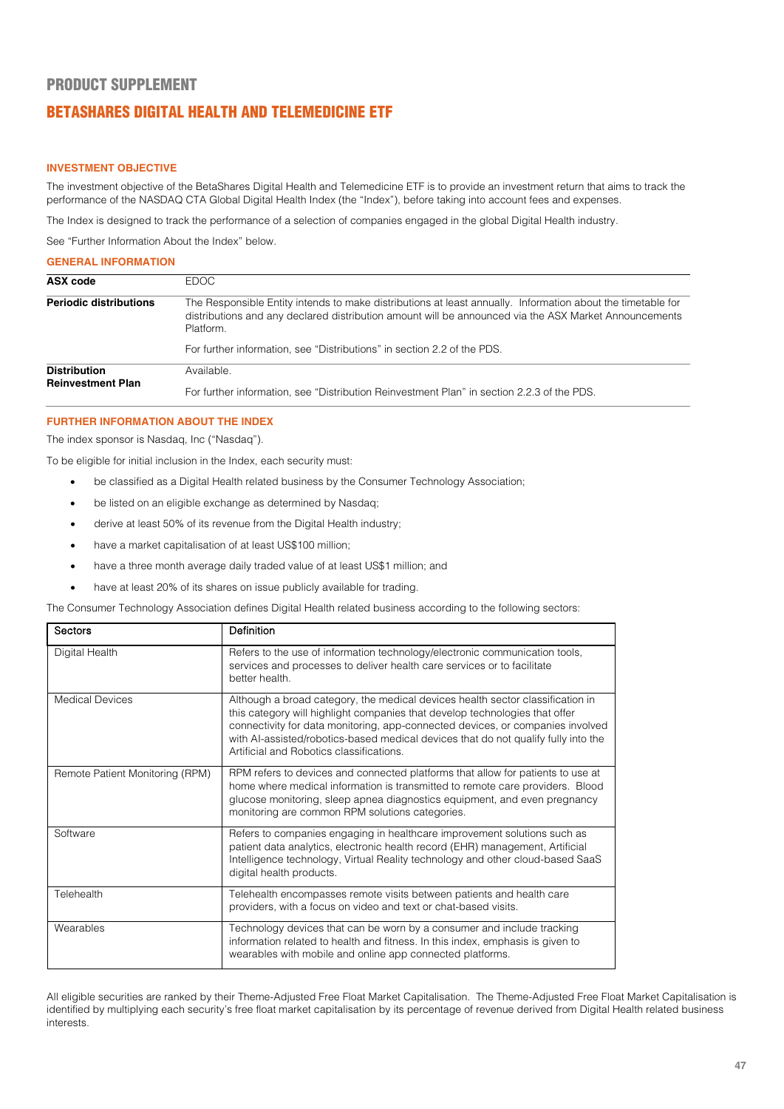## PRODUCT SUPPLEMENT

## <span id="page-47-0"></span>BETASHARES DIGITAL HEALTH AND TELEMEDICINE ETF

#### **INVESTMENT OBJECTIVE**

The investment objective of the BetaShares Digital Health and Telemedicine ETF is to provide an investment return that aims to track the performance of the NASDAQ CTA Global Digital Health Index (the "Index"), before taking into account fees and expenses.

The Index is designed to track the performance of a selection of companies engaged in the global Digital Health industry.

See "Further Information About the Index" below.

#### **GENERAL INFORMATION**

| ASX code                      | EDOC.                                                                                                                                                                                                                             |  |
|-------------------------------|-----------------------------------------------------------------------------------------------------------------------------------------------------------------------------------------------------------------------------------|--|
| <b>Periodic distributions</b> | The Responsible Entity intends to make distributions at least annually. Information about the timetable for<br>distributions and any declared distribution amount will be announced via the ASX Market Announcements<br>Platform. |  |
|                               | For further information, see "Distributions" in section 2.2 of the PDS.                                                                                                                                                           |  |
| <b>Distribution</b>           | Available.                                                                                                                                                                                                                        |  |
| <b>Reinvestment Plan</b>      | For further information, see "Distribution Reinvestment Plan" in section 2.2.3 of the PDS.                                                                                                                                        |  |

#### **FURTHER INFORMATION ABOUT THE INDEX**

The index sponsor is Nasdaq, Inc ("Nasdaq").

To be eligible for initial inclusion in the Index, each security must:

- be classified as a Digital Health related business by the Consumer Technology Association;
- be listed on an eligible exchange as determined by Nasdag;
- derive at least 50% of its revenue from the Digital Health industry;
- have a market capitalisation of at least US\$100 million;
- have a three month average daily traded value of at least US\$1 million; and
- have at least 20% of its shares on issue publicly available for trading.

The Consumer Technology Association defines Digital Health related business according to the following sectors:

| Sectors                         | Definition                                                                                                                                                                                                                                                                                                                                                                        |
|---------------------------------|-----------------------------------------------------------------------------------------------------------------------------------------------------------------------------------------------------------------------------------------------------------------------------------------------------------------------------------------------------------------------------------|
| Digital Health                  | Refers to the use of information technology/electronic communication tools,<br>services and processes to deliver health care services or to facilitate<br>hetter health                                                                                                                                                                                                           |
| <b>Medical Devices</b>          | Although a broad category, the medical devices health sector classification in<br>this category will highlight companies that develop technologies that offer<br>connectivity for data monitoring, app-connected devices, or companies involved<br>with AI-assisted/robotics-based medical devices that do not qualify fully into the<br>Artificial and Robotics classifications. |
| Remote Patient Monitoring (RPM) | RPM refers to devices and connected platforms that allow for patients to use at<br>home where medical information is transmitted to remote care providers. Blood<br>glucose monitoring, sleep apnea diagnostics equipment, and even pregnancy<br>monitoring are common RPM solutions categories.                                                                                  |
| Software                        | Refers to companies engaging in healthcare improvement solutions such as<br>patient data analytics, electronic health record (EHR) management, Artificial<br>Intelligence technology, Virtual Reality technology and other cloud-based SaaS<br>digital health products.                                                                                                           |
| Telehealth                      | Telehealth encompasses remote visits between patients and health care<br>providers, with a focus on video and text or chat-based visits.                                                                                                                                                                                                                                          |
| Wearables                       | Technology devices that can be worn by a consumer and include tracking<br>information related to health and fitness. In this index, emphasis is given to<br>wearables with mobile and online app connected platforms.                                                                                                                                                             |

All eligible securities are ranked by their Theme-Adjusted Free Float Market Capitalisation. The Theme-Adjusted Free Float Market Capitalisation is identified by multiplying each security's free float market capitalisation by its percentage of revenue derived from Digital Health related business interests.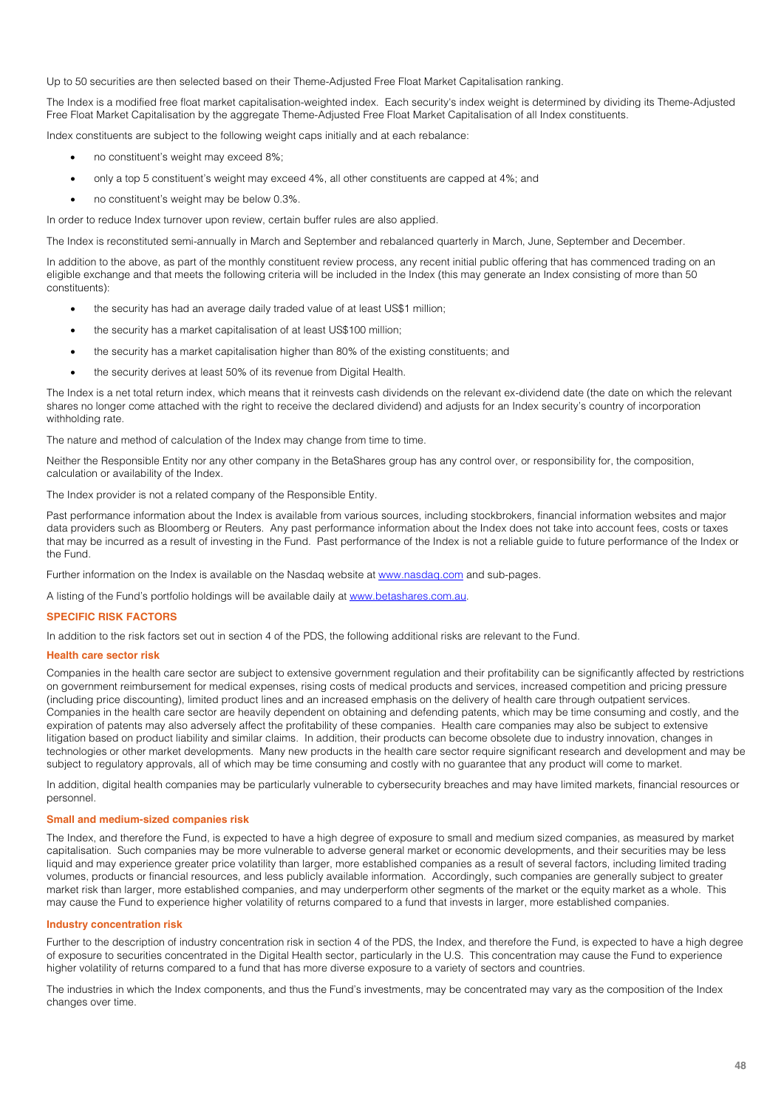Up to 50 securities are then selected based on their Theme-Adjusted Free Float Market Capitalisation ranking.

The Index is a modified free float market capitalisation-weighted index. Each security's index weight is determined by dividing its Theme-Adjusted Free Float Market Capitalisation by the aggregate Theme-Adjusted Free Float Market Capitalisation of all Index constituents.

Index constituents are subject to the following weight caps initially and at each rebalance:

- no constituent's weight may exceed 8%;
- only a top 5 constituent's weight may exceed 4%, all other constituents are capped at 4%; and
- no constituent's weight may be below 0.3%.

In order to reduce Index turnover upon review, certain buffer rules are also applied.

The Index is reconstituted semi-annually in March and September and rebalanced quarterly in March, June, September and December.

In addition to the above, as part of the monthly constituent review process, any recent initial public offering that has commenced trading on an eligible exchange and that meets the following criteria will be included in the Index (this may generate an Index consisting of more than 50 constituents):

- the security has had an average daily traded value of at least US\$1 million;
- the security has a market capitalisation of at least US\$100 million;
- the security has a market capitalisation higher than 80% of the existing constituents; and
- the security derives at least 50% of its revenue from Digital Health.

The Index is a net total return index, which means that it reinvests cash dividends on the relevant ex-dividend date (the date on which the relevant shares no longer come attached with the right to receive the declared dividend) and adjusts for an Index security's country of incorporation withholding rate.

The nature and method of calculation of the Index may change from time to time.

Neither the Responsible Entity nor any other company in the BetaShares group has any control over, or responsibility for, the composition, calculation or availability of the Index.

The Index provider is not a related company of the Responsible Entity.

Past performance information about the Index is available from various sources, including stockbrokers, financial information websites and major data providers such as Bloomberg or Reuters. Any past performance information about the Index does not take into account fees, costs or taxes that may be incurred as a result of investing in the Fund. Past performance of the Index is not a reliable guide to future performance of the Index or the Fund.

Further information on the Index is available on the Nasdaq website a[t www.nasdaq.com](http://www.nasdaq.com/) and sub-pages.

A listing of the Fund's portfolio holdings will be available daily a[t www.betashares.com.au.](http://www.betashares.com.au/)

#### **SPECIFIC RISK FACTORS**

In addition to the risk factors set out in section 4 of the PDS, the following additional risks are relevant to the Fund.

#### **Health care sector risk**

Companies in the health care sector are subject to extensive government regulation and their profitability can be significantly affected by restrictions on government reimbursement for medical expenses, rising costs of medical products and services, increased competition and pricing pressure (including price discounting), limited product lines and an increased emphasis on the delivery of health care through outpatient services. Companies in the health care sector are heavily dependent on obtaining and defending patents, which may be time consuming and costly, and the expiration of patents may also adversely affect the profitability of these companies. Health care companies may also be subject to extensive litigation based on product liability and similar claims. In addition, their products can become obsolete due to industry innovation, changes in technologies or other market developments. Many new products in the health care sector require significant research and development and may be subject to regulatory approvals, all of which may be time consuming and costly with no guarantee that any product will come to market.

In addition, digital health companies may be particularly vulnerable to cybersecurity breaches and may have limited markets, financial resources or personnel.

#### **Small and medium-sized companies risk**

The Index, and therefore the Fund, is expected to have a high degree of exposure to small and medium sized companies, as measured by market capitalisation. Such companies may be more vulnerable to adverse general market or economic developments, and their securities may be less liquid and may experience greater price volatility than larger, more established companies as a result of several factors, including limited trading volumes, products or financial resources, and less publicly available information. Accordingly, such companies are generally subject to greater market risk than larger, more established companies, and may underperform other segments of the market or the equity market as a whole. This may cause the Fund to experience higher volatility of returns compared to a fund that invests in larger, more established companies.

#### **Industry concentration risk**

Further to the description of industry concentration risk in section 4 of the PDS, the Index, and therefore the Fund, is expected to have a high degree of exposure to securities concentrated in the Digital Health sector, particularly in the U.S. This concentration may cause the Fund to experience higher volatility of returns compared to a fund that has more diverse exposure to a variety of sectors and countries.

The industries in which the Index components, and thus the Fund's investments, may be concentrated may vary as the composition of the Index changes over time.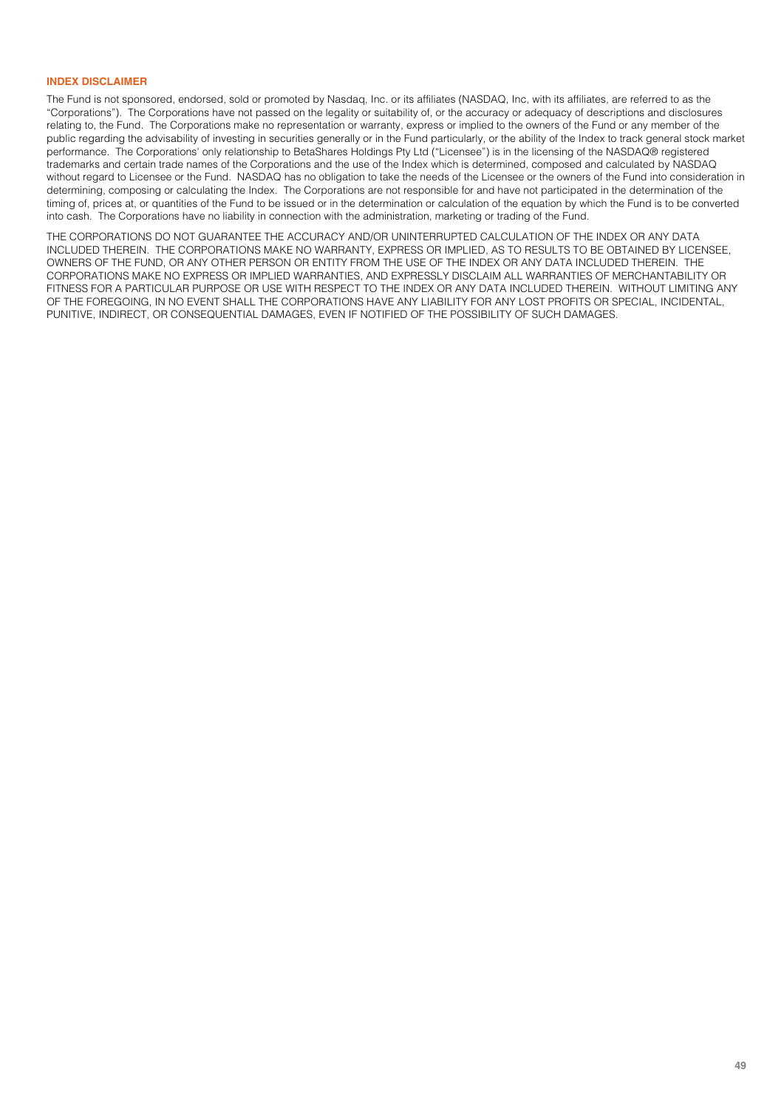#### **INDEX DISCLAIMER**

The Fund is not sponsored, endorsed, sold or promoted by Nasdaq, Inc. or its affiliates (NASDAQ, Inc, with its affiliates, are referred to as the "Corporations"). The Corporations have not passed on the legality or suitability of, or the accuracy or adequacy of descriptions and disclosures relating to, the Fund. The Corporations make no representation or warranty, express or implied to the owners of the Fund or any member of the public regarding the advisability of investing in securities generally or in the Fund particularly, or the ability of the Index to track general stock market performance. The Corporations' only relationship to BetaShares Holdings Pty Ltd ("Licensee") is in the licensing of the NASDAQ® registered trademarks and certain trade names of the Corporations and the use of the Index which is determined, composed and calculated by NASDAQ without regard to Licensee or the Fund. NASDAQ has no obligation to take the needs of the Licensee or the owners of the Fund into consideration in determining, composing or calculating the Index. The Corporations are not responsible for and have not participated in the determination of the timing of, prices at, or quantities of the Fund to be issued or in the determination or calculation of the equation by which the Fund is to be converted into cash. The Corporations have no liability in connection with the administration, marketing or trading of the Fund.

THE CORPORATIONS DO NOT GUARANTEE THE ACCURACY AND/OR UNINTERRUPTED CALCULATION OF THE INDEX OR ANY DATA INCLUDED THEREIN. THE CORPORATIONS MAKE NO WARRANTY, EXPRESS OR IMPLIED, AS TO RESULTS TO BE OBTAINED BY LICENSEE, OWNERS OF THE FUND, OR ANY OTHER PERSON OR ENTITY FROM THE USE OF THE INDEX OR ANY DATA INCLUDED THEREIN. THE CORPORATIONS MAKE NO EXPRESS OR IMPLIED WARRANTIES, AND EXPRESSLY DISCLAIM ALL WARRANTIES OF MERCHANTABILITY OR FITNESS FOR A PARTICULAR PURPOSE OR USE WITH RESPECT TO THE INDEX OR ANY DATA INCLUDED THEREIN. WITHOUT LIMITING ANY OF THE FOREGOING, IN NO EVENT SHALL THE CORPORATIONS HAVE ANY LIABILITY FOR ANY LOST PROFITS OR SPECIAL, INCIDENTAL, PUNITIVE, INDIRECT, OR CONSEQUENTIAL DAMAGES, EVEN IF NOTIFIED OF THE POSSIBILITY OF SUCH DAMAGES.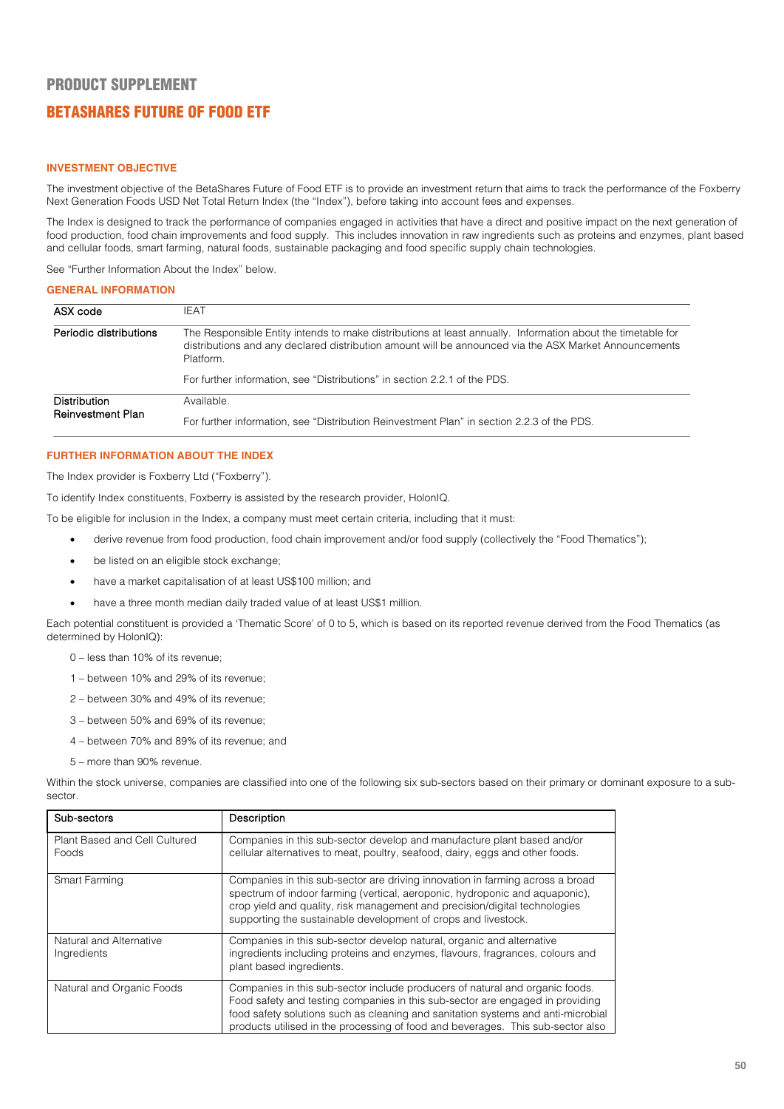## <span id="page-50-0"></span>BETASHARES FUTURE OF FOOD ETF

#### **INVESTMENT OBJECTIVE**

The investment objective of the BetaShares Future of Food ETF is to provide an investment return that aims to track the performance of the Foxberry Next Generation Foods USD Net Total Return Index (the "Index"), before taking into account fees and expenses.

The Index is designed to track the performance of companies engaged in activities that have a direct and positive impact on the next generation of food production, food chain improvements and food supply. This includes innovation in raw ingredients such as proteins and enzymes, plant based and cellular foods, smart farming, natural foods, sustainable packaging and food specific supply chain technologies.

See "Further Information About the Index" below.

#### **GENERAL INFORMATION**

| ASX code                 | IEAT                                                                                                                                                                                                                              |  |
|--------------------------|-----------------------------------------------------------------------------------------------------------------------------------------------------------------------------------------------------------------------------------|--|
| Periodic distributions   | The Responsible Entity intends to make distributions at least annually. Information about the timetable for<br>distributions and any declared distribution amount will be announced via the ASX Market Announcements<br>Platform. |  |
|                          | For further information, see "Distributions" in section 2.2.1 of the PDS.                                                                                                                                                         |  |
| <b>Distribution</b>      | Available.                                                                                                                                                                                                                        |  |
| <b>Reinvestment Plan</b> | For further information, see "Distribution Reinvestment Plan" in section 2.2.3 of the PDS.                                                                                                                                        |  |

#### **FURTHER INFORMATION ABOUT THE INDEX**

The Index provider is Foxberry Ltd ("Foxberry").

To identify Index constituents, Foxberry is assisted by the research provider, HolonIQ.

To be eligible for inclusion in the Index, a company must meet certain criteria, including that it must:

- derive revenue from food production, food chain improvement and/or food supply (collectively the "Food Thematics");
- be listed on an eligible stock exchange;
- have a market capitalisation of at least US\$100 million; and
- have a three month median daily traded value of at least US\$1 million.

Each potential constituent is provided a 'Thematic Score' of 0 to 5, which is based on its reported revenue derived from the Food Thematics (as determined by HolonIQ):

- 0 less than 10% of its revenue;
- 1 between 10% and 29% of its revenue;
- 2 between 30% and 49% of its revenue;
- 3 between 50% and 69% of its revenue;
- 4 between 70% and 89% of its revenue; and
- 5 more than 90% revenue.

Within the stock universe, companies are classified into one of the following six sub-sectors based on their primary or dominant exposure to a subsector.

| Sub-sectors                            | Description                                                                                                                                                                                                                                                                                                                          |
|----------------------------------------|--------------------------------------------------------------------------------------------------------------------------------------------------------------------------------------------------------------------------------------------------------------------------------------------------------------------------------------|
| Plant Based and Cell Cultured<br>Foods | Companies in this sub-sector develop and manufacture plant based and/or<br>cellular alternatives to meat, poultry, seafood, dairy, eggs and other foods.                                                                                                                                                                             |
| <b>Smart Farming</b>                   | Companies in this sub-sector are driving innovation in farming across a broad<br>spectrum of indoor farming (vertical, aeroponic, hydroponic and aquaponic),<br>crop yield and quality, risk management and precision/digital technologies<br>supporting the sustainable development of crops and livestock.                         |
| Natural and Alternative<br>Ingredients | Companies in this sub-sector develop natural, organic and alternative<br>ingredients including proteins and enzymes, flavours, fragrances, colours and<br>plant based ingredients.                                                                                                                                                   |
| Natural and Organic Foods              | Companies in this sub-sector include producers of natural and organic foods.<br>Food safety and testing companies in this sub-sector are engaged in providing<br>food safety solutions such as cleaning and sanitation systems and anti-microbial<br>products utilised in the processing of food and beverages. This sub-sector also |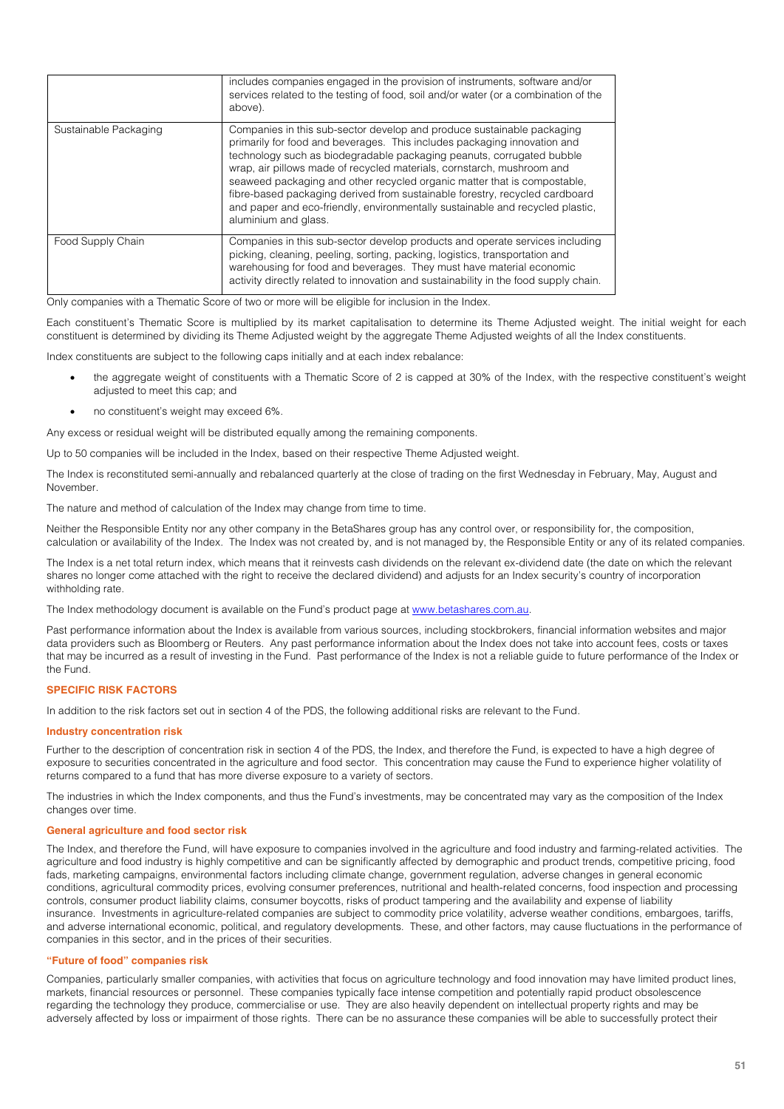|                       | includes companies engaged in the provision of instruments, software and/or<br>services related to the testing of food, soil and/or water (or a combination of the<br>above).                                                                                                                                                                                                                                                                                                                                                                                             |
|-----------------------|---------------------------------------------------------------------------------------------------------------------------------------------------------------------------------------------------------------------------------------------------------------------------------------------------------------------------------------------------------------------------------------------------------------------------------------------------------------------------------------------------------------------------------------------------------------------------|
| Sustainable Packaging | Companies in this sub-sector develop and produce sustainable packaging<br>primarily for food and beverages. This includes packaging innovation and<br>technology such as biodegradable packaging peanuts, corrugated bubble<br>wrap, air pillows made of recycled materials, cornstarch, mushroom and<br>seaweed packaging and other recycled organic matter that is compostable.<br>fibre-based packaging derived from sustainable forestry, recycled cardboard<br>and paper and eco-friendly, environmentally sustainable and recycled plastic,<br>aluminium and glass. |
| Food Supply Chain     | Companies in this sub-sector develop products and operate services including<br>picking, cleaning, peeling, sorting, packing, logistics, transportation and<br>warehousing for food and beverages. They must have material economic<br>activity directly related to innovation and sustainability in the food supply chain.                                                                                                                                                                                                                                               |

Only companies with a Thematic Score of two or more will be eligible for inclusion in the Index.

Each constituent's Thematic Score is multiplied by its market capitalisation to determine its Theme Adjusted weight. The initial weight for each constituent is determined by dividing its Theme Adjusted weight by the aggregate Theme Adjusted weights of all the Index constituents.

Index constituents are subject to the following caps initially and at each index rebalance:

- the aggregate weight of constituents with a Thematic Score of 2 is capped at 30% of the Index, with the respective constituent's weight adjusted to meet this cap; and
- no constituent's weight may exceed 6%.

Any excess or residual weight will be distributed equally among the remaining components.

Up to 50 companies will be included in the Index, based on their respective Theme Adjusted weight.

The Index is reconstituted semi-annually and rebalanced quarterly at the close of trading on the first Wednesday in February, May, August and November.

The nature and method of calculation of the Index may change from time to time.

Neither the Responsible Entity nor any other company in the BetaShares group has any control over, or responsibility for, the composition, calculation or availability of the Index. The Index was not created by, and is not managed by, the Responsible Entity or any of its related companies.

The Index is a net total return index, which means that it reinvests cash dividends on the relevant ex-dividend date (the date on which the relevant shares no longer come attached with the right to receive the declared dividend) and adjusts for an Index security's country of incorporation withholding rate.

The Index methodology document is available on the Fund's product page at [www.betashares.com.au.](http://www.betashares.com.au/)

Past performance information about the Index is available from various sources, including stockbrokers, financial information websites and major data providers such as Bloomberg or Reuters. Any past performance information about the Index does not take into account fees, costs or taxes that may be incurred as a result of investing in the Fund. Past performance of the Index is not a reliable guide to future performance of the Index or the Fund.

#### **SPECIFIC RISK FACTORS**

In addition to the risk factors set out in section 4 of the PDS, the following additional risks are relevant to the Fund.

#### **Industry concentration risk**

Further to the description of concentration risk in section 4 of the PDS, the Index, and therefore the Fund, is expected to have a high degree of exposure to securities concentrated in the agriculture and food sector. This concentration may cause the Fund to experience higher volatility of returns compared to a fund that has more diverse exposure to a variety of sectors.

The industries in which the Index components, and thus the Fund's investments, may be concentrated may vary as the composition of the Index changes over time.

#### **General agriculture and food sector risk**

The Index, and therefore the Fund, will have exposure to companies involved in the agriculture and food industry and farming-related activities. The agriculture and food industry is highly competitive and can be significantly affected by demographic and product trends, competitive pricing, food fads, marketing campaigns, environmental factors including climate change, government regulation, adverse changes in general economic conditions, agricultural commodity prices, evolving consumer preferences, nutritional and health-related concerns, food inspection and processing controls, consumer product liability claims, consumer boycotts, risks of product tampering and the availability and expense of liability insurance. Investments in agriculture-related companies are subject to commodity price volatility, adverse weather conditions, embargoes, tariffs, and adverse international economic, political, and regulatory developments. These, and other factors, may cause fluctuations in the performance of companies in this sector, and in the prices of their securities.

#### **"Future of food" companies risk**

Companies, particularly smaller companies, with activities that focus on agriculture technology and food innovation may have limited product lines, markets, financial resources or personnel. These companies typically face intense competition and potentially rapid product obsolescence regarding the technology they produce, commercialise or use. They are also heavily dependent on intellectual property rights and may be adversely affected by loss or impairment of those rights. There can be no assurance these companies will be able to successfully protect their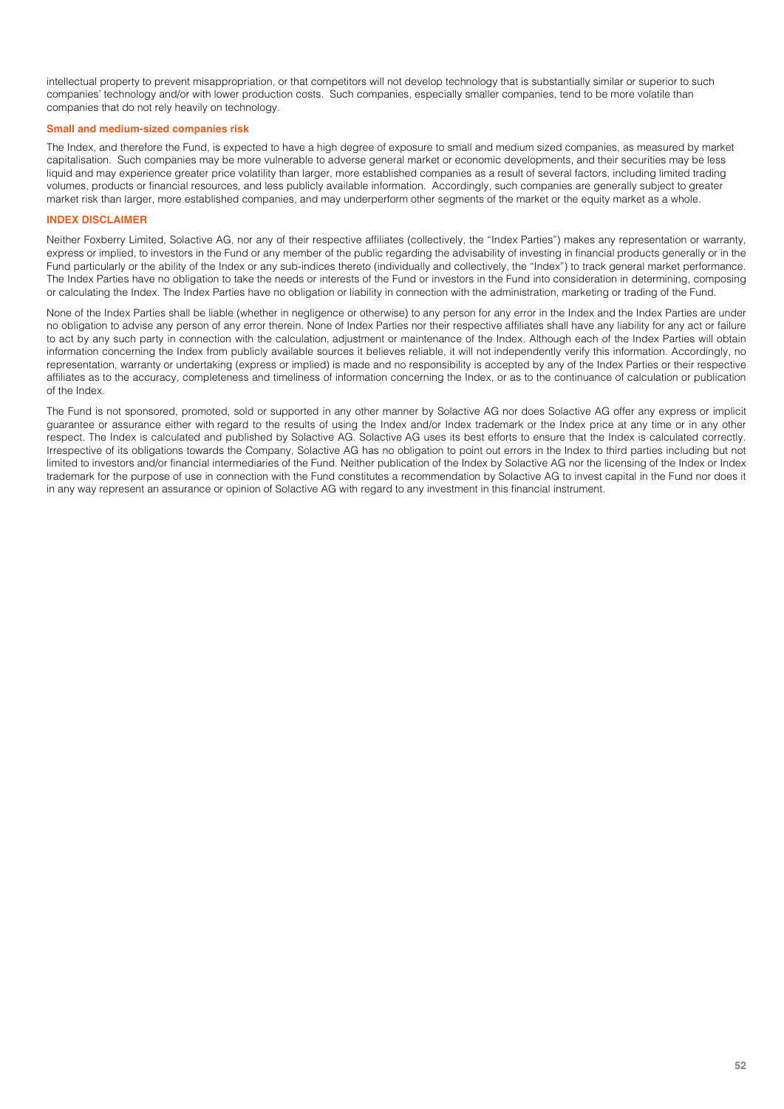intellectual property to prevent misappropriation, or that competitors will not develop technology that is substantially similar or superior to such companies' technology and/or with lower production costs. Such companies, especially smaller companies, tend to be more volatile than companies that do not rely heavily on technology.

#### **Small and medium-sized companies risk**

The Index, and therefore the Fund, is expected to have a high degree of exposure to small and medium sized companies, as measured by market capitalisation. Such companies may be more vulnerable to adverse general market or economic developments, and their securities may be less liquid and may experience greater price volatility than larger, more established companies as a result of several factors, including limited trading volumes, products or financial resources, and less publicly available information. Accordingly, such companies are generally subject to greater market risk than larger, more established companies, and may underperform other segments of the market or the equity market as a whole.

#### **INDEX DISCLAIMER**

Neither Foxberry Limited, Solactive AG, nor any of their respective affiliates (collectively, the "Index Parties") makes any representation or warranty, express or implied, to investors in the Fund or any member of the public regarding the advisability of investing in financial products generally or in the Fund particularly or the ability of the Index or any sub-indices thereto (individually and collectively, the "Index") to track general market performance. The Index Parties have no obligation to take the needs or interests of the Fund or investors in the Fund into consideration in determining, composing or calculating the Index. The Index Parties have no obligation or liability in connection with the administration, marketing or trading of the Fund.

None of the Index Parties shall be liable (whether in negligence or otherwise) to any person for any error in the Index and the Index Parties are under no obligation to advise any person of any error therein. None of Index Parties nor their respective affiliates shall have any liability for any act or failure to act by any such party in connection with the calculation, adjustment or maintenance of the Index. Although each of the Index Parties will obtain information concerning the Index from publicly available sources it believes reliable, it will not independently verify this information. Accordingly, no representation, warranty or undertaking (express or implied) is made and no responsibility is accepted by any of the Index Parties or their respective affiliates as to the accuracy, completeness and timeliness of information concerning the Index, or as to the continuance of calculation or publication of the Index.

The Fund is not sponsored, promoted, sold or supported in any other manner by Solactive AG nor does Solactive AG offer any express or implicit guarantee or assurance either with regard to the results of using the Index and/or Index trademark or the Index price at any time or in any other respect. The Index is calculated and published by Solactive AG. Solactive AG uses its best efforts to ensure that the Index is calculated correctly. Irrespective of its obligations towards the Company, Solactive AG has no obligation to point out errors in the Index to third parties including but not limited to investors and/or financial intermediaries of the Fund. Neither publication of the Index by Solactive AG nor the licensing of the Index or Index trademark for the purpose of use in connection with the Fund constitutes a recommendation by Solactive AG to invest capital in the Fund nor does it in any way represent an assurance or opinion of Solactive AG with regard to any investment in this financial instrument.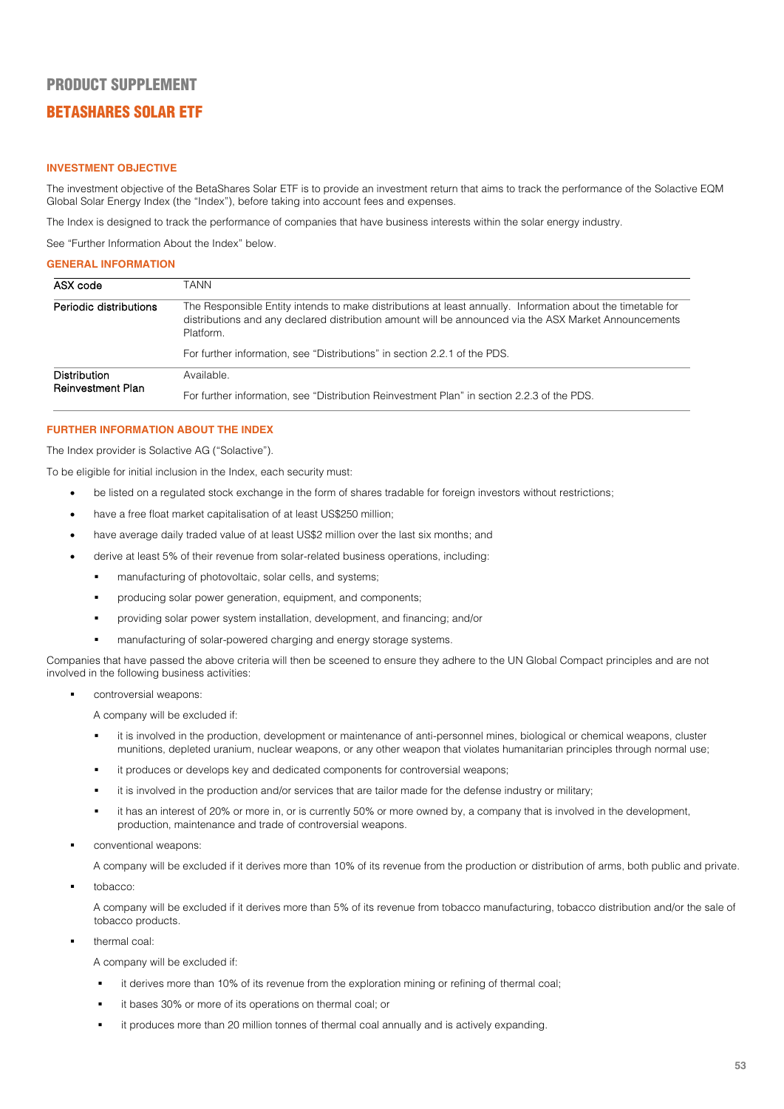## PRODUCT SUPPLEMENT

## <span id="page-53-0"></span>BETASHARES SOLAR ETF

#### **INVESTMENT OBJECTIVE**

The investment objective of the BetaShares Solar ETF is to provide an investment return that aims to track the performance of the Solactive EQM Global Solar Energy Index (the "Index"), before taking into account fees and expenses.

The Index is designed to track the performance of companies that have business interests within the solar energy industry.

See "Further Information About the Index" below.

#### **GENERAL INFORMATION**

| ASX code                                        | TANN                                                                                                                                                                                                                              |  |
|-------------------------------------------------|-----------------------------------------------------------------------------------------------------------------------------------------------------------------------------------------------------------------------------------|--|
| Periodic distributions                          | The Responsible Entity intends to make distributions at least annually. Information about the timetable for<br>distributions and any declared distribution amount will be announced via the ASX Market Announcements<br>Platform. |  |
|                                                 | For further information, see "Distributions" in section 2.2.1 of the PDS.                                                                                                                                                         |  |
| <b>Distribution</b><br><b>Reinvestment Plan</b> | Available.                                                                                                                                                                                                                        |  |
|                                                 | For further information, see "Distribution Reinvestment Plan" in section 2.2.3 of the PDS.                                                                                                                                        |  |

#### **FURTHER INFORMATION ABOUT THE INDEX**

The Index provider is Solactive AG ("Solactive").

To be eligible for initial inclusion in the Index, each security must:

- be listed on a regulated stock exchange in the form of shares tradable for foreign investors without restrictions;
- have a free float market capitalisation of at least US\$250 million;
- have average daily traded value of at least US\$2 million over the last six months; and
- derive at least 5% of their revenue from solar-related business operations, including:
	- **Fall manufacturing of photovoltaic, solar cells, and systems;**
	- **•** producing solar power generation, equipment, and components;
	- providing solar power system installation, development, and financing; and/or
	- manufacturing of solar-powered charging and energy storage systems.

Companies that have passed the above criteria will then be sceened to ensure they adhere to the UN Global Compact principles and are not involved in the following business activities:

controversial weapons:

A company will be excluded if:

- it is involved in the production, development or maintenance of anti-personnel mines, biological or chemical weapons, cluster munitions, depleted uranium, nuclear weapons, or any other weapon that violates humanitarian principles through normal use;
- it produces or develops key and dedicated components for controversial weapons;
- it is involved in the production and/or services that are tailor made for the defense industry or military;
- it has an interest of 20% or more in, or is currently 50% or more owned by, a company that is involved in the development, production, maintenance and trade of controversial weapons.
- conventional weapons:

A company will be excluded if it derives more than 10% of its revenue from the production or distribution of arms, both public and private.

tobacco:

A company will be excluded if it derives more than 5% of its revenue from tobacco manufacturing, tobacco distribution and/or the sale of tobacco products.

thermal coal:

A company will be excluded if:

- it derives more than 10% of its revenue from the exploration mining or refining of thermal coal;
- it bases 30% or more of its operations on thermal coal; or
- it produces more than 20 million tonnes of thermal coal annually and is actively expanding.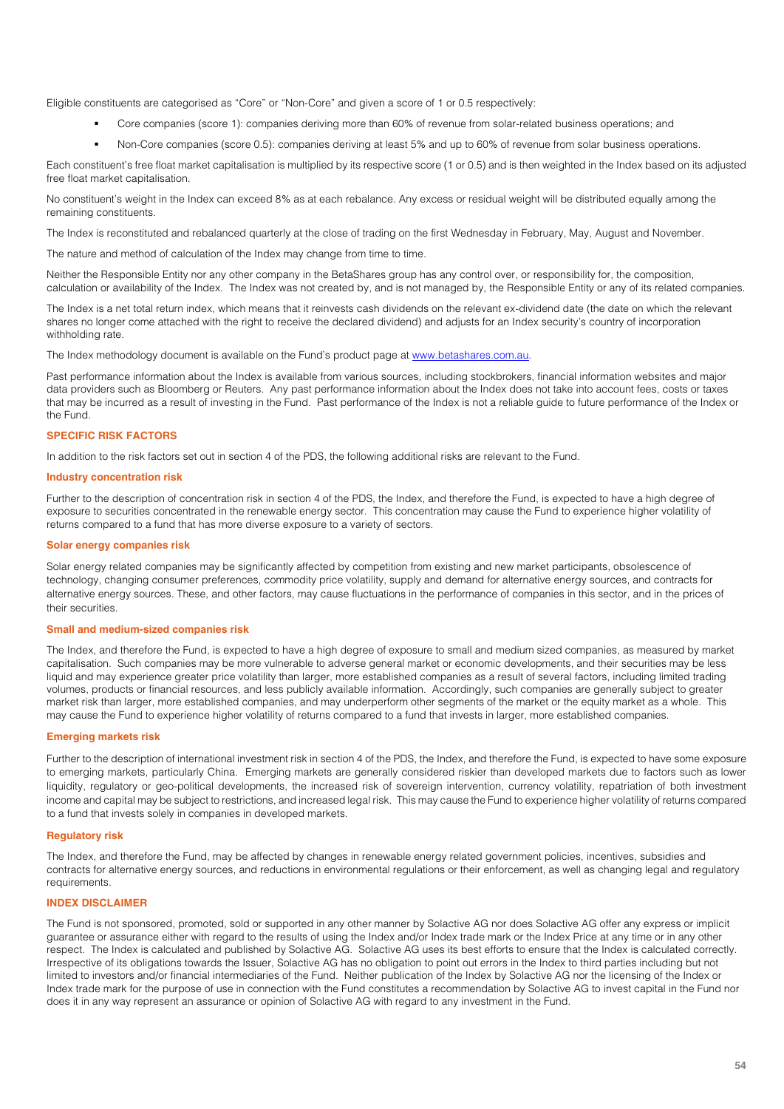Eligible constituents are categorised as "Core" or "Non-Core" and given a score of 1 or 0.5 respectively:

- Core companies (score 1): companies deriving more than 60% of revenue from solar-related business operations; and
- Non-Core companies (score 0.5): companies deriving at least 5% and up to 60% of revenue from solar business operations.

Each constituent's free float market capitalisation is multiplied by its respective score (1 or 0.5) and is then weighted in the Index based on its adjusted free float market capitalisation.

No constituent's weight in the Index can exceed 8% as at each rebalance. Any excess or residual weight will be distributed equally among the remaining constituents.

The Index is reconstituted and rebalanced quarterly at the close of trading on the first Wednesday in February, May, August and November.

The nature and method of calculation of the Index may change from time to time.

Neither the Responsible Entity nor any other company in the BetaShares group has any control over, or responsibility for, the composition, calculation or availability of the Index. The Index was not created by, and is not managed by, the Responsible Entity or any of its related companies.

The Index is a net total return index, which means that it reinvests cash dividends on the relevant ex-dividend date (the date on which the relevant shares no longer come attached with the right to receive the declared dividend) and adjusts for an Index security's country of incorporation withholding rate.

The Index methodology document is available on the Fund's product page at [www.betashares.com.au.](http://www.betashares.com.au/)

Past performance information about the Index is available from various sources, including stockbrokers, financial information websites and major data providers such as Bloomberg or Reuters. Any past performance information about the Index does not take into account fees, costs or taxes that may be incurred as a result of investing in the Fund. Past performance of the Index is not a reliable guide to future performance of the Index or the Fund.

#### **SPECIFIC RISK FACTORS**

In addition to the risk factors set out in section 4 of the PDS, the following additional risks are relevant to the Fund.

#### **Industry concentration risk**

Further to the description of concentration risk in section 4 of the PDS, the Index, and therefore the Fund, is expected to have a high degree of exposure to securities concentrated in the renewable energy sector. This concentration may cause the Fund to experience higher volatility of returns compared to a fund that has more diverse exposure to a variety of sectors.

#### **Solar energy companies risk**

Solar energy related companies may be significantly affected by competition from existing and new market participants, obsolescence of technology, changing consumer preferences, commodity price volatility, supply and demand for alternative energy sources, and contracts for alternative energy sources. These, and other factors, may cause fluctuations in the performance of companies in this sector, and in the prices of their securities.

#### **Small and medium-sized companies risk**

The Index, and therefore the Fund, is expected to have a high degree of exposure to small and medium sized companies, as measured by market capitalisation. Such companies may be more vulnerable to adverse general market or economic developments, and their securities may be less liquid and may experience greater price volatility than larger, more established companies as a result of several factors, including limited trading volumes, products or financial resources, and less publicly available information. Accordingly, such companies are generally subject to greater market risk than larger, more established companies, and may underperform other segments of the market or the equity market as a whole. This may cause the Fund to experience higher volatility of returns compared to a fund that invests in larger, more established companies.

#### **Emerging markets risk**

Further to the description of international investment risk in section 4 of the PDS, the Index, and therefore the Fund, is expected to have some exposure to emerging markets, particularly China. Emerging markets are generally considered riskier than developed markets due to factors such as lower liquidity, regulatory or geo-political developments, the increased risk of sovereign intervention, currency volatility, repatriation of both investment income and capital may be subject to restrictions, and increased legal risk. This may cause the Fund to experience higher volatility of returns compared to a fund that invests solely in companies in developed markets.

#### **Regulatory risk**

The Index, and therefore the Fund, may be affected by changes in renewable energy related government policies, incentives, subsidies and contracts for alternative energy sources, and reductions in environmental regulations or their enforcement, as well as changing legal and regulatory requirements.

#### **INDEX DISCLAIMER**

The Fund is not sponsored, promoted, sold or supported in any other manner by Solactive AG nor does Solactive AG offer any express or implicit guarantee or assurance either with regard to the results of using the Index and/or Index trade mark or the Index Price at any time or in any other respect. The Index is calculated and published by Solactive AG. Solactive AG uses its best efforts to ensure that the Index is calculated correctly. Irrespective of its obligations towards the Issuer, Solactive AG has no obligation to point out errors in the Index to third parties including but not limited to investors and/or financial intermediaries of the Fund. Neither publication of the Index by Solactive AG nor the licensing of the Index or Index trade mark for the purpose of use in connection with the Fund constitutes a recommendation by Solactive AG to invest capital in the Fund nor does it in any way represent an assurance or opinion of Solactive AG with regard to any investment in the Fund.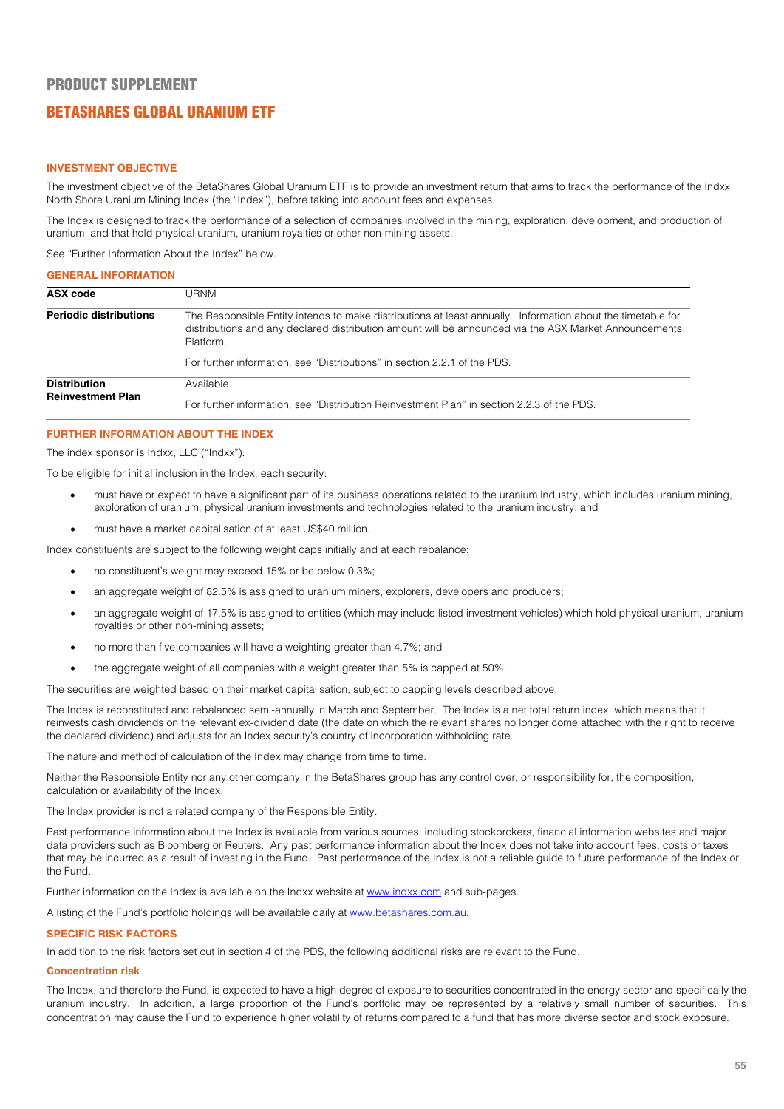## <span id="page-55-0"></span>BETASHARES GLOBAL URANIUM ETF

#### **INVESTMENT OBJECTIVE**

The investment objective of the BetaShares Global Uranium ETF is to provide an investment return that aims to track the performance of the Indxx North Shore Uranium Mining Index (the "Index"), before taking into account fees and expenses.

The Index is designed to track the performance of a selection of companies involved in the mining, exploration, development, and production of uranium, and that hold physical uranium, uranium royalties or other non-mining assets.

See "Further Information About the Index" below.

| <b>GENERAL INFORMATION</b>    |                                                                                                                                                                                                                                   |
|-------------------------------|-----------------------------------------------------------------------------------------------------------------------------------------------------------------------------------------------------------------------------------|
| <b>ASX code</b>               | JRNM.                                                                                                                                                                                                                             |
| <b>Periodic distributions</b> | The Responsible Entity intends to make distributions at least annually. Information about the timetable for<br>distributions and any declared distribution amount will be announced via the ASX Market Announcements<br>Platform. |
|                               | For further information, see "Distributions" in section 2.2.1 of the PDS.                                                                                                                                                         |
| <b>Distribution</b>           | Available.                                                                                                                                                                                                                        |
| <b>Reinvestment Plan</b>      | For further information, see "Distribution Reinvestment Plan" in section 2.2.3 of the PDS.                                                                                                                                        |

#### **FURTHER INFORMATION ABOUT THE INDEX**

The index sponsor is Indxx, LLC ("Indxx").

To be eligible for initial inclusion in the Index, each security:

- must have or expect to have a significant part of its business operations related to the uranium industry, which includes uranium mining, exploration of uranium, physical uranium investments and technologies related to the uranium industry; and
- must have a market capitalisation of at least US\$40 million.

Index constituents are subject to the following weight caps initially and at each rebalance:

- no constituent's weight may exceed 15% or be below 0.3%;
- an aggregate weight of 82.5% is assigned to uranium miners, explorers, developers and producers;
- an aggregate weight of 17.5% is assigned to entities (which may include listed investment vehicles) which hold physical uranium, uranium royalties or other non-mining assets;
- no more than five companies will have a weighting greater than 4.7%; and
- the aggregate weight of all companies with a weight greater than 5% is capped at 50%.

The securities are weighted based on their market capitalisation, subject to capping levels described above.

The Index is reconstituted and rebalanced semi-annually in March and September. The Index is a net total return index, which means that it reinvests cash dividends on the relevant ex-dividend date (the date on which the relevant shares no longer come attached with the right to receive the declared dividend) and adjusts for an Index security's country of incorporation withholding rate.

The nature and method of calculation of the Index may change from time to time.

Neither the Responsible Entity nor any other company in the BetaShares group has any control over, or responsibility for, the composition, calculation or availability of the Index.

The Index provider is not a related company of the Responsible Entity.

Past performance information about the Index is available from various sources, including stockbrokers, financial information websites and major data providers such as Bloomberg or Reuters. Any past performance information about the Index does not take into account fees, costs or taxes that may be incurred as a result of investing in the Fund. Past performance of the Index is not a reliable guide to future performance of the Index or the Fund.

Further information on the Index is available on the Indxx website a[t www.indxx.com](http://www.indxx.com/) and sub-pages.

A listing of the Fund's portfolio holdings will be available daily a[t www.betashares.com.au.](http://www.betashares.com.au/)

#### **SPECIFIC RISK FACTORS**

In addition to the risk factors set out in section 4 of the PDS, the following additional risks are relevant to the Fund.

#### **Concentration risk**

The Index, and therefore the Fund, is expected to have a high degree of exposure to securities concentrated in the energy sector and specifically the uranium industry. In addition, a large proportion of the Fund's portfolio may be represented by a relatively small number of securities. This concentration may cause the Fund to experience higher volatility of returns compared to a fund that has more diverse sector and stock exposure.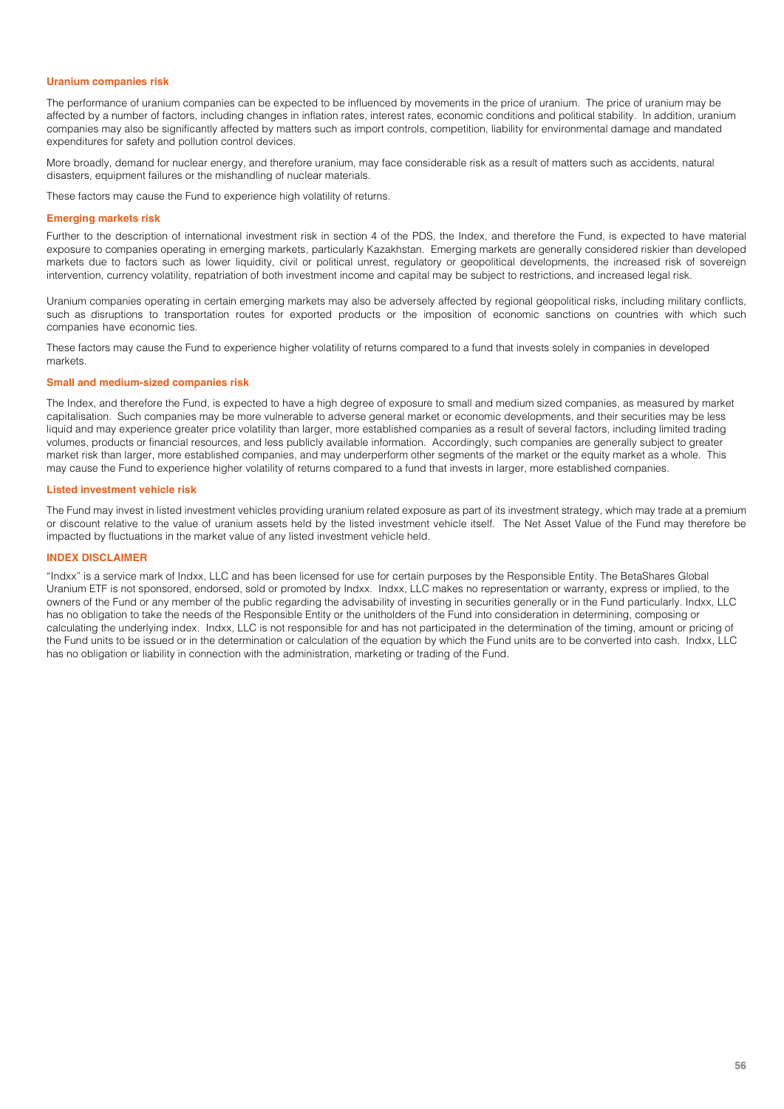#### **Uranium companies risk**

The performance of uranium companies can be expected to be influenced by movements in the price of uranium. The price of uranium may be affected by a number of factors, including changes in inflation rates, interest rates, economic conditions and political stability. In addition, uranium companies may also be significantly affected by matters such as import controls, competition, liability for environmental damage and mandated expenditures for safety and pollution control devices.

More broadly, demand for nuclear energy, and therefore uranium, may face considerable risk as a result of matters such as accidents, natural disasters, equipment failures or the mishandling of nuclear materials.

These factors may cause the Fund to experience high volatility of returns.

#### **Emerging markets risk**

Further to the description of international investment risk in section 4 of the PDS, the Index, and therefore the Fund, is expected to have material exposure to companies operating in emerging markets, particularly Kazakhstan. Emerging markets are generally considered riskier than developed markets due to factors such as lower liquidity, civil or political unrest, regulatory or geopolitical developments, the increased risk of sovereign intervention, currency volatility, repatriation of both investment income and capital may be subject to restrictions, and increased legal risk.

Uranium companies operating in certain emerging markets may also be adversely affected by regional geopolitical risks, including military conflicts, such as disruptions to transportation routes for exported products or the imposition of economic sanctions on countries with which such companies have economic ties.

These factors may cause the Fund to experience higher volatility of returns compared to a fund that invests solely in companies in developed markate

#### **Small and medium-sized companies risk**

The Index, and therefore the Fund, is expected to have a high degree of exposure to small and medium sized companies, as measured by market capitalisation. Such companies may be more vulnerable to adverse general market or economic developments, and their securities may be less liquid and may experience greater price volatility than larger, more established companies as a result of several factors, including limited trading volumes, products or financial resources, and less publicly available information. Accordingly, such companies are generally subject to greater market risk than larger, more established companies, and may underperform other segments of the market or the equity market as a whole. This may cause the Fund to experience higher volatility of returns compared to a fund that invests in larger, more established companies.

#### **Listed investment vehicle risk**

The Fund may invest in listed investment vehicles providing uranium related exposure as part of its investment strategy, which may trade at a premium or discount relative to the value of uranium assets held by the listed investment vehicle itself. The Net Asset Value of the Fund may therefore be impacted by fluctuations in the market value of any listed investment vehicle held.

#### **INDEX DISCLAIMER**

"Indxx" is a service mark of Indxx, LLC and has been licensed for use for certain purposes by the Responsible Entity. The BetaShares Global Uranium ETF is not sponsored, endorsed, sold or promoted by Indxx. Indxx, LLC makes no representation or warranty, express or implied, to the owners of the Fund or any member of the public regarding the advisability of investing in securities generally or in the Fund particularly. Indxx, LLC has no obligation to take the needs of the Responsible Entity or the unitholders of the Fund into consideration in determining, composing or calculating the underlying index. Indxx, LLC is not responsible for and has not participated in the determination of the timing, amount or pricing of the Fund units to be issued or in the determination or calculation of the equation by which the Fund units are to be converted into cash. Indxx, LLC has no obligation or liability in connection with the administration, marketing or trading of the Fund.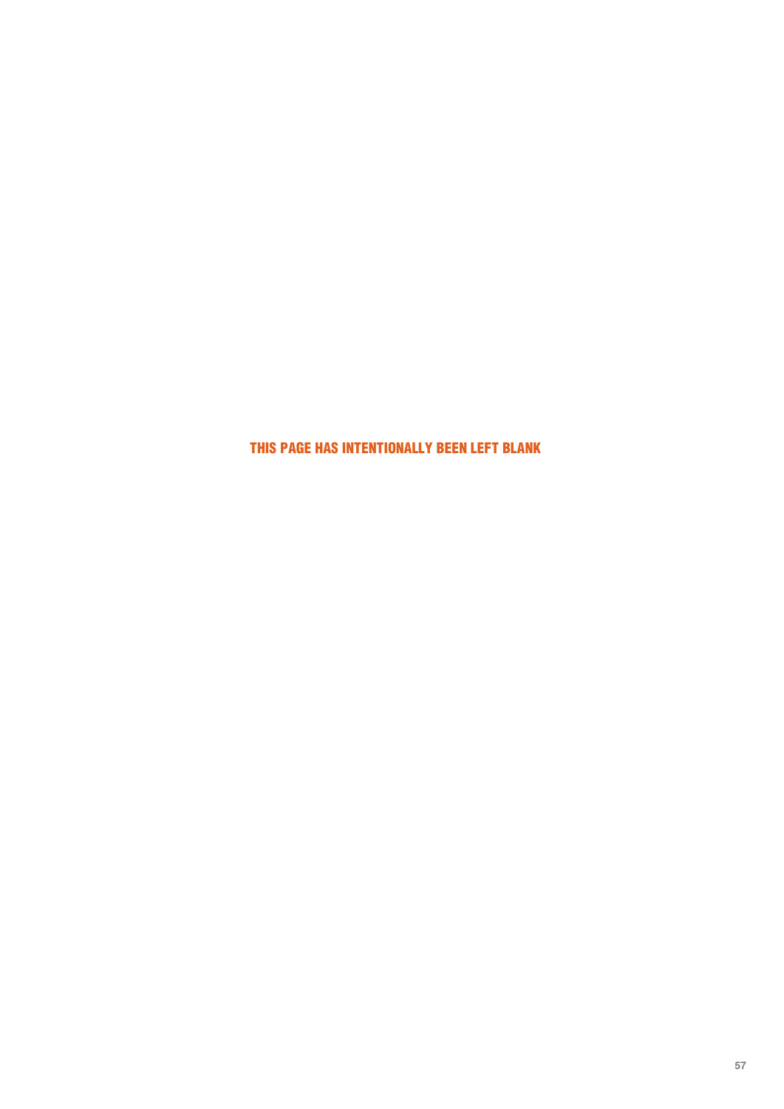THIS PAGE HAS INTENTIONALLY BEEN LEFT BLANK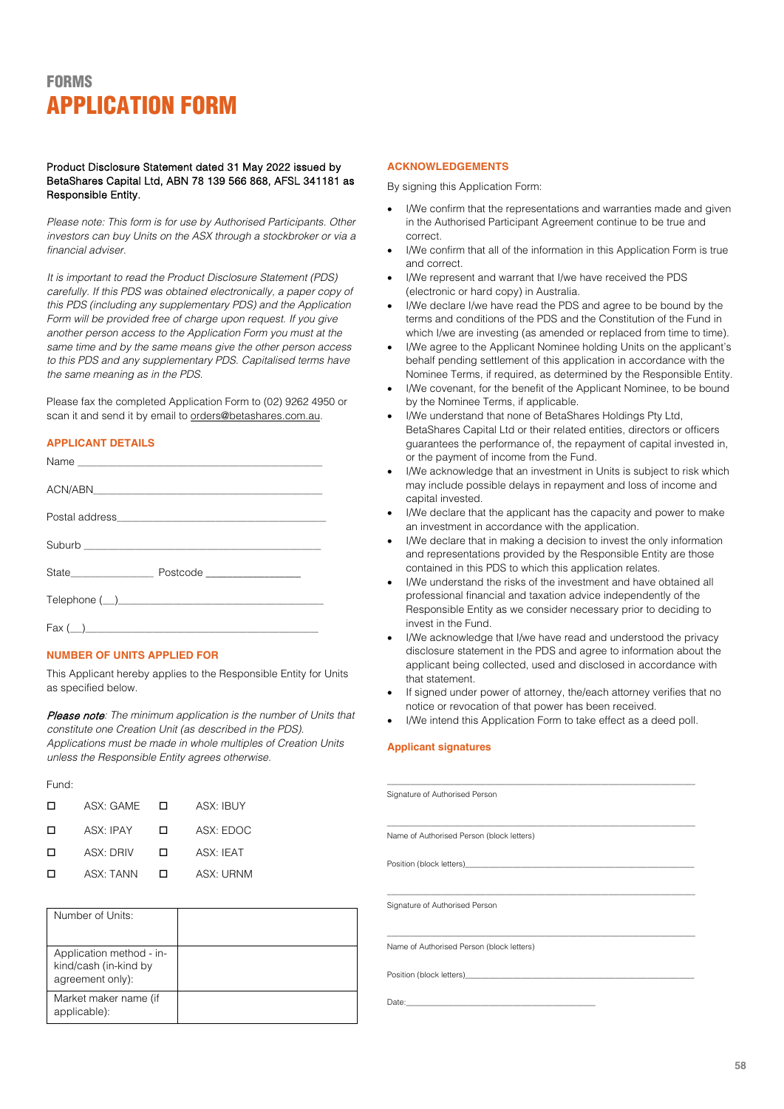## <span id="page-58-0"></span>**FORMS** APPLICATION FORM

#### Product Disclosure Statement dated 31 May 2022 issued by BetaShares Capital Ltd, ABN 78 139 566 868, AFSL 341181 as Responsible Entity.

*Please note: This form is for use by Authorised Participants. Other investors can buy Units on the ASX through a stockbroker or via a financial adviser.* 

*It is important to read the Product Disclosure Statement (PDS) carefully. If this PDS was obtained electronically, a paper copy of this PDS (including any supplementary PDS) and the Application Form will be provided free of charge upon request. If you give another person access to the Application Form you must at the same time and by the same means give the other person access to this PDS and any supplementary PDS. Capitalised terms have the same meaning as in the PDS.*

Please fax the completed Application Form to (02) 9262 4950 or scan it and send it by email to orders@betashares.com.au.

#### **APPLICANT DETAILS**

| $\text{Fax}$ ( _) |  |
|-------------------|--|

#### **NUMBER OF UNITS APPLIED FOR**

 $\mathbf{F}$ 

This Applicant hereby applies to the Responsible Entity for Units as specified below.

Please note*: The minimum application is the number of Units that constitute one Creation Unit (as described in the PDS). Applications must be made in whole multiples of Creation Units unless the Responsible Entity agrees otherwise.*

| Funu: |                  |        |           |
|-------|------------------|--------|-----------|
| □     | ASX: GAME        | $\Box$ | ASX: IBUY |
| □     | ASX: IPAY        | п      | ASX: EDOC |
| □     | <b>ASX: DRIV</b> | п      | ASX: IEAT |
| □     | ASX: TANN        | п      | ASX: URNM |

| Number of Units:                                                      |  |
|-----------------------------------------------------------------------|--|
| Application method - in-<br>kind/cash (in-kind by<br>agreement only): |  |
| Market maker name (if<br>applicable):                                 |  |

#### **ACKNOWLEDGEMENTS**

By signing this Application Form:

- I/We confirm that the representations and warranties made and given in the Authorised Participant Agreement continue to be true and correct.
- I/We confirm that all of the information in this Application Form is true and correct.
- I/We represent and warrant that I/we have received the PDS (electronic or hard copy) in Australia.
- I/We declare I/we have read the PDS and agree to be bound by the terms and conditions of the PDS and the Constitution of the Fund in which I/we are investing (as amended or replaced from time to time).
- I/We agree to the Applicant Nominee holding Units on the applicant's behalf pending settlement of this application in accordance with the Nominee Terms, if required, as determined by the Responsible Entity.
- I/We covenant, for the benefit of the Applicant Nominee, to be bound by the Nominee Terms, if applicable.
- I/We understand that none of BetaShares Holdings Pty Ltd, BetaShares Capital Ltd or their related entities, directors or officers guarantees the performance of, the repayment of capital invested in, or the payment of income from the Fund.
- I/We acknowledge that an investment in Units is subject to risk which may include possible delays in repayment and loss of income and capital invested.
- I/We declare that the applicant has the capacity and power to make an investment in accordance with the application.
- I/We declare that in making a decision to invest the only information and representations provided by the Responsible Entity are those contained in this PDS to which this application relates.
- I/We understand the risks of the investment and have obtained all professional financial and taxation advice independently of the Responsible Entity as we consider necessary prior to deciding to invest in the Fund.
- I/We acknowledge that I/we have read and understood the privacy disclosure statement in the PDS and agree to information about the applicant being collected, used and disclosed in accordance with that statement.
- If signed under power of attorney, the/each attorney verifies that no notice or revocation of that power has been received.
- I/We intend this Application Form to take effect as a deed poll.

#### **Applicant signatures**

| Signature of Authorised Person            |  |
|-------------------------------------------|--|
| Name of Authorised Person (block letters) |  |
|                                           |  |
| Signature of Authorised Person            |  |
| Name of Authorised Person (block letters) |  |
|                                           |  |
|                                           |  |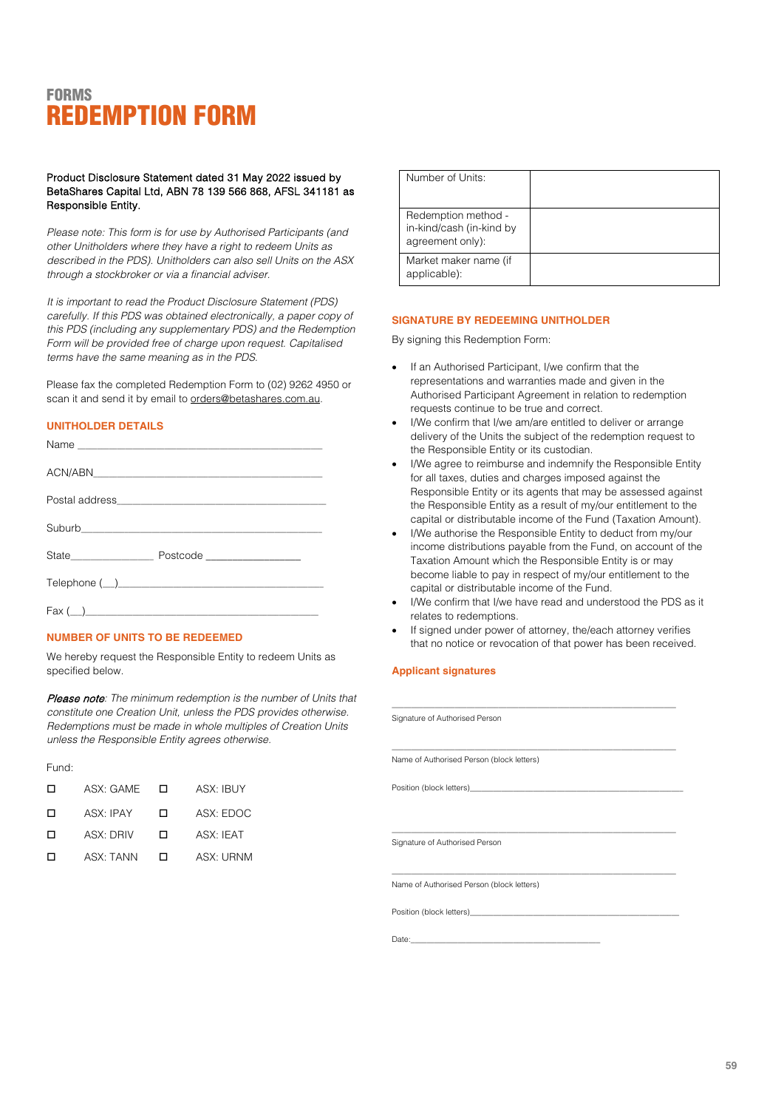## <span id="page-59-0"></span>**FORMS** REDEMPTION FORM

#### Product Disclosure Statement dated 31 May 2022 issued by BetaShares Capital Ltd, ABN 78 139 566 868, AFSL 341181 as Responsible Entity.

*Please note: This form is for use by Authorised Participants (and other Unitholders where they have a right to redeem Units as described in the PDS). Unitholders can also sell Units on the ASX through a stockbroker or via a financial adviser.* 

*It is important to read the Product Disclosure Statement (PDS) carefully. If this PDS was obtained electronically, a paper copy of this PDS (including any supplementary PDS) and the Redemption Form will be provided free of charge upon request. Capitalised terms have the same meaning as in the PDS.*

Please fax the completed Redemption Form to (02) 9262 4950 or scan it and send it by email to orders@betashares.com.au.

#### **UNITHOLDER DETAILS**

#### **NUMBER OF UNITS TO BE REDEEMED**

We hereby request the Responsible Entity to redeem Units as specified below.

Please note*: The minimum redemption is the number of Units that constitute one Creation Unit, unless the PDS provides otherwise. Redemptions must be made in whole multiples of Creation Units unless the Responsible Entity agrees otherwise.*

Fund:

| п | ASX: GAME        | $\Box$ | $ASX \cdot IRI$ JY |
|---|------------------|--------|--------------------|
| п | ASX: IPAY        | $\Box$ | ASX: EDOC          |
| п | <b>ASX: DRIV</b> | $\Box$ | $ASX \cdot IFAT$   |
| п | ASX: TANN        | п.     | ASX: URNM          |

| Number of Units:                                                    |  |
|---------------------------------------------------------------------|--|
| Redemption method -<br>in-kind/cash (in-kind by<br>agreement only): |  |
| Market maker name (if<br>applicable):                               |  |

#### **SIGNATURE BY REDEEMING UNITHOLDER**

By signing this Redemption Form:

- If an Authorised Participant, I/we confirm that the representations and warranties made and given in the Authorised Participant Agreement in relation to redemption requests continue to be true and correct.
- I/We confirm that I/we am/are entitled to deliver or arrange delivery of the Units the subject of the redemption request to the Responsible Entity or its custodian.
- I/We agree to reimburse and indemnify the Responsible Entity for all taxes, duties and charges imposed against the Responsible Entity or its agents that may be assessed against the Responsible Entity as a result of my/our entitlement to the capital or distributable income of the Fund (Taxation Amount).
- I/We authorise the Responsible Entity to deduct from my/our income distributions payable from the Fund, on account of the Taxation Amount which the Responsible Entity is or may become liable to pay in respect of my/our entitlement to the capital or distributable income of the Fund.
- I/We confirm that I/we have read and understood the PDS as it relates to redemptions.
- If signed under power of attorney, the/each attorney verifies that no notice or revocation of that power has been received.

#### **Applicant signatures**

| Signature of Authorised Person            |  |
|-------------------------------------------|--|
| Name of Authorised Person (block letters) |  |
|                                           |  |
| Signature of Authorised Person            |  |
|                                           |  |
| Name of Authorised Person (block letters) |  |
|                                           |  |